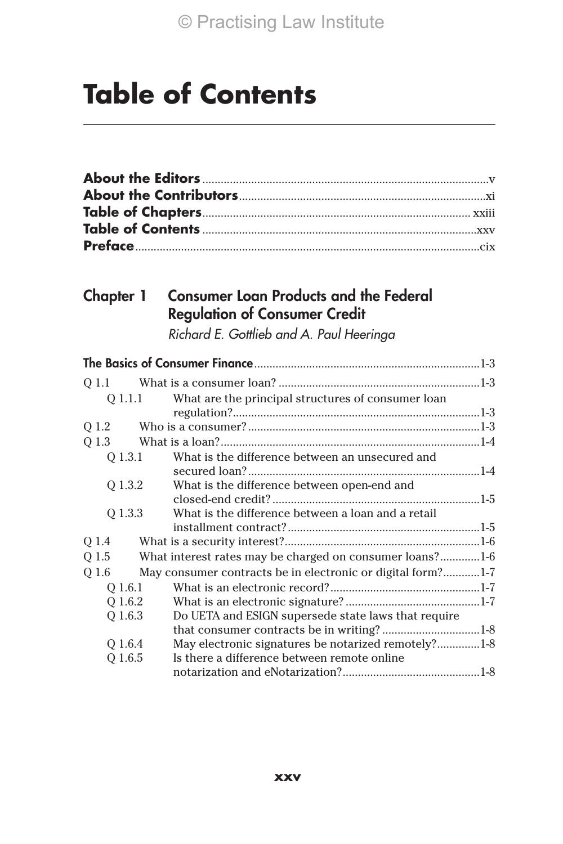# **Table of Contents**

# Chapter 1 Consumer Loan Products and the Federal Regulation of Consumer Credit

*Richard E. Gottlieb and A. Paul Heeringa*

| 0 1.1   |                                                             |  |
|---------|-------------------------------------------------------------|--|
| 0 1.1.1 | What are the principal structures of consumer loan          |  |
|         |                                                             |  |
| Q 1.2   |                                                             |  |
| O 1.3   |                                                             |  |
| O 1.3.1 | What is the difference between an unsecured and             |  |
|         |                                                             |  |
| O 1.3.2 | What is the difference between open-end and                 |  |
|         |                                                             |  |
| 0 1.3.3 | What is the difference between a loan and a retail          |  |
|         |                                                             |  |
| Q 1.4   |                                                             |  |
| 0 1.5   | What interest rates may be charged on consumer loans?1-6    |  |
| O 1.6   | May consumer contracts be in electronic or digital form?1-7 |  |
| O 1.6.1 |                                                             |  |
| O 1.6.2 |                                                             |  |
| O 1.6.3 | Do UETA and ESIGN supersede state laws that require         |  |
|         |                                                             |  |
| O 1.6.4 | May electronic signatures be notarized remotely?1-8         |  |
| Q 1.6.5 | Is there a difference between remote online                 |  |
|         |                                                             |  |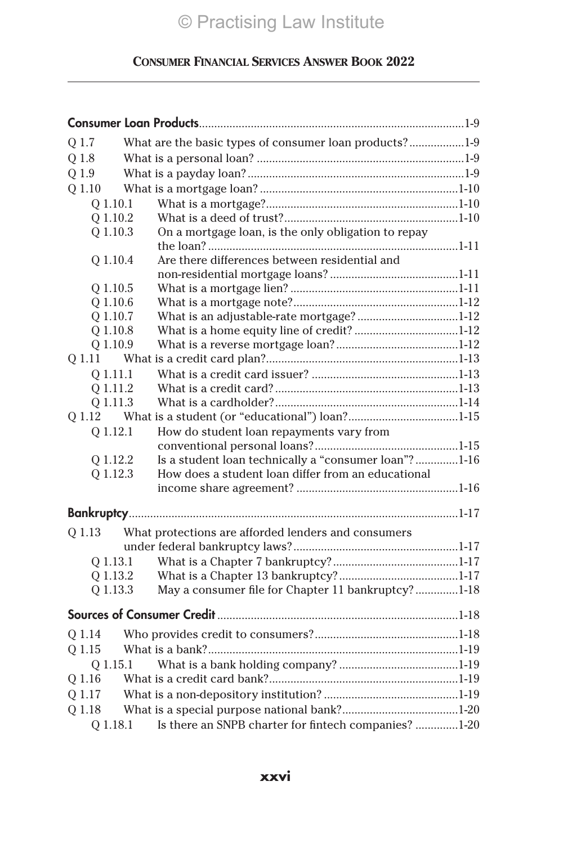| Q 1.7    | What are the basic types of consumer loan products?1-9 |  |
|----------|--------------------------------------------------------|--|
| Q 1.8    |                                                        |  |
| Q 1.9    |                                                        |  |
| Q 1.10   |                                                        |  |
| Q 1.10.1 |                                                        |  |
| Q 1.10.2 |                                                        |  |
| Q 1.10.3 | On a mortgage loan, is the only obligation to repay    |  |
|          |                                                        |  |
| Q 1.10.4 | Are there differences between residential and          |  |
|          |                                                        |  |
| Q 1.10.5 |                                                        |  |
| Q 1.10.6 |                                                        |  |
| Q 1.10.7 |                                                        |  |
| Q 1.10.8 |                                                        |  |
| Q 1.10.9 |                                                        |  |
| Q 1.11   |                                                        |  |
| 0 1.11.1 |                                                        |  |
| Q 1.11.2 |                                                        |  |
| Q 1.11.3 |                                                        |  |
| Q 1.12   |                                                        |  |
| Q 1.12.1 | How do student loan repayments vary from               |  |
|          |                                                        |  |
| Q 1.12.2 | Is a student loan technically a "consumer loan"? 1-16  |  |
| Q 1.12.3 | How does a student loan differ from an educational     |  |
|          |                                                        |  |
|          |                                                        |  |
| Q 1.13   | What protections are afforded lenders and consumers    |  |
|          |                                                        |  |
| 0 1.13.1 |                                                        |  |
| Q 1.13.2 |                                                        |  |
| Q 1.13.3 | May a consumer file for Chapter 11 bankruptcy?1-18     |  |
|          |                                                        |  |
| Q 1.14   |                                                        |  |
| Q 1.15   |                                                        |  |
| Q 1.15.1 |                                                        |  |
| Q 1.16   |                                                        |  |
| Q 1.17   |                                                        |  |
| 0 1.18   |                                                        |  |
| Q 1.18.1 | Is there an SNPB charter for fintech companies? 1-20   |  |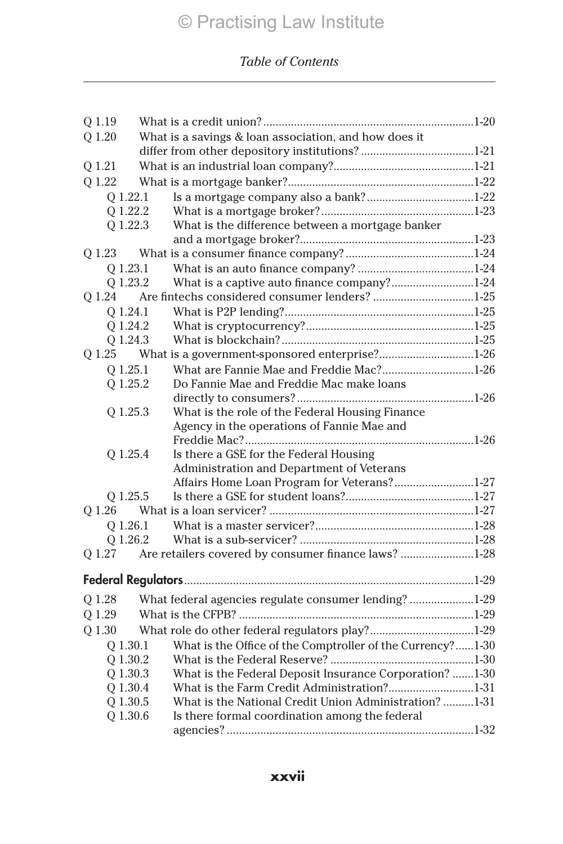| Q 1.19<br>What is a savings & loan association, and how does it<br>Q 1.20<br>Q 1.21<br>Q 1.22<br>Q 1.22.1                      |  |
|--------------------------------------------------------------------------------------------------------------------------------|--|
|                                                                                                                                |  |
|                                                                                                                                |  |
|                                                                                                                                |  |
|                                                                                                                                |  |
|                                                                                                                                |  |
| Q 1.22.2                                                                                                                       |  |
| Q 1.22.3<br>What is the difference between a mortgage banker                                                                   |  |
|                                                                                                                                |  |
| Q 1.23                                                                                                                         |  |
| Q 1.23.1                                                                                                                       |  |
| What is a captive auto finance company?1-24<br>Q 1.23.2                                                                        |  |
| Are fintechs considered consumer lenders? 1-25<br>Q 1.24                                                                       |  |
| 0 1.24.1                                                                                                                       |  |
| Q 1.24.2                                                                                                                       |  |
| Q 1.24.3                                                                                                                       |  |
| What is a government-sponsored enterprise?1-26<br>Q 1.25                                                                       |  |
| What are Fannie Mae and Freddie Mac?1-26<br>Q 1.25.1                                                                           |  |
| Q 1.25.2<br>Do Fannie Mae and Freddie Mac make loans                                                                           |  |
|                                                                                                                                |  |
| What is the role of the Federal Housing Finance<br>Q 1.25.3                                                                    |  |
| Agency in the operations of Fannie Mae and                                                                                     |  |
|                                                                                                                                |  |
| Is there a GSE for the Federal Housing<br>Q 1.25.4                                                                             |  |
| Administration and Department of Veterans                                                                                      |  |
| Affairs Home Loan Program for Veterans?1-27                                                                                    |  |
| Q 1.25.5                                                                                                                       |  |
| Q 1.26                                                                                                                         |  |
| Q 1.26.1                                                                                                                       |  |
| Q 1.26.2                                                                                                                       |  |
| Are retailers covered by consumer finance laws? 1-28<br>0 1.27                                                                 |  |
|                                                                                                                                |  |
| What federal agencies regulate consumer lending? 1-29<br>Q 1.28                                                                |  |
|                                                                                                                                |  |
| Q 1.29                                                                                                                         |  |
| What role do other federal regulators play?1-29<br>Q 1.30                                                                      |  |
| What is the Office of the Comptroller of the Currency?1-30<br>Q 1.30.1                                                         |  |
| Q 1.30.2                                                                                                                       |  |
| What is the Federal Deposit Insurance Corporation? 1-30<br>Q 1.30.3<br>What is the Farm Credit Administration?1-31<br>Q 1.30.4 |  |
| Q 1.30.5<br>What is the National Credit Union Administration? 1-31                                                             |  |
| Q 1.30.6<br>Is there formal coordination among the federal                                                                     |  |
|                                                                                                                                |  |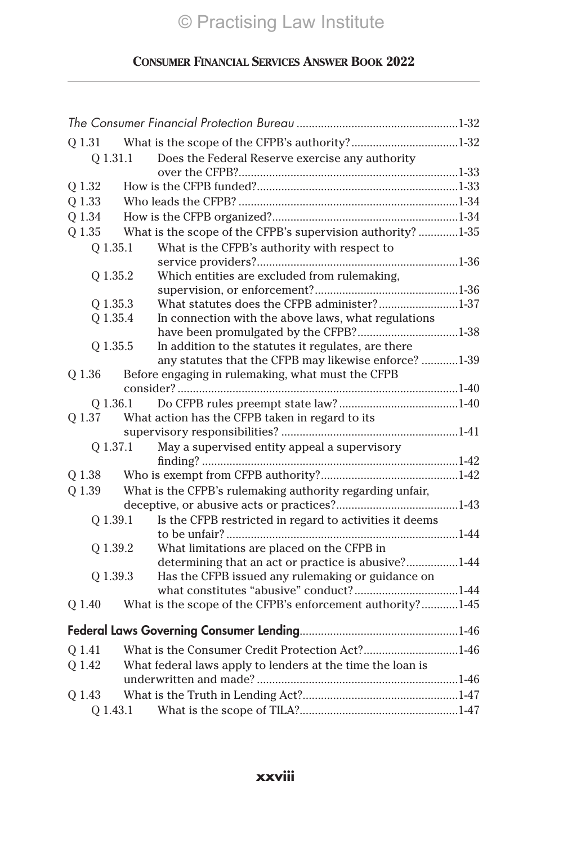| 0 1.31   |                                                             |  |
|----------|-------------------------------------------------------------|--|
| Q 1.31.1 | Does the Federal Reserve exercise any authority             |  |
|          |                                                             |  |
| Q 1.32   |                                                             |  |
| Q 1.33   |                                                             |  |
| Q 1.34   |                                                             |  |
| Q 1.35   | What is the scope of the CFPB's supervision authority? 1-35 |  |
| Q 1.35.1 | What is the CFPB's authority with respect to                |  |
|          |                                                             |  |
| Q 1.35.2 | Which entities are excluded from rulemaking,                |  |
|          |                                                             |  |
| 0 1.35.3 | What statutes does the CFPB administer?1-37                 |  |
| Q 1.35.4 | In connection with the above laws, what regulations         |  |
|          | have been promulgated by the CFPB?1-38                      |  |
| Q 1.35.5 | In addition to the statutes it regulates, are there         |  |
|          | any statutes that the CFPB may likewise enforce? 1-39       |  |
| Q 1.36   | Before engaging in rulemaking, what must the CFPB           |  |
|          |                                                             |  |
| Q 1.36.1 | What action has the CFPB taken in regard to its             |  |
| Q 1.37   |                                                             |  |
| Q 1.37.1 | May a supervised entity appeal a supervisory                |  |
|          |                                                             |  |
| Q 1.38   |                                                             |  |
| Q 1.39   | What is the CFPB's rulemaking authority regarding unfair,   |  |
|          |                                                             |  |
| Q 1.39.1 | Is the CFPB restricted in regard to activities it deems     |  |
|          |                                                             |  |
| Q 1.39.2 | What limitations are placed on the CFPB in                  |  |
|          | determining that an act or practice is abusive?1-44         |  |
| Q 1.39.3 | Has the CFPB issued any rulemaking or guidance on           |  |
|          |                                                             |  |
| O 1.40   | What is the scope of the CFPB's enforcement authority?1-45  |  |
|          |                                                             |  |
| Q 1.41   | What is the Consumer Credit Protection Act?1-46             |  |
| Q 1.42   | What federal laws apply to lenders at the time the loan is  |  |
|          |                                                             |  |
| 0 1.43   |                                                             |  |
| Q 1.43.1 |                                                             |  |
|          |                                                             |  |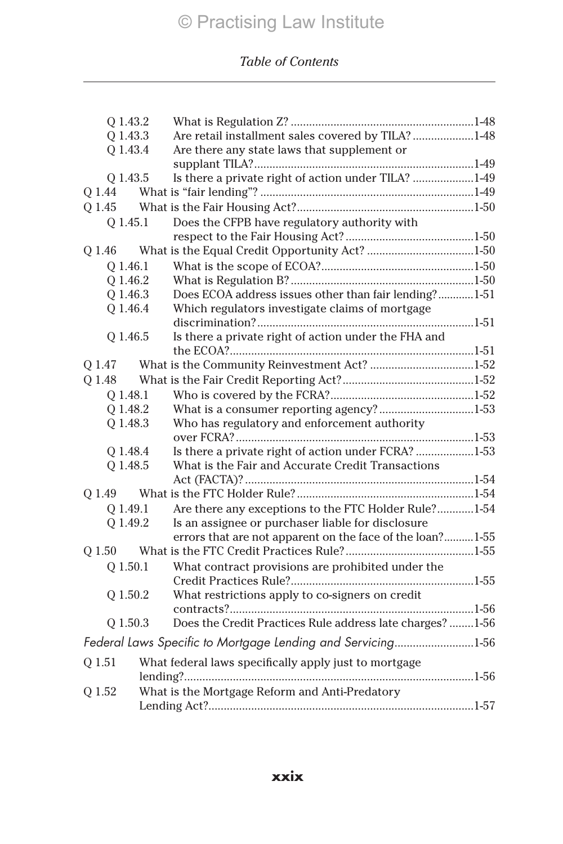| Q 1.43.2 |                                                             |  |
|----------|-------------------------------------------------------------|--|
| Q 1.43.3 | Are retail installment sales covered by TILA? 1-48          |  |
| Q 1.43.4 | Are there any state laws that supplement or                 |  |
|          |                                                             |  |
| Q 1.43.5 | Is there a private right of action under TILA? 1-49         |  |
| Q 1.44   |                                                             |  |
| Q 1.45   |                                                             |  |
| O 1.45.1 | Does the CFPB have regulatory authority with                |  |
|          |                                                             |  |
| Q 1.46   |                                                             |  |
| O 1.46.1 |                                                             |  |
| Q 1.46.2 |                                                             |  |
| Q 1.46.3 | Does ECOA address issues other than fair lending?1-51       |  |
| Q 1.46.4 | Which regulators investigate claims of mortgage             |  |
|          |                                                             |  |
| Q 1.46.5 | Is there a private right of action under the FHA and        |  |
|          |                                                             |  |
| Q 1.47   | What is the Community Reinvestment Act? 1-52                |  |
| Q 1.48   |                                                             |  |
| Q 1.48.1 |                                                             |  |
| Q 1.48.2 | What is a consumer reporting agency?1-53                    |  |
| Q 1.48.3 | Who has regulatory and enforcement authority                |  |
|          |                                                             |  |
| Q 1.48.4 | Is there a private right of action under FCRA? 1-53         |  |
| Q 1.48.5 | What is the Fair and Accurate Credit Transactions           |  |
|          |                                                             |  |
| O 1.49   |                                                             |  |
| Q 1.49.1 | Are there any exceptions to the FTC Holder Rule?1-54        |  |
| Q 1.49.2 | Is an assignee or purchaser liable for disclosure           |  |
|          | errors that are not apparent on the face of the loan?1-55   |  |
| Q 1.50   |                                                             |  |
| Q 1.50.1 | What contract provisions are prohibited under the           |  |
|          |                                                             |  |
| Q 1.50.2 | What restrictions apply to co-signers on credit             |  |
|          |                                                             |  |
| Q 1.50.3 | Does the Credit Practices Rule address late charges? 1-56   |  |
|          | Federal Laws Specific to Mortgage Lending and Servicing1-56 |  |
| Q 1.51   | What federal laws specifically apply just to mortgage       |  |
|          |                                                             |  |
| Q 1.52   | What is the Mortgage Reform and Anti-Predatory              |  |
|          |                                                             |  |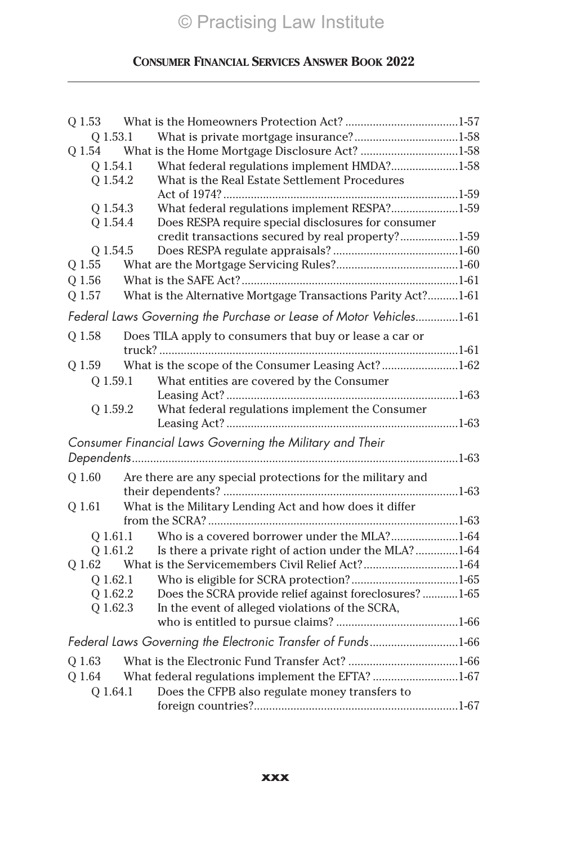|           | Q 1.53 What is the Homeowners Protection Act? 1-57                                                       |  |
|-----------|----------------------------------------------------------------------------------------------------------|--|
| Q 1.53.1  |                                                                                                          |  |
| Q 1.54    | What is the Home Mortgage Disclosure Act? 1-58                                                           |  |
| Q 1.54.1  | What federal regulations implement HMDA?1-58                                                             |  |
| Q 1.54.2  | What is the Real Estate Settlement Procedures                                                            |  |
|           |                                                                                                          |  |
| Q 1.54.3  | What federal regulations implement RESPA?1-59                                                            |  |
| Q 1.54.4  | Does RESPA require special disclosures for consumer<br>credit transactions secured by real property?1-59 |  |
| Q 1.54.5  |                                                                                                          |  |
| Q 1.55    |                                                                                                          |  |
| Q 1.56    |                                                                                                          |  |
| Q 1.57    | What is the Alternative Mortgage Transactions Parity Act?1-61                                            |  |
|           | Federal Laws Governing the Purchase or Lease of Motor Vehicles1-61                                       |  |
| Q 1.58    | Does TILA apply to consumers that buy or lease a car or                                                  |  |
|           |                                                                                                          |  |
| $Q\;1.59$ | What is the scope of the Consumer Leasing Act?1-62                                                       |  |
| Q 1.59.1  | What entities are covered by the Consumer                                                                |  |
|           |                                                                                                          |  |
| O 1.59.2  | What federal regulations implement the Consumer                                                          |  |
|           |                                                                                                          |  |
|           | Consumer Financial Laws Governing the Military and Their                                                 |  |
|           |                                                                                                          |  |
| $Q$ 1.60  | Are there are any special protections for the military and                                               |  |
|           |                                                                                                          |  |
| Q 1.61    | What is the Military Lending Act and how does it differ                                                  |  |
|           |                                                                                                          |  |
| O 1.61.1  | Who is a covered borrower under the MLA?1-64                                                             |  |
| Q 1.61.2  | Is there a private right of action under the MLA?1-64                                                    |  |
| Q 1.62    | What is the Servicemembers Civil Relief Act?1-64                                                         |  |
| Q 1.62.1  |                                                                                                          |  |
| Q 1.62.2  | Does the SCRA provide relief against foreclosures? 1-65                                                  |  |
| Q 1.62.3  | In the event of alleged violations of the SCRA,                                                          |  |
|           |                                                                                                          |  |
|           | Federal Laws Governing the Electronic Transfer of Funds1-66                                              |  |
| Q 1.63    |                                                                                                          |  |
| Q 1.64    | What federal regulations implement the EFTA? 1-67                                                        |  |
| Q 1.64.1  | Does the CFPB also regulate money transfers to                                                           |  |
|           |                                                                                                          |  |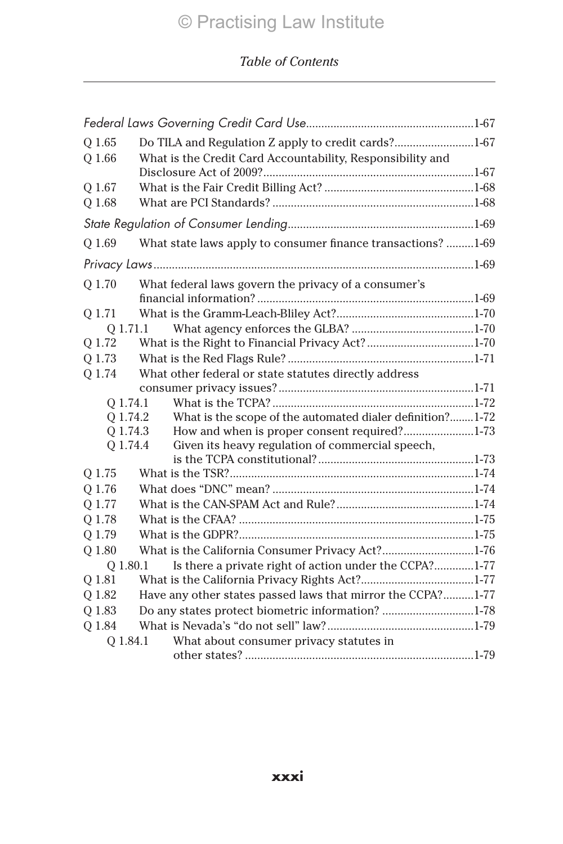| O 1.65   | Do TILA and Regulation Z apply to credit cards?1-67           |  |
|----------|---------------------------------------------------------------|--|
| Q 1.66   | What is the Credit Card Accountability, Responsibility and    |  |
|          |                                                               |  |
| O 1.67   |                                                               |  |
| O 1.68   |                                                               |  |
|          |                                                               |  |
| O 1.69   | What state laws apply to consumer finance transactions?  1-69 |  |
|          |                                                               |  |
| Q 1.70   | What federal laws govern the privacy of a consumer's          |  |
|          |                                                               |  |
| O 1.71   |                                                               |  |
| Q 1.71.1 |                                                               |  |
| Q 1.72   |                                                               |  |
| Q 1.73   |                                                               |  |
| Q 1.74   | What other federal or state statutes directly address         |  |
|          |                                                               |  |
| Q 1.74.1 |                                                               |  |
| Q 1.74.2 | What is the scope of the automated dialer definition?1-72     |  |
| Q 1.74.3 |                                                               |  |
| O 1.74.4 | Given its heavy regulation of commercial speech,              |  |
|          |                                                               |  |
| Q 1.75   |                                                               |  |
| Q 1.76   |                                                               |  |
| O 1.77   |                                                               |  |
| O 1.78   |                                                               |  |
| Q 1.79   |                                                               |  |
| O 1.80   | What is the California Consumer Privacy Act?1-76              |  |
| Q 1.80.1 | Is there a private right of action under the CCPA?1-77        |  |
| O 1.81   |                                                               |  |
| Q 1.82   | Have any other states passed laws that mirror the CCPA?1-77   |  |
| Q 1.83   | Do any states protect biometric information? 1-78             |  |
| Q 1.84   |                                                               |  |
| Q 1.84.1 | What about consumer privacy statutes in                       |  |
|          |                                                               |  |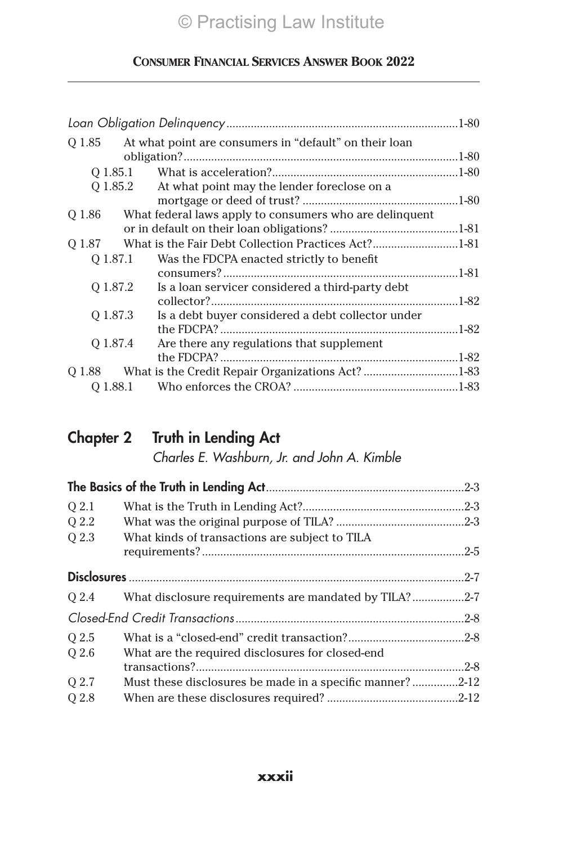|          | Q 1.85 At what point are consumers in "default" on their loan |  |
|----------|---------------------------------------------------------------|--|
|          |                                                               |  |
|          |                                                               |  |
|          | Q 1.85.2 At what point may the lender foreclose on a          |  |
|          |                                                               |  |
| Q 1.86   | What federal laws apply to consumers who are delinquent       |  |
|          |                                                               |  |
| O 1.87   | What is the Fair Debt Collection Practices Act?1-81           |  |
| 0 1.87.1 | Was the FDCPA enacted strictly to benefit                     |  |
|          |                                                               |  |
| O 1.87.2 | Is a loan servicer considered a third-party debt              |  |
|          |                                                               |  |
| 0 1.87.3 | Is a debt buyer considered a debt collector under             |  |
|          |                                                               |  |
| O 1.87.4 | Are there any regulations that supplement                     |  |
|          |                                                               |  |
|          | Q 1.88 What is the Credit Repair Organizations Act? 1-83      |  |
| 0 1.88.1 |                                                               |  |

# Chapter 2 Truth in Lending Act

*Charles E. Washburn, Jr. and John A. Kimble*

| O 2.1 |                                                             |  |
|-------|-------------------------------------------------------------|--|
| O 2.2 |                                                             |  |
| O 2.3 | What kinds of transactions are subject to TILA              |  |
|       |                                                             |  |
|       | Q 2.4 What disclosure requirements are mandated by TILA?2-7 |  |
|       |                                                             |  |
| O 2.5 |                                                             |  |
| O 2.6 | What are the required disclosures for closed-end            |  |
|       |                                                             |  |
| O 2.7 | Must these disclosures be made in a specific manner?2-12    |  |
| Q 2.8 |                                                             |  |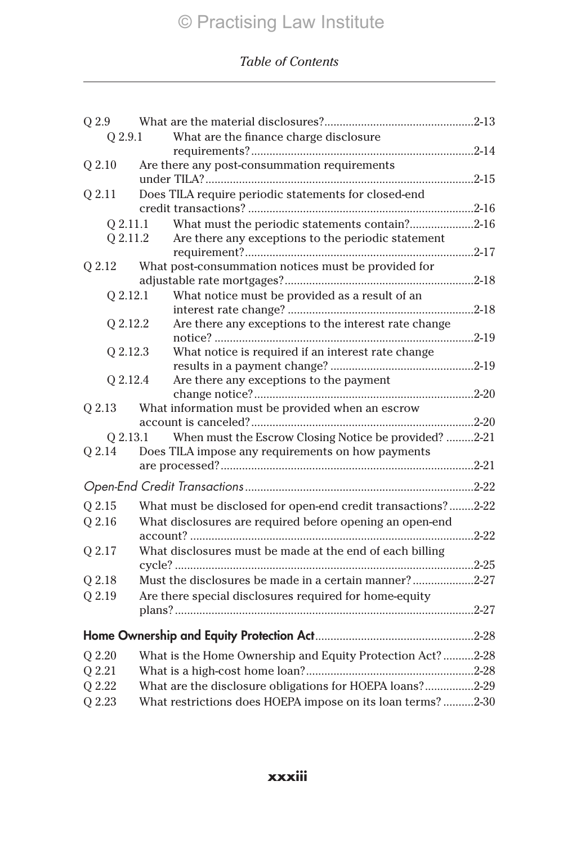| Q2.9     |                                                              |  |
|----------|--------------------------------------------------------------|--|
| O 2.9.1  | What are the finance charge disclosure                       |  |
|          |                                                              |  |
| Q 2.10   | Are there any post-consummation requirements                 |  |
|          |                                                              |  |
| Q 2.11   | Does TILA require periodic statements for closed-end         |  |
|          |                                                              |  |
| 0 2.11.1 | What must the periodic statements contain?2-16               |  |
| Q 2.11.2 | Are there any exceptions to the periodic statement           |  |
|          |                                                              |  |
| Q 2.12   | What post-consummation notices must be provided for          |  |
|          |                                                              |  |
| Q 2.12.1 | What notice must be provided as a result of an               |  |
|          |                                                              |  |
| Q 2.12.2 | Are there any exceptions to the interest rate change         |  |
|          |                                                              |  |
| Q 2.12.3 | What notice is required if an interest rate change           |  |
| Q 2.12.4 | Are there any exceptions to the payment                      |  |
|          |                                                              |  |
| Q 2.13   | What information must be provided when an escrow             |  |
|          |                                                              |  |
| Q 2.13.1 | When must the Escrow Closing Notice be provided? 2-21        |  |
| Q 2.14   | Does TILA impose any requirements on how payments            |  |
|          |                                                              |  |
|          |                                                              |  |
|          |                                                              |  |
| Q 2.15   | What must be disclosed for open-end credit transactions?2-22 |  |
| Q 2.16   | What disclosures are required before opening an open-end     |  |
|          |                                                              |  |
| Q 2.17   | What disclosures must be made at the end of each billing     |  |
|          |                                                              |  |
| Q 2.18   | Must the disclosures be made in a certain manner?2-27        |  |
| Q 2.19   | Are there special disclosures required for home-equity       |  |
|          |                                                              |  |
|          |                                                              |  |
|          |                                                              |  |
| O 2.20   | What is the Home Ownership and Equity Protection Act?2-28    |  |
| Q 2.21   |                                                              |  |
| Q 2.22   | What are the disclosure obligations for HOEPA loans?2-29     |  |
| Q 2.23   | What restrictions does HOEPA impose on its loan terms?2-30   |  |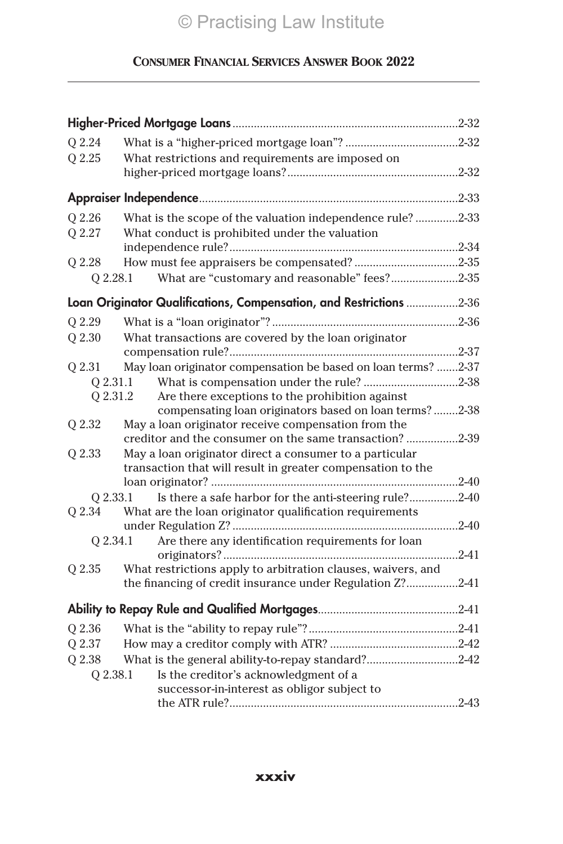| Q 2.24          |                                                                                                               |  |
|-----------------|---------------------------------------------------------------------------------------------------------------|--|
| $\mbox{Q}$ 2.25 | What restrictions and requirements are imposed on                                                             |  |
|                 |                                                                                                               |  |
|                 |                                                                                                               |  |
| Q 2.26          | What is the scope of the valuation independence rule?2-33                                                     |  |
| Q 2.27          | What conduct is prohibited under the valuation                                                                |  |
|                 |                                                                                                               |  |
| Q 2.28          |                                                                                                               |  |
| 0 2.28.1        | What are "customary and reasonable" fees?2-35                                                                 |  |
|                 | Loan Originator Qualifications, Compensation, and Restrictions 2-36                                           |  |
| Q 2.29          |                                                                                                               |  |
| Q 2.30          | What transactions are covered by the loan originator                                                          |  |
|                 |                                                                                                               |  |
| Q 2.31          | May loan originator compensation be based on loan terms? 2-37                                                 |  |
| Q 2.31.1        | What is compensation under the rule? 2-38                                                                     |  |
|                 | Q 2.31.2<br>Are there exceptions to the prohibition against                                                   |  |
|                 | compensating loan originators based on loan terms?2-38                                                        |  |
| Q 2.32          | May a loan originator receive compensation from the<br>creditor and the consumer on the same transaction?2-39 |  |
| Q 2.33          | May a loan originator direct a consumer to a particular                                                       |  |
|                 | transaction that will result in greater compensation to the                                                   |  |
|                 |                                                                                                               |  |
| 0 2.33.1        | Is there a safe harbor for the anti-steering rule?2-40                                                        |  |
| Q 2.34          | What are the loan originator qualification requirements                                                       |  |
|                 |                                                                                                               |  |
| O 2.34.1        | Are there any identification requirements for loan                                                            |  |
| Q 2.35          | What restrictions apply to arbitration clauses, waivers, and                                                  |  |
|                 | the financing of credit insurance under Regulation Z?2-41                                                     |  |
|                 |                                                                                                               |  |
| Q 2.36          |                                                                                                               |  |
| Q 2.37          |                                                                                                               |  |
| Q 2.38          | What is the general ability-to-repay standard?2-42                                                            |  |
| Q 2.38.1        | Is the creditor's acknowledgment of a                                                                         |  |
|                 | successor-in-interest as obligor subject to                                                                   |  |
|                 |                                                                                                               |  |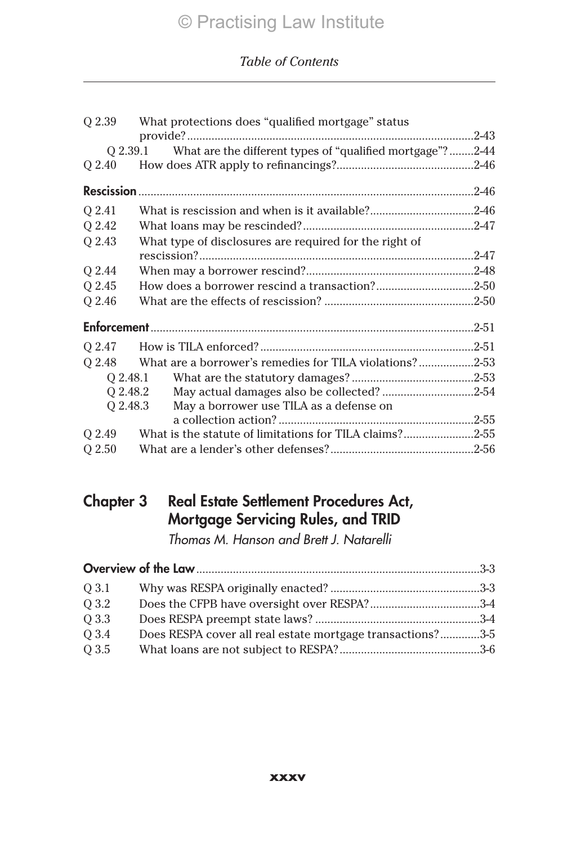| O 2.39 | What protections does "qualified mortgage" status                     |  |
|--------|-----------------------------------------------------------------------|--|
|        |                                                                       |  |
|        | What are the different types of "qualified mortgage"?2-44<br>O 2.39.1 |  |
| O 2.40 |                                                                       |  |
|        |                                                                       |  |
| Q 2.41 |                                                                       |  |
| O 2.42 |                                                                       |  |
| Q 2.43 | What type of disclosures are required for the right of                |  |
|        |                                                                       |  |
| Q 2.44 |                                                                       |  |
| Q 2.45 |                                                                       |  |
| Q 2.46 |                                                                       |  |
|        |                                                                       |  |
| O 2.47 |                                                                       |  |
| O 2.48 |                                                                       |  |
|        | 0 2.48.1                                                              |  |
|        | 0 2.48.2<br>May actual damages also be collected? 2-54                |  |
|        | Q 2.48.3<br>May a borrower use TILA as a defense on                   |  |
|        |                                                                       |  |
| Q 2.49 | What is the statute of limitations for TILA claims?2-55               |  |
| Q 2.50 |                                                                       |  |

# Chapter 3 Real Estate Settlement Procedures Act, Mortgage Servicing Rules, and TRID

*Thomas M. Hanson and Brett J. Natarelli*

| 0 3.1 |                                                            |  |
|-------|------------------------------------------------------------|--|
| Q 3.2 |                                                            |  |
| Q 3.3 |                                                            |  |
| Q 3.4 | Does RESPA cover all real estate mortgage transactions?3-5 |  |
| Q 3.5 |                                                            |  |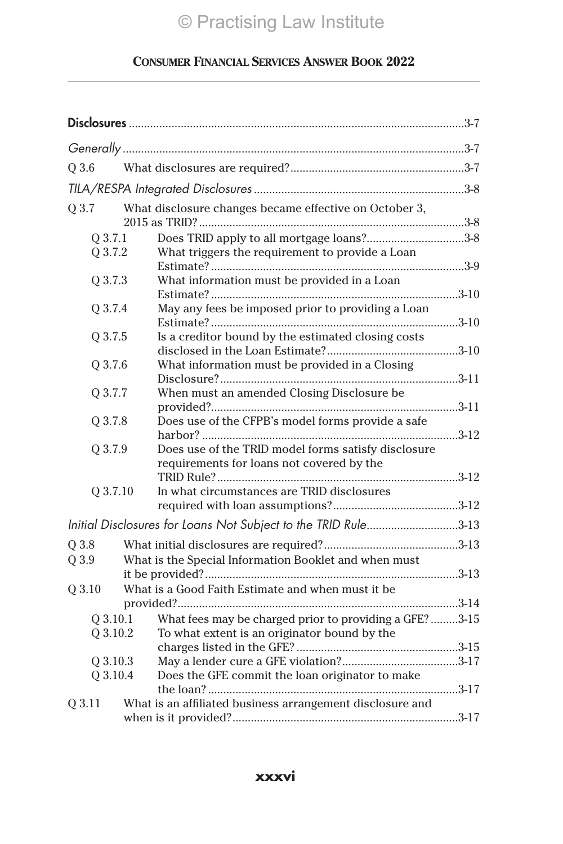| Q 3.6    |          |                                                                                                  |  |
|----------|----------|--------------------------------------------------------------------------------------------------|--|
|          |          |                                                                                                  |  |
| Q 3.7    |          | What disclosure changes became effective on October 3,                                           |  |
|          |          |                                                                                                  |  |
| O 3.7.1  |          | Does TRID apply to all mortgage loans?3-8                                                        |  |
| Q 3.7.2  |          | What triggers the requirement to provide a Loan                                                  |  |
| Q 3.7.3  |          | What information must be provided in a Loan                                                      |  |
| Q 3.7.4  |          | May any fees be imposed prior to providing a Loan                                                |  |
| Q 3.7.5  |          | Is a creditor bound by the estimated closing costs                                               |  |
|          |          |                                                                                                  |  |
| Q 3.7.6  |          | What information must be provided in a Closing                                                   |  |
|          |          |                                                                                                  |  |
| Q 3.7.7  |          | When must an amended Closing Disclosure be                                                       |  |
| Q 3.7.8  |          | Does use of the CFPB's model forms provide a safe                                                |  |
|          |          |                                                                                                  |  |
| Q 3.7.9  |          | Does use of the TRID model forms satisfy disclosure<br>requirements for loans not covered by the |  |
|          |          |                                                                                                  |  |
| Q 3.7.10 |          | In what circumstances are TRID disclosures                                                       |  |
|          |          |                                                                                                  |  |
|          |          | Initial Disclosures for Loans Not Subject to the TRID Rule3-13                                   |  |
| Q 3.8    |          |                                                                                                  |  |
| Q 3.9    |          | What is the Special Information Booklet and when must                                            |  |
|          |          |                                                                                                  |  |
| Q 3.10   |          | What is a Good Faith Estimate and when must it be                                                |  |
|          |          |                                                                                                  |  |
| Q3.10.1  |          | What fees may be charged prior to providing a GFE?3-15                                           |  |
|          | Q 3.10.2 | To what extent is an originator bound by the                                                     |  |
|          |          |                                                                                                  |  |
| Q 3.10.3 |          |                                                                                                  |  |
|          | Q 3.10.4 | Does the GFE commit the loan originator to make                                                  |  |
|          |          |                                                                                                  |  |
| Q 3.11   |          | What is an affiliated business arrangement disclosure and                                        |  |
|          |          |                                                                                                  |  |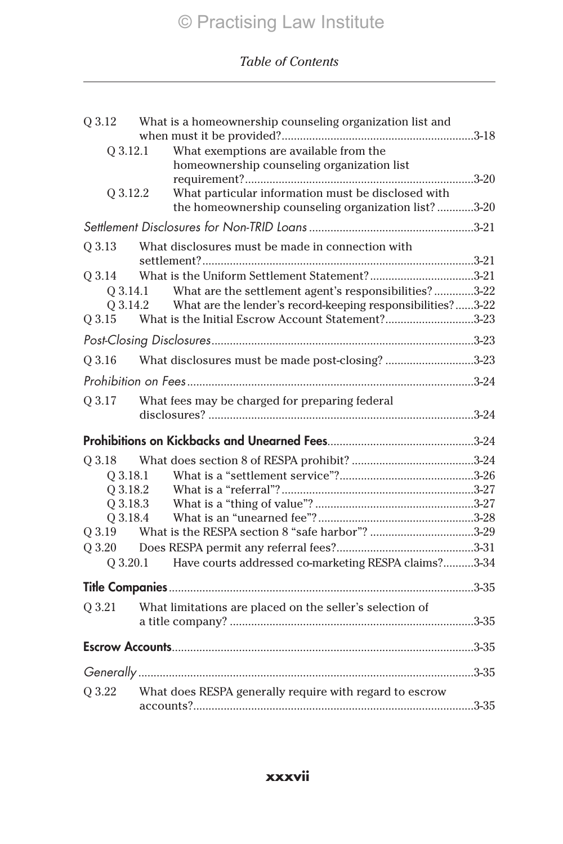|          | Q 3.12 What is a homeownership counseling organization list and                                           |  |
|----------|-----------------------------------------------------------------------------------------------------------|--|
| Q 3.12.1 | What exemptions are available from the<br>homeownership counseling organization list                      |  |
|          |                                                                                                           |  |
| Q 3.12.2 | What particular information must be disclosed with<br>the homeownership counseling organization list?3-20 |  |
|          |                                                                                                           |  |
| Q 3.13   | What disclosures must be made in connection with                                                          |  |
|          | Q 3.14 What is the Uniform Settlement Statement?3-21                                                      |  |
|          | What are the settlement agent's responsibilities?3-22<br>0 3.14.1                                         |  |
|          | Q 3.14.2 What are the lender's record-keeping responsibilities?3-22                                       |  |
| O 3.15   | What is the Initial Escrow Account Statement?3-23                                                         |  |
|          |                                                                                                           |  |
| Q 3.16   | What disclosures must be made post-closing? 3-23                                                          |  |
|          |                                                                                                           |  |
| Q 3.17   | What fees may be charged for preparing federal                                                            |  |
|          |                                                                                                           |  |
|          |                                                                                                           |  |
| O 3.18   |                                                                                                           |  |
|          | 0 3.18.1                                                                                                  |  |
|          | Q 3.18.2                                                                                                  |  |
|          |                                                                                                           |  |
|          |                                                                                                           |  |
|          | Q 3.19 What is the RESPA section 8 "safe harbor"? 3-29                                                    |  |
|          |                                                                                                           |  |
|          | Have courts addressed co-marketing RESPA claims?3-34<br>Q 3.20.1                                          |  |
|          |                                                                                                           |  |
| Q 3.21   | What limitations are placed on the seller's selection of                                                  |  |
|          |                                                                                                           |  |
|          |                                                                                                           |  |
|          |                                                                                                           |  |
| Q 3.22   | What does RESPA generally require with regard to escrow                                                   |  |
|          |                                                                                                           |  |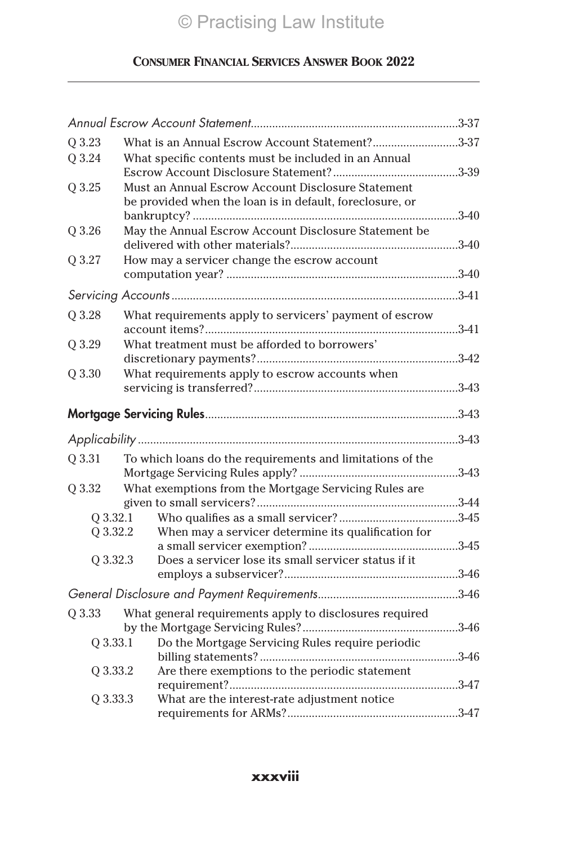| Q 3.23   | What is an Annual Escrow Account Statement?3-37           |  |
|----------|-----------------------------------------------------------|--|
| Q 3.24   | What specific contents must be included in an Annual      |  |
|          |                                                           |  |
| Q 3.25   | Must an Annual Escrow Account Disclosure Statement        |  |
|          | be provided when the loan is in default, foreclosure, or  |  |
|          |                                                           |  |
| Q 3.26   | May the Annual Escrow Account Disclosure Statement be     |  |
| Q 3.27   | How may a servicer change the escrow account              |  |
|          |                                                           |  |
|          |                                                           |  |
| Q 3.28   | What requirements apply to servicers' payment of escrow   |  |
|          |                                                           |  |
| Q 3.29   | What treatment must be afforded to borrowers'             |  |
|          |                                                           |  |
| Q 3.30   | What requirements apply to escrow accounts when           |  |
|          |                                                           |  |
|          |                                                           |  |
|          |                                                           |  |
| Q 3.31   | To which loans do the requirements and limitations of the |  |
|          |                                                           |  |
| Q 3.32   | What exemptions from the Mortgage Servicing Rules are     |  |
|          |                                                           |  |
| Q 3.32.1 |                                                           |  |
| Q 3.32.2 | When may a servicer determine its qualification for       |  |
| Q 3.32.3 | Does a servicer lose its small servicer status if it      |  |
|          |                                                           |  |
|          |                                                           |  |
| 0 3.33   | What general requirements apply to disclosures required   |  |
|          |                                                           |  |
| Q 3.33.1 | Do the Mortgage Servicing Rules require periodic          |  |
|          |                                                           |  |
| Q 3.33.2 | Are there exemptions to the periodic statement            |  |
| Q 3.33.3 | What are the interest-rate adjustment notice              |  |
|          |                                                           |  |
|          |                                                           |  |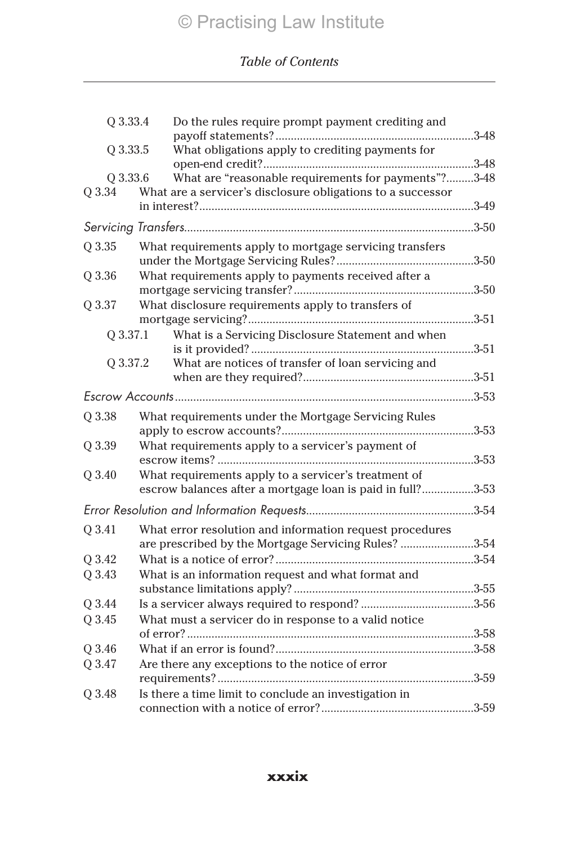| Q 3.33.4 | Do the rules require prompt payment crediting and           | $.3 - 48$ |
|----------|-------------------------------------------------------------|-----------|
| Q 3.33.5 | What obligations apply to crediting payments for            |           |
|          |                                                             |           |
| O 3.33.6 | What are "reasonable requirements for payments"?3-48        |           |
| Q 3.34   | What are a servicer's disclosure obligations to a successor |           |
|          |                                                             |           |
| Q 3.35   | What requirements apply to mortgage servicing transfers     |           |
| Q 3.36   | What requirements apply to payments received after a        |           |
| Q 3.37   | What disclosure requirements apply to transfers of          |           |
|          |                                                             |           |
| O 3.37.1 | What is a Servicing Disclosure Statement and when           |           |
|          |                                                             |           |
| Q 3.37.2 | What are notices of transfer of loan servicing and          |           |
|          |                                                             |           |
| Q 3.38   | What requirements under the Mortgage Servicing Rules        |           |
|          |                                                             |           |
| Q 3.39   | What requirements apply to a servicer's payment of          |           |
|          |                                                             |           |
| Q 3.40   | What requirements apply to a servicer's treatment of        |           |
|          | escrow balances after a mortgage loan is paid in full?3-53  |           |
|          |                                                             |           |
| Q 3.41   | What error resolution and information request procedures    |           |
|          | are prescribed by the Mortgage Servicing Rules? 3-54        |           |
| Q 3.42   |                                                             |           |
| Q 3.43   | What is an information request and what format and          |           |
|          |                                                             |           |
| Q 3.44   |                                                             |           |
| Q 3.45   | What must a servicer do in response to a valid notice       |           |
|          |                                                             |           |
| Q 3.46   |                                                             |           |
| Q 3.47   | Are there any exceptions to the notice of error             |           |
|          |                                                             |           |
| Q 3.48   | Is there a time limit to conclude an investigation in       |           |
|          |                                                             |           |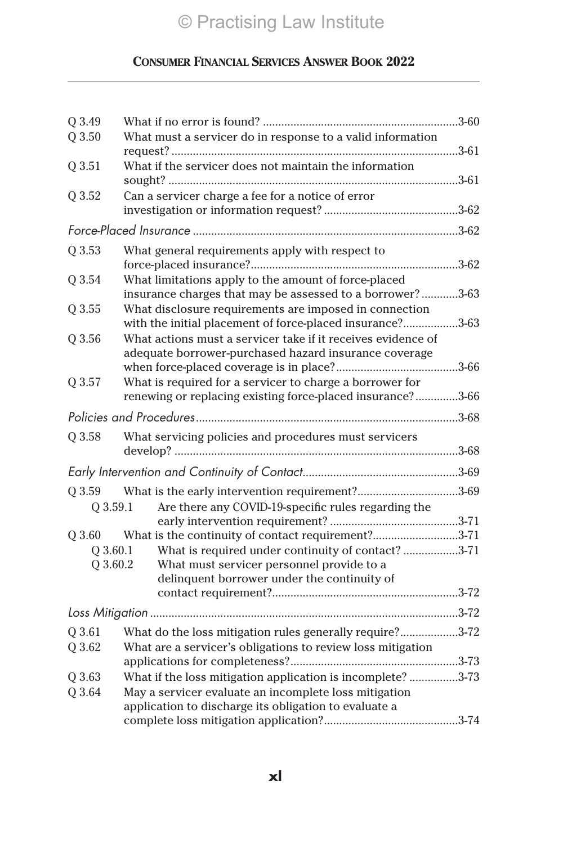| Q 3.49                            |                                                                                                                                                      |  |
|-----------------------------------|------------------------------------------------------------------------------------------------------------------------------------------------------|--|
| Q 3.50                            | What must a servicer do in response to a valid information                                                                                           |  |
| Q 3.51                            | What if the servicer does not maintain the information                                                                                               |  |
| $Q$ 3.52                          | Can a servicer charge a fee for a notice of error                                                                                                    |  |
|                                   |                                                                                                                                                      |  |
| Q 3.53                            | What general requirements apply with respect to                                                                                                      |  |
| Q 3.54                            | What limitations apply to the amount of force-placed<br>insurance charges that may be assessed to a borrower?3-63                                    |  |
| Q 3.55                            | What disclosure requirements are imposed in connection<br>with the initial placement of force-placed insurance?3-63                                  |  |
| Q 3.56                            | What actions must a servicer take if it receives evidence of<br>adequate borrower-purchased hazard insurance coverage                                |  |
| Q 3.57                            | What is required for a servicer to charge a borrower for<br>renewing or replacing existing force-placed insurance?3-66                               |  |
|                                   |                                                                                                                                                      |  |
| Q 3.58                            | What servicing policies and procedures must servicers                                                                                                |  |
|                                   |                                                                                                                                                      |  |
| Q 3.59<br>Q 3.59.1                | What is the early intervention requirement?3-69<br>Are there any COVID-19-specific rules regarding the                                               |  |
| $Q$ 3.60<br>Q3.60.1<br>$Q$ 3.60.2 | What is the continuity of contact requirement?3-71<br>What is required under continuity of contact?3-71<br>What must servicer personnel provide to a |  |
|                                   | delinquent borrower under the continuity of                                                                                                          |  |
|                                   |                                                                                                                                                      |  |
| Q 3.61                            | What do the loss mitigation rules generally require?3-72                                                                                             |  |
| Q 3.62                            | What are a servicer's obligations to review loss mitigation                                                                                          |  |
| Q 3.63                            | What if the loss mitigation application is incomplete? 3-73                                                                                          |  |
| Q 3.64                            | May a servicer evaluate an incomplete loss mitigation<br>application to discharge its obligation to evaluate a                                       |  |
|                                   |                                                                                                                                                      |  |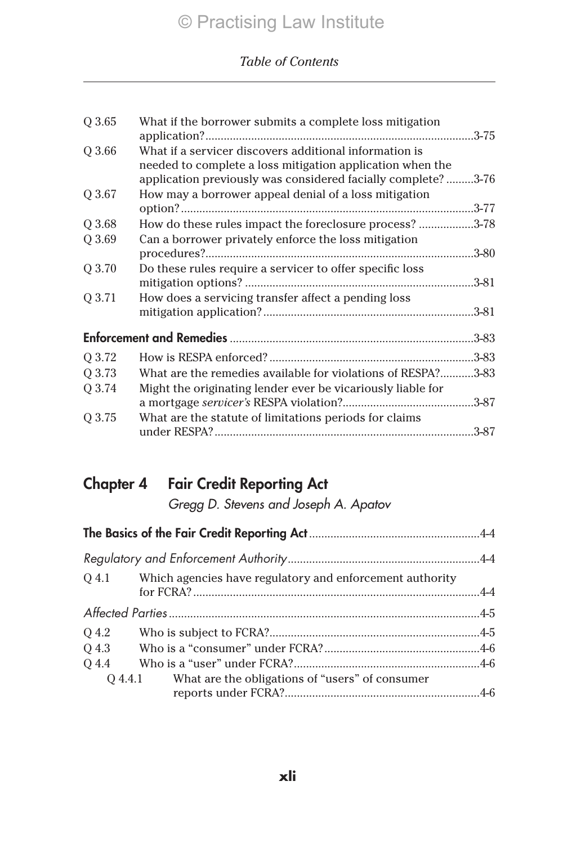| Q 3.65 | What if the borrower submits a complete loss mitigation                                                                                                                              |           |
|--------|--------------------------------------------------------------------------------------------------------------------------------------------------------------------------------------|-----------|
| O 3.66 | What if a servicer discovers additional information is<br>needed to complete a loss mitigation application when the<br>application previously was considered facially complete? 3-76 |           |
| O 3.67 | How may a borrower appeal denial of a loss mitigation                                                                                                                                |           |
| Q 3.68 | How do these rules impact the foreclosure process? 3-78                                                                                                                              |           |
| Q 3.69 | Can a borrower privately enforce the loss mitigation                                                                                                                                 | $.3 - 80$ |
| O 3.70 | Do these rules require a servicer to offer specific loss                                                                                                                             |           |
| O 3.71 | How does a servicing transfer affect a pending loss                                                                                                                                  |           |
|        |                                                                                                                                                                                      |           |
| Q 3.72 |                                                                                                                                                                                      | $.3 - 83$ |
| O 3.73 | What are the remedies available for violations of RESPA?                                                                                                                             | .3-83     |
| O 3.74 | Might the originating lender ever be vicariously liable for                                                                                                                          |           |
| O 3.75 | What are the statute of limitations periods for claims                                                                                                                               | .3-87     |

# Chapter 4 Fair Credit Reporting Act

*Gregg D. Stevens and Joseph A. Apatov*

|       | Q 4.1 Which agencies have regulatory and enforcement authority |  |
|-------|----------------------------------------------------------------|--|
|       |                                                                |  |
| Q 4.2 |                                                                |  |
| Q 4.3 |                                                                |  |
| Q 4.4 |                                                                |  |
|       | Q 4.4.1 What are the obligations of "users" of consumer        |  |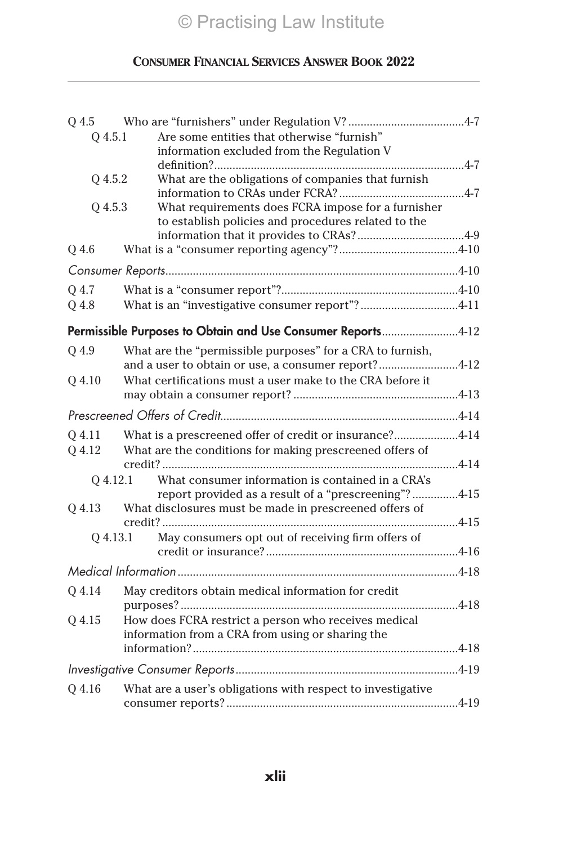| Q 4.5.1  | Are some entities that otherwise "furnish"          |                                                                                                           |
|----------|-----------------------------------------------------|-----------------------------------------------------------------------------------------------------------|
|          |                                                     | information excluded from the Regulation V                                                                |
|          |                                                     |                                                                                                           |
| Q 4.5.2  |                                                     | What are the obligations of companies that furnish                                                        |
|          |                                                     |                                                                                                           |
| Q 4.5.3  |                                                     | What requirements does FCRA impose for a furnisher<br>to establish policies and procedures related to the |
|          |                                                     |                                                                                                           |
| O 4.6    |                                                     |                                                                                                           |
|          |                                                     |                                                                                                           |
|          |                                                     |                                                                                                           |
| Q 4.7    |                                                     |                                                                                                           |
| Q 4.8    |                                                     | What is an "investigative consumer report"?4-11                                                           |
|          |                                                     | Permissible Purposes to Obtain and Use Consumer Reports4-12                                               |
| Q 4.9    |                                                     | What are the "permissible purposes" for a CRA to furnish,                                                 |
|          |                                                     | and a user to obtain or use, a consumer report?4-12                                                       |
| Q 4.10   |                                                     | What certifications must a user make to the CRA before it                                                 |
|          |                                                     |                                                                                                           |
|          |                                                     |                                                                                                           |
| Q 4.11   |                                                     | What is a prescreened offer of credit or insurance?4-14                                                   |
| Q 4.12   |                                                     | What are the conditions for making prescreened offers of                                                  |
|          |                                                     |                                                                                                           |
| 0 4.12.1 |                                                     | What consumer information is contained in a CRA's                                                         |
|          |                                                     | report provided as a result of a "prescreening"? 4-15                                                     |
| Q 4.13   |                                                     | What disclosures must be made in prescreened offers of                                                    |
|          |                                                     |                                                                                                           |
| 0 4.13.1 |                                                     | May consumers opt out of receiving firm offers of                                                         |
|          |                                                     |                                                                                                           |
|          |                                                     |                                                                                                           |
| Q 4.14   | May creditors obtain medical information for credit |                                                                                                           |
|          |                                                     |                                                                                                           |
| Q 4.15   |                                                     | How does FCRA restrict a person who receives medical                                                      |
|          | information from a CRA from using or sharing the    |                                                                                                           |
|          |                                                     |                                                                                                           |
|          |                                                     |                                                                                                           |
| Q 4.16   |                                                     | What are a user's obligations with respect to investigative                                               |
|          |                                                     |                                                                                                           |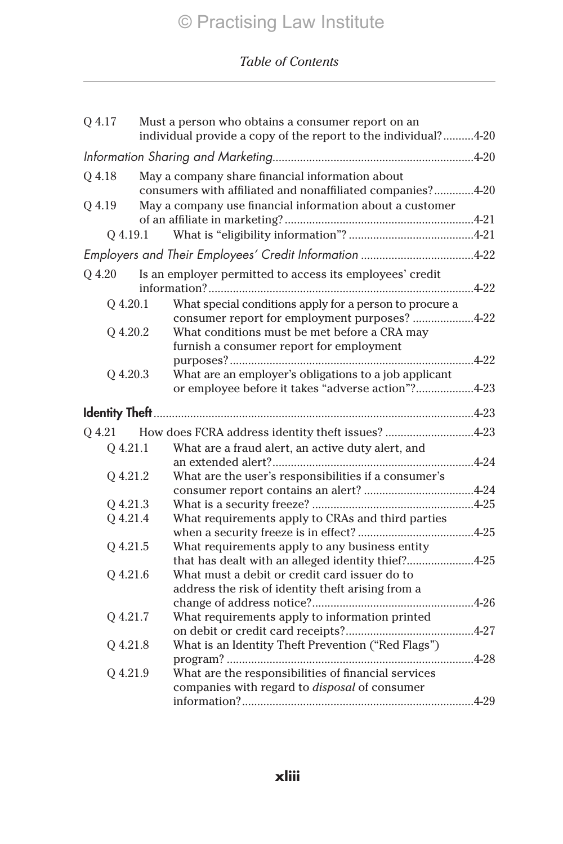| Q 4.17   | Must a person who obtains a consumer report on an<br>individual provide a copy of the report to the individual?4-20 |
|----------|---------------------------------------------------------------------------------------------------------------------|
|          |                                                                                                                     |
| Q 4.18   | May a company share financial information about<br>consumers with affiliated and nonaffiliated companies?4-20       |
| O 4.19   | May a company use financial information about a customer                                                            |
| 0.4.19.1 |                                                                                                                     |
|          | Employers and Their Employees' Credit Information 4-22                                                              |
| O 4.20   | Is an employer permitted to access its employees' credit                                                            |
| Q 4.20.1 | What special conditions apply for a person to procure a<br>consumer report for employment purposes? 4-22            |
| Q 4.20.2 | What conditions must be met before a CRA may<br>furnish a consumer report for employment                            |
| Q 4.20.3 | What are an employer's obligations to a job applicant                                                               |
|          | or employee before it takes "adverse action"?4-23                                                                   |
|          |                                                                                                                     |
| 0.4.21   | How does FCRA address identity theft issues? 4-23                                                                   |
| Q 4.21.1 | What are a fraud alert, an active duty alert, and                                                                   |
|          |                                                                                                                     |
| Q 4.21.2 | What are the user's responsibilities if a consumer's                                                                |
| Q 4.21.3 |                                                                                                                     |
| Q 4.21.4 | What requirements apply to CRAs and third parties                                                                   |
| Q 4.21.5 | What requirements apply to any business entity<br>that has dealt with an alleged identity thief?4-25                |
| Q 4.21.6 | What must a debit or credit card issuer do to<br>address the risk of identity theft arising from a                  |
| Q 4.21.7 | What requirements apply to information printed                                                                      |
| Q 4.21.8 | What is an Identity Theft Prevention ("Red Flags")                                                                  |
| Q 4.21.9 | What are the responsibilities of financial services<br>companies with regard to <i>disposal</i> of consumer         |
|          |                                                                                                                     |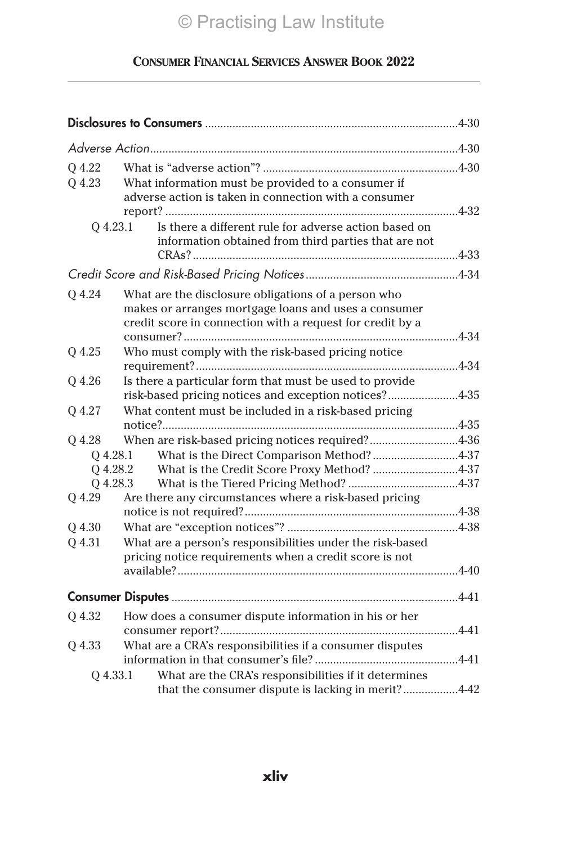| Q 4.22   |                                                                                                                                                                          |  |
|----------|--------------------------------------------------------------------------------------------------------------------------------------------------------------------------|--|
| Q 4.23   | What information must be provided to a consumer if<br>adverse action is taken in connection with a consumer                                                              |  |
| Q 4.23.1 | Is there a different rule for adverse action based on<br>information obtained from third parties that are not                                                            |  |
|          |                                                                                                                                                                          |  |
|          |                                                                                                                                                                          |  |
| Q 4.24   | What are the disclosure obligations of a person who<br>makes or arranges mortgage loans and uses a consumer<br>credit score in connection with a request for credit by a |  |
| Q 4.25   | Who must comply with the risk-based pricing notice                                                                                                                       |  |
| Q 4.26   | Is there a particular form that must be used to provide<br>risk-based pricing notices and exception notices?4-35                                                         |  |
| Q 4.27   | What content must be included in a risk-based pricing                                                                                                                    |  |
| Q 4.28   | When are risk-based pricing notices required?4-36                                                                                                                        |  |
| Q 4.28.1 | What is the Direct Comparison Method?4-37                                                                                                                                |  |
|          | Q 4.28.2<br>What is the Credit Score Proxy Method? 4-37                                                                                                                  |  |
|          | Q 4.28.3                                                                                                                                                                 |  |
| Q 4.29   | Are there any circumstances where a risk-based pricing                                                                                                                   |  |
| Q 4.30   |                                                                                                                                                                          |  |
| Q 4.31   | What are a person's responsibilities under the risk-based<br>pricing notice requirements when a credit score is not                                                      |  |
|          |                                                                                                                                                                          |  |
|          |                                                                                                                                                                          |  |
| Q 4.32   | How does a consumer dispute information in his or her                                                                                                                    |  |
| Q 4.33   | What are a CRA's responsibilities if a consumer disputes                                                                                                                 |  |
| Q 4.33.1 | What are the CRA's responsibilities if it determines<br>that the consumer dispute is lacking in merit?4-42                                                               |  |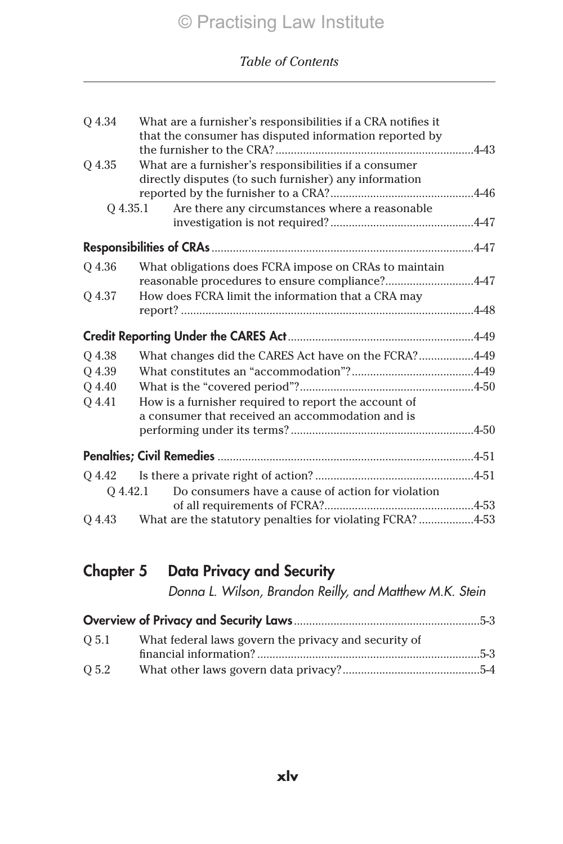| O 4.34 | What are a furnisher's responsibilities if a CRA notifies it<br>that the consumer has disputed information reported by |  |
|--------|------------------------------------------------------------------------------------------------------------------------|--|
|        |                                                                                                                        |  |
| 04.35  | What are a furnisher's responsibilities if a consumer                                                                  |  |
|        | directly disputes (to such furnisher) any information                                                                  |  |
|        |                                                                                                                        |  |
|        | Are there any circumstances where a reasonable<br>Q 4.35.1                                                             |  |
|        |                                                                                                                        |  |
|        |                                                                                                                        |  |
| O 4.36 | What obligations does FCRA impose on CRAs to maintain                                                                  |  |
|        | reasonable procedures to ensure compliance?4-47                                                                        |  |
| 04.37  | How does FCRA limit the information that a CRA may                                                                     |  |
|        |                                                                                                                        |  |
|        |                                                                                                                        |  |
| 04.38  | What changes did the CARES Act have on the FCRA?4-49                                                                   |  |
| O 4.39 |                                                                                                                        |  |
| Q 4.40 |                                                                                                                        |  |
| O 4.41 | How is a furnisher required to report the account of                                                                   |  |
|        | a consumer that received an accommodation and is                                                                       |  |
|        |                                                                                                                        |  |
|        |                                                                                                                        |  |
| 04.42  |                                                                                                                        |  |
|        | Do consumers have a cause of action for violation<br>0 4.42.1                                                          |  |
|        |                                                                                                                        |  |
| 0 4.43 | What are the statutory penalties for violating FCRA? 4-53                                                              |  |
|        |                                                                                                                        |  |

## Chapter 5 Data Privacy and Security

*Donna L. Wilson, Brandon Reilly, and Matthew M.K. Stein*

| 0.5.1 | What federal laws govern the privacy and security of |  |
|-------|------------------------------------------------------|--|
|       |                                                      |  |
| Q 5.2 |                                                      |  |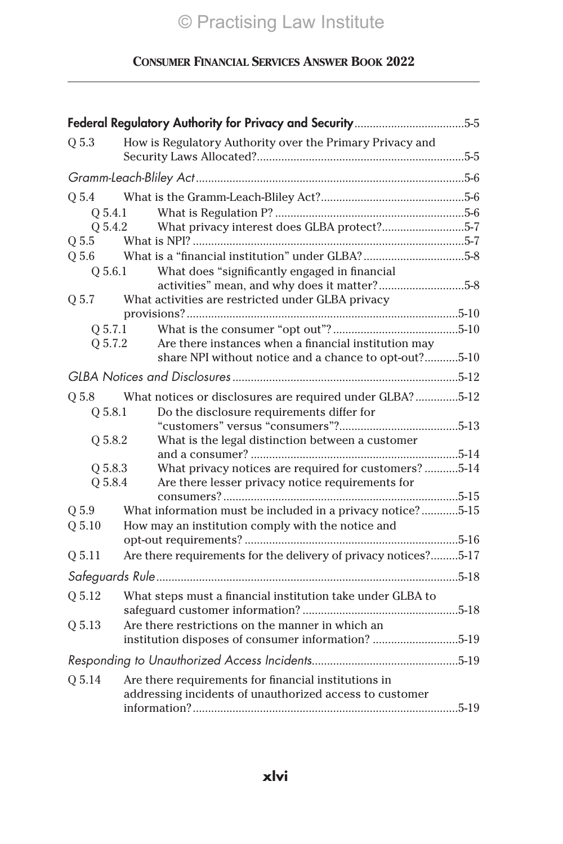|                    | Federal Regulatory Authority for Privacy and Security5-5                                               |  |  |
|--------------------|--------------------------------------------------------------------------------------------------------|--|--|
| O 5.3              | How is Regulatory Authority over the Primary Privacy and                                               |  |  |
|                    |                                                                                                        |  |  |
|                    |                                                                                                        |  |  |
| 0 5.4.1            |                                                                                                        |  |  |
|                    | What privacy interest does GLBA protect?5-7<br>Q 5.4.2                                                 |  |  |
|                    |                                                                                                        |  |  |
|                    |                                                                                                        |  |  |
| Q 5.6.1            | What does "significantly engaged in financial                                                          |  |  |
|                    | activities" mean, and why does it matter?5-8                                                           |  |  |
| Q5.7               | What activities are restricted under GLBA privacy                                                      |  |  |
|                    |                                                                                                        |  |  |
| Q 5.7.1<br>Q 5.7.2 | Are there instances when a financial institution may                                                   |  |  |
|                    | share NPI without notice and a chance to opt-out?5-10                                                  |  |  |
|                    |                                                                                                        |  |  |
| O 5.8              | What notices or disclosures are required under GLBA?5-12                                               |  |  |
| O 5.8.1            | Do the disclosure requirements differ for                                                              |  |  |
|                    |                                                                                                        |  |  |
| Q 5.8.2            | What is the legal distinction between a customer                                                       |  |  |
|                    |                                                                                                        |  |  |
| Q 5.8.3            | What privacy notices are required for customers?5-14                                                   |  |  |
| Q 5.8.4            | Are there lesser privacy notice requirements for                                                       |  |  |
|                    |                                                                                                        |  |  |
| O 5.9              | What information must be included in a privacy notice?5-15                                             |  |  |
| Q 5.10             | How may an institution comply with the notice and                                                      |  |  |
| Q 5.11             | Are there requirements for the delivery of privacy notices?5-17                                        |  |  |
|                    |                                                                                                        |  |  |
|                    |                                                                                                        |  |  |
| Q 5.12             | What steps must a financial institution take under GLBA to                                             |  |  |
| Q 5.13             | Are there restrictions on the manner in which an<br>institution disposes of consumer information? 5-19 |  |  |
|                    |                                                                                                        |  |  |
| Q 5.14             | Are there requirements for financial institutions in                                                   |  |  |
|                    | addressing incidents of unauthorized access to customer                                                |  |  |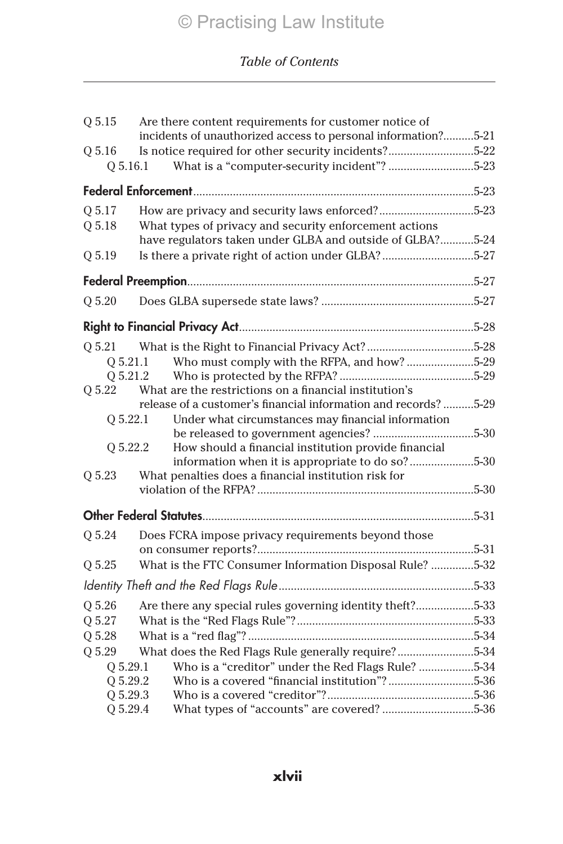| 0 5.15   | Are there content requirements for customer notice of                                                               |  |
|----------|---------------------------------------------------------------------------------------------------------------------|--|
|          | incidents of unauthorized access to personal information?5-21                                                       |  |
| Q 5.16   | Is notice required for other security incidents?5-22                                                                |  |
| Q 5.16.1 | What is a "computer-security incident"? 5-23                                                                        |  |
|          |                                                                                                                     |  |
| Q 5.17   | How are privacy and security laws enforced?5-23                                                                     |  |
| O 5.18   | What types of privacy and security enforcement actions<br>have regulators taken under GLBA and outside of GLBA?5-24 |  |
| Q 5.19   | Is there a private right of action under GLBA?5-27                                                                  |  |
|          |                                                                                                                     |  |
| Q 5.20   |                                                                                                                     |  |
|          |                                                                                                                     |  |
| 0.5.21   |                                                                                                                     |  |
| 0 5.21.1 |                                                                                                                     |  |
| Q 5.21.2 |                                                                                                                     |  |
| Q 5.22   | What are the restrictions on a financial institution's                                                              |  |
|          | release of a customer's financial information and records?5-29                                                      |  |
| Q 5.22.1 | Under what circumstances may financial information                                                                  |  |
|          |                                                                                                                     |  |
| Q 5.22.2 | How should a financial institution provide financial                                                                |  |
| Q 5.23   | information when it is appropriate to do so?5-30<br>What penalties does a financial institution risk for            |  |
|          |                                                                                                                     |  |
|          |                                                                                                                     |  |
|          |                                                                                                                     |  |
| Q 5.24   | Does FCRA impose privacy requirements beyond those                                                                  |  |
|          |                                                                                                                     |  |
| Q 5.25   | What is the FTC Consumer Information Disposal Rule? 5-32                                                            |  |
|          |                                                                                                                     |  |
| Q 5.26   | Are there any special rules governing identity theft?5-33                                                           |  |
| Q 5.27   |                                                                                                                     |  |
| Q 5.28   |                                                                                                                     |  |
| Q 5.29   | What does the Red Flags Rule generally require?5-34                                                                 |  |
| Q 5.29.1 | Who is a "creditor" under the Red Flags Rule? 5-34                                                                  |  |
| Q 5.29.2 |                                                                                                                     |  |
| Q 5.29.3 |                                                                                                                     |  |
| Q 5.29.4 | What types of "accounts" are covered? 5-36                                                                          |  |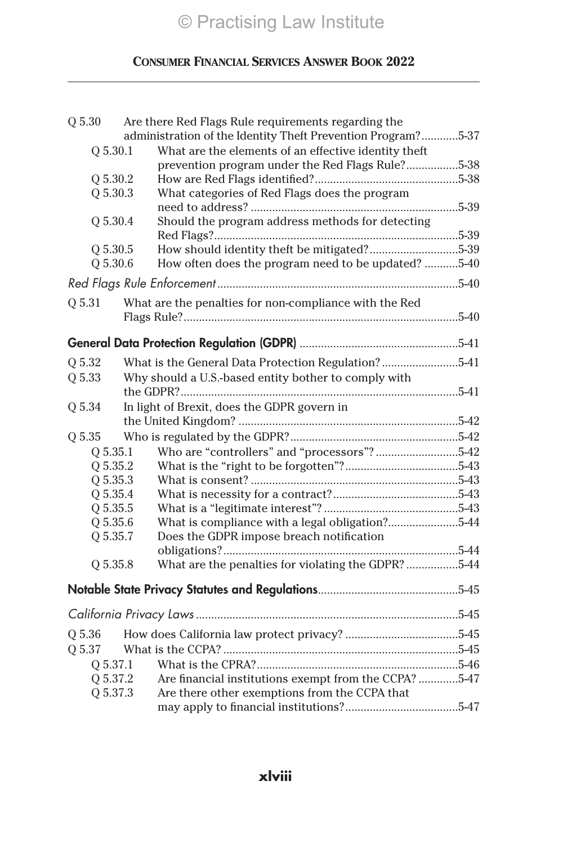| Q 5.30   | Are there Red Flags Rule requirements regarding the          |  |
|----------|--------------------------------------------------------------|--|
|          | administration of the Identity Theft Prevention Program?5-37 |  |
| Q 5.30.1 | What are the elements of an effective identity theft         |  |
|          | prevention program under the Red Flags Rule?5-38             |  |
| O 5.30.2 |                                                              |  |
| Q 5.30.3 | What categories of Red Flags does the program                |  |
|          |                                                              |  |
| Q 5.30.4 | Should the program address methods for detecting             |  |
| Q 5.30.5 | How should identity theft be mitigated?5-39                  |  |
| Q 5.30.6 | How often does the program need to be updated? 5-40          |  |
|          |                                                              |  |
| Q 5.31   | What are the penalties for non-compliance with the Red       |  |
|          |                                                              |  |
|          |                                                              |  |
|          |                                                              |  |
| Q 5.32   | What is the General Data Protection Regulation?5-41          |  |
| Q 5.33   | Why should a U.S.-based entity bother to comply with         |  |
|          |                                                              |  |
| Q 5.34   | In light of Brexit, does the GDPR govern in                  |  |
|          |                                                              |  |
| Q 5.35   |                                                              |  |
| Q 5.35.1 | Who are "controllers" and "processors"?5-42                  |  |
| Q 5.35.2 |                                                              |  |
| Q 5.35.3 |                                                              |  |
| Q 5.35.4 |                                                              |  |
| Q 5.35.5 |                                                              |  |
| Q5.35.6  | What is compliance with a legal obligation?5-44              |  |
| Q 5.35.7 | Does the GDPR impose breach notification                     |  |
|          |                                                              |  |
| Q 5.35.8 | What are the penalties for violating the GDPR? 5-44          |  |
|          |                                                              |  |
|          |                                                              |  |
| Q 5.36   |                                                              |  |
| Q 5.37   |                                                              |  |
| Q 5.37.1 |                                                              |  |
| Q 5.37.2 | Are financial institutions exempt from the CCPA? 5-47        |  |
| Q 5.37.3 | Are there other exemptions from the CCPA that                |  |
|          |                                                              |  |
|          |                                                              |  |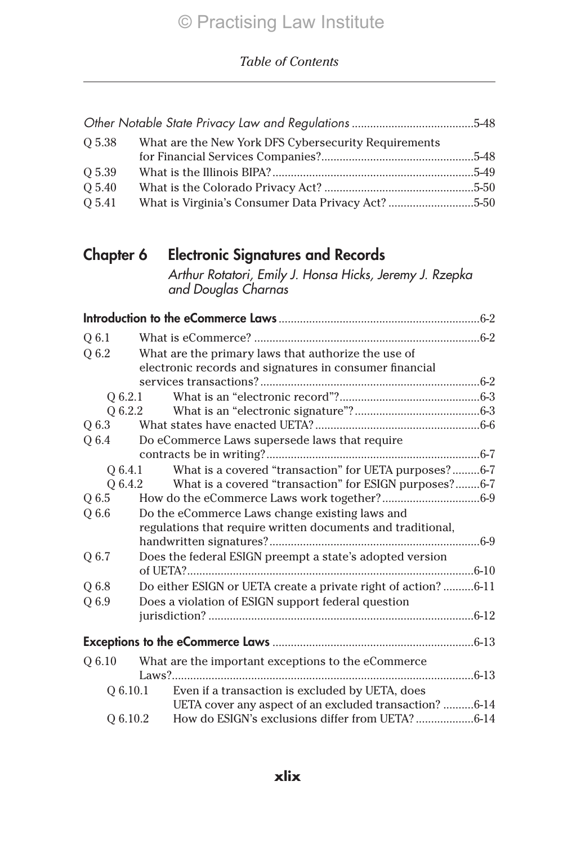| O 5.38 | What are the New York DFS Cybersecurity Requirements |  |  |
|--------|------------------------------------------------------|--|--|
|        |                                                      |  |  |
| 0 5.39 |                                                      |  |  |
| O 5.40 |                                                      |  |  |
| O 5.41 | What is Virginia's Consumer Data Privacy Act? 5-50   |  |  |
|        |                                                      |  |  |

| Chapter 6 | <b>Electronic Signatures and Records</b>                |
|-----------|---------------------------------------------------------|
|           | Arthur Rotatori, Emily J. Honsa Hicks, Jeremy J. Rzepka |

| and Douglas Charnas |  |  |
|---------------------|--|--|
|                     |  |  |

| O 6.1   |                                                               |
|---------|---------------------------------------------------------------|
| Q 6.2   | What are the primary laws that authorize the use of           |
|         | electronic records and signatures in consumer financial       |
|         |                                                               |
| O 6.2.1 |                                                               |
|         | 0 6.2.2                                                       |
| O 6.3   |                                                               |
| Q 6.4   | Do eCommerce Laws supersede laws that require                 |
|         |                                                               |
| O 6.4.1 | What is a covered "transaction" for UETA purposes?6-7         |
| 0 6.4.2 | What is a covered "transaction" for ESIGN purposes?6-7        |
| O 6.5   |                                                               |
| Q6.6    | Do the eCommerce Laws change existing laws and                |
|         | regulations that require written documents and traditional,   |
|         |                                                               |
| Q 6.7   | Does the federal ESIGN preempt a state's adopted version      |
|         |                                                               |
| O 6.8   | Do either ESIGN or UETA create a private right of action?6-11 |
| Q 6.9   | Does a violation of ESIGN support federal question            |
|         |                                                               |
|         |                                                               |
| Q 6.10  | What are the important exceptions to the eCommerce            |
|         |                                                               |
| 06.10.1 | Even if a transaction is excluded by UETA, does               |
|         | UETA cover any aspect of an excluded transaction? 6-14        |
|         | Q 6.10.2                                                      |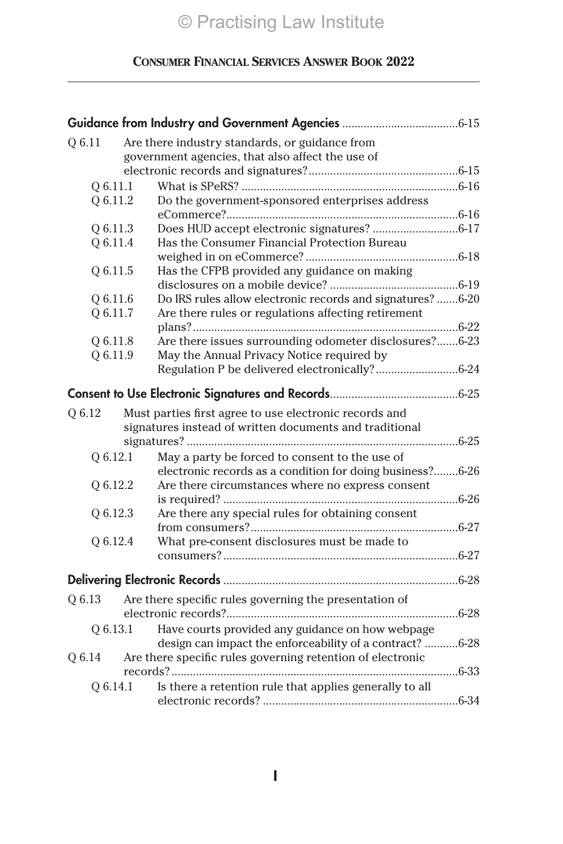| Q 6.11               | Are there industry standards, or guidance from             |  |
|----------------------|------------------------------------------------------------|--|
|                      | government agencies, that also affect the use of           |  |
|                      |                                                            |  |
| 0 6.11.1             |                                                            |  |
| Q 6.11.2             | Do the government-sponsored enterprises address            |  |
|                      |                                                            |  |
| Q 6.11.3             |                                                            |  |
| Q 6.11.4             | Has the Consumer Financial Protection Bureau               |  |
|                      |                                                            |  |
| Q 6.11.5             | Has the CFPB provided any guidance on making               |  |
|                      | Do IRS rules allow electronic records and signatures?6-20  |  |
| Q 6.11.6<br>Q 6.11.7 |                                                            |  |
|                      | Are there rules or regulations affecting retirement        |  |
| Q 6.11.8             | Are there issues surrounding odometer disclosures?6-23     |  |
| Q 6.11.9             | May the Annual Privacy Notice required by                  |  |
|                      | Regulation P be delivered electronically?6-24              |  |
|                      |                                                            |  |
|                      |                                                            |  |
| Q 6.12               | Must parties first agree to use electronic records and     |  |
|                      | signatures instead of written documents and traditional    |  |
|                      |                                                            |  |
| 0 6.12.1             | May a party be forced to consent to the use of             |  |
|                      | electronic records as a condition for doing business?6-26  |  |
| Q 6.12.2             | Are there circumstances where no express consent           |  |
|                      |                                                            |  |
| Q 6.12.3             | Are there any special rules for obtaining consent          |  |
|                      |                                                            |  |
| Q 6.12.4             | What pre-consent disclosures must be made to               |  |
|                      |                                                            |  |
|                      |                                                            |  |
| 06.13                | Are there specific rules governing the presentation of     |  |
|                      |                                                            |  |
| 0 6.13.1             | Have courts provided any guidance on how webpage           |  |
|                      | design can impact the enforceability of a contract? 6-28   |  |
| Q 6.14               | Are there specific rules governing retention of electronic |  |
|                      |                                                            |  |
| 0 6.14.1             | Is there a retention rule that applies generally to all    |  |
|                      |                                                            |  |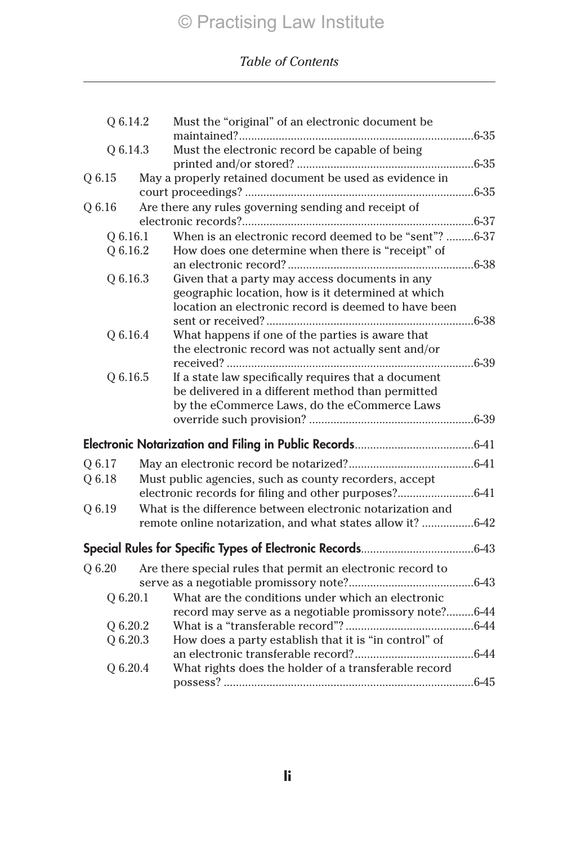| Q 6.14.2            |  | Must the "original" of an electronic document be                                                                         |  |
|---------------------|--|--------------------------------------------------------------------------------------------------------------------------|--|
|                     |  |                                                                                                                          |  |
| Q 6.14.3            |  | Must the electronic record be capable of being                                                                           |  |
|                     |  |                                                                                                                          |  |
| Q 6.15              |  | May a properly retained document be used as evidence in                                                                  |  |
|                     |  |                                                                                                                          |  |
| Q 6.16              |  | Are there any rules governing sending and receipt of                                                                     |  |
|                     |  |                                                                                                                          |  |
| Q 6.16.1            |  | When is an electronic record deemed to be "sent"? 6-37                                                                   |  |
| Q 6.16.2            |  | How does one determine when there is "receipt" of                                                                        |  |
|                     |  |                                                                                                                          |  |
| Q 6.16.3            |  | Given that a party may access documents in any                                                                           |  |
|                     |  | geographic location, how is it determined at which                                                                       |  |
|                     |  | location an electronic record is deemed to have been                                                                     |  |
| Q 6.16.4            |  | What happens if one of the parties is aware that                                                                         |  |
|                     |  | the electronic record was not actually sent and/or                                                                       |  |
|                     |  |                                                                                                                          |  |
| Q 6.16.5            |  | If a state law specifically requires that a document                                                                     |  |
|                     |  | be delivered in a different method than permitted                                                                        |  |
|                     |  | by the eCommerce Laws, do the eCommerce Laws                                                                             |  |
|                     |  |                                                                                                                          |  |
|                     |  |                                                                                                                          |  |
| O 6.17              |  |                                                                                                                          |  |
|                     |  |                                                                                                                          |  |
| Q 6.18              |  | Must public agencies, such as county recorders, accept<br>electronic records for filing and other purposes?6-41          |  |
|                     |  |                                                                                                                          |  |
| O 6.19              |  | What is the difference between electronic notarization and<br>remote online notarization, and what states allow it? 6-42 |  |
|                     |  |                                                                                                                          |  |
|                     |  |                                                                                                                          |  |
| Q 6.20              |  | Are there special rules that permit an electronic record to                                                              |  |
|                     |  |                                                                                                                          |  |
| O <sub>6.20.1</sub> |  | What are the conditions under which an electronic                                                                        |  |
|                     |  | record may serve as a negotiable promissory note?6-44                                                                    |  |
| Q 6.20.2            |  |                                                                                                                          |  |
| Q 6.20.3            |  | How does a party establish that it is "in control" of                                                                    |  |
|                     |  |                                                                                                                          |  |
| 06.20.4             |  | What rights does the holder of a transferable record                                                                     |  |
|                     |  |                                                                                                                          |  |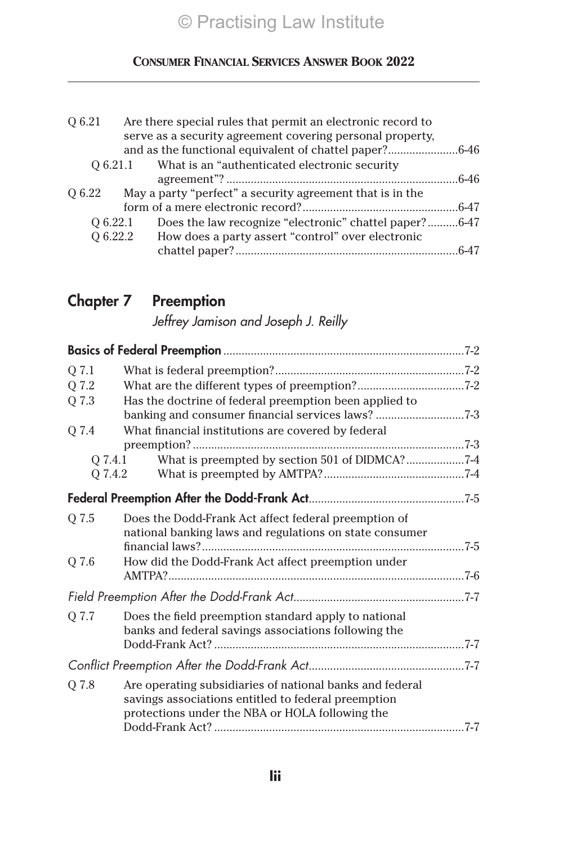| O 6.21   |          | Are there special rules that permit an electronic record to |  |
|----------|----------|-------------------------------------------------------------|--|
|          |          | serve as a security agreement covering personal property.   |  |
|          |          | and as the functional equivalent of chattel paper?6-46      |  |
|          | 0 6.21.1 | What is an "authenticated electronic security               |  |
|          |          |                                                             |  |
| O 6.22   |          | May a party "perfect" a security agreement that is in the   |  |
|          |          |                                                             |  |
| 0 6.22.1 |          | Does the law recognize "electronic" chattel paper?6-47      |  |
| Q 6.22.2 |          | How does a party assert "control" over electronic           |  |
|          |          |                                                             |  |

# Chapter 7 Preemption

*Jeffrey Jamison and Joseph J. Reilly*

| Q 7.1 |                                                           |  |
|-------|-----------------------------------------------------------|--|
| Q 7.2 |                                                           |  |
| Q 7.3 | Has the doctrine of federal preemption been applied to    |  |
|       | banking and consumer financial services laws? 7-3         |  |
| Q 7.4 | What financial institutions are covered by federal        |  |
|       |                                                           |  |
|       | What is preempted by section 501 of DIDMCA?7-4<br>O 7.4.1 |  |
|       |                                                           |  |
|       |                                                           |  |
| Q 7.5 | Does the Dodd-Frank Act affect federal preemption of      |  |
|       | national banking laws and regulations on state consumer   |  |
|       |                                                           |  |
| Q 7.6 | How did the Dodd-Frank Act affect preemption under        |  |
|       |                                                           |  |
|       |                                                           |  |
| Q 7.7 | Does the field preemption standard apply to national      |  |
|       | banks and federal savings associations following the      |  |
|       |                                                           |  |
|       |                                                           |  |
| Q 7.8 | Are operating subsidiaries of national banks and federal  |  |
|       | savings associations entitled to federal preemption       |  |
|       | protections under the NBA or HOLA following the           |  |
|       |                                                           |  |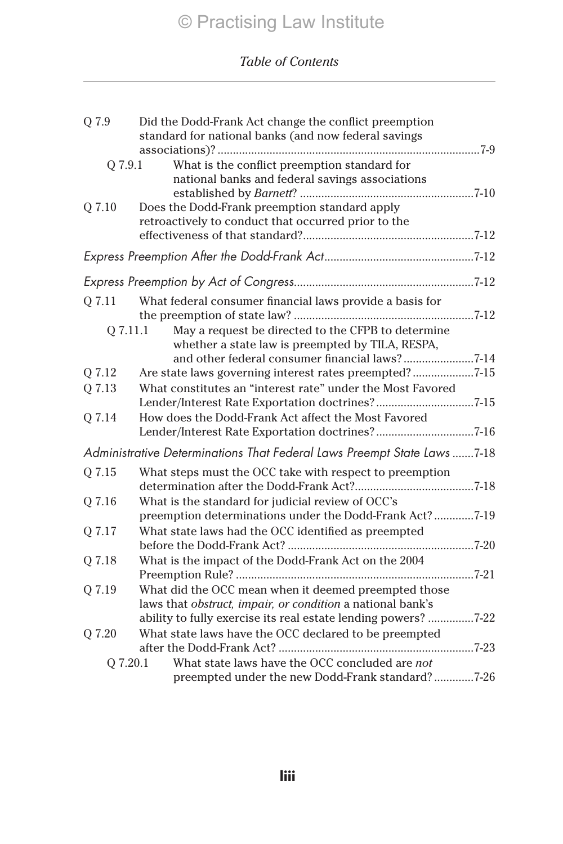| Q 7.9   | Did the Dodd-Frank Act change the conflict preemption<br>standard for national banks (and now federal savings      |  |
|---------|--------------------------------------------------------------------------------------------------------------------|--|
| 0 7.9.1 | What is the conflict preemption standard for                                                                       |  |
|         | national banks and federal savings associations                                                                    |  |
| Q 7.10  | Does the Dodd-Frank preemption standard apply                                                                      |  |
|         | retroactively to conduct that occurred prior to the                                                                |  |
|         |                                                                                                                    |  |
|         |                                                                                                                    |  |
|         |                                                                                                                    |  |
| Q 7.11  | What federal consumer financial laws provide a basis for                                                           |  |
|         |                                                                                                                    |  |
|         | May a request be directed to the CFPB to determine<br>0 7.11.1<br>whether a state law is preempted by TILA, RESPA, |  |
|         | and other federal consumer financial laws?7-14                                                                     |  |
| Q 7.12  | Are state laws governing interest rates preempted?7-15                                                             |  |
| Q 7.13  | What constitutes an "interest rate" under the Most Favored                                                         |  |
|         | Lender/Interest Rate Exportation doctrines?7-15                                                                    |  |
| Q 7.14  | How does the Dodd-Frank Act affect the Most Favored                                                                |  |
|         | Administrative Determinations That Federal Laws Preempt State Laws 7-18                                            |  |
| O 7.15  | What steps must the OCC take with respect to preemption                                                            |  |
|         |                                                                                                                    |  |
| O 7.16  | What is the standard for judicial review of OCC's                                                                  |  |
|         | preemption determinations under the Dodd-Frank Act? 7-19                                                           |  |
| Q 7.17  | What state laws had the OCC identified as preempted                                                                |  |
|         |                                                                                                                    |  |
| Q 7.18  | What is the impact of the Dodd-Frank Act on the 2004                                                               |  |
| Q 7.19  | What did the OCC mean when it deemed preempted those                                                               |  |
|         | laws that obstruct, impair, or condition a national bank's                                                         |  |
|         | ability to fully exercise its real estate lending powers? 7-22                                                     |  |
| Q 7.20  | What state laws have the OCC declared to be preempted                                                              |  |
|         |                                                                                                                    |  |
|         | What state laws have the OCC concluded are not<br>Q 7.20.1                                                         |  |
|         | preempted under the new Dodd-Frank standard?7-26                                                                   |  |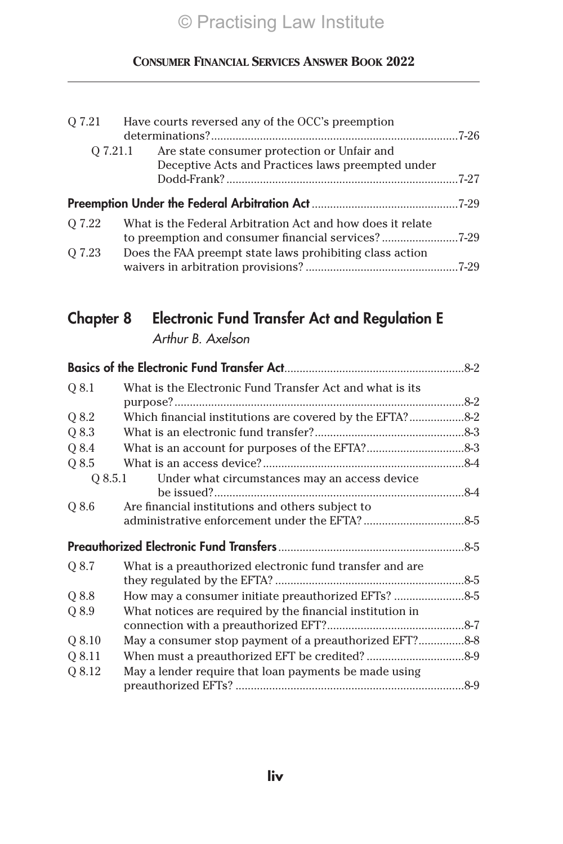| Q 7.21 | Have courts reversed any of the OCC's preemption                                                                 |  |
|--------|------------------------------------------------------------------------------------------------------------------|--|
|        |                                                                                                                  |  |
|        | Are state consumer protection or Unfair and<br>0 7.21.1                                                          |  |
|        | Deceptive Acts and Practices laws preempted under                                                                |  |
|        |                                                                                                                  |  |
|        |                                                                                                                  |  |
| O 7.22 | What is the Federal Arbitration Act and how does it relate<br>to preemption and consumer financial services?7-29 |  |
| O 7.23 | Does the FAA preempt state laws prohibiting class action                                                         |  |

## Chapter 8 Electronic Fund Transfer Act and Regulation E *Arthur B. Axelson*

| O 8.1   | What is the Electronic Fund Transfer Act and what is its  |  |
|---------|-----------------------------------------------------------|--|
|         |                                                           |  |
| Q 8.2   | Which financial institutions are covered by the EFTA?8-2  |  |
| 0 8.3   |                                                           |  |
| Q 8.4   |                                                           |  |
| O 8.5   |                                                           |  |
| O 8.5.1 | Under what circumstances may an access device             |  |
| O 8.6   | Are financial institutions and others subject to          |  |
|         |                                                           |  |
| Q 8.7   | What is a preauthorized electronic fund transfer and are  |  |
| 08.8    |                                                           |  |
| Q 8.9   | What notices are required by the financial institution in |  |
| Q 8.10  | May a consumer stop payment of a preauthorized EFT?8-8    |  |
| Q 8.11  |                                                           |  |
| Q 8.12  | May a lender require that loan payments be made using     |  |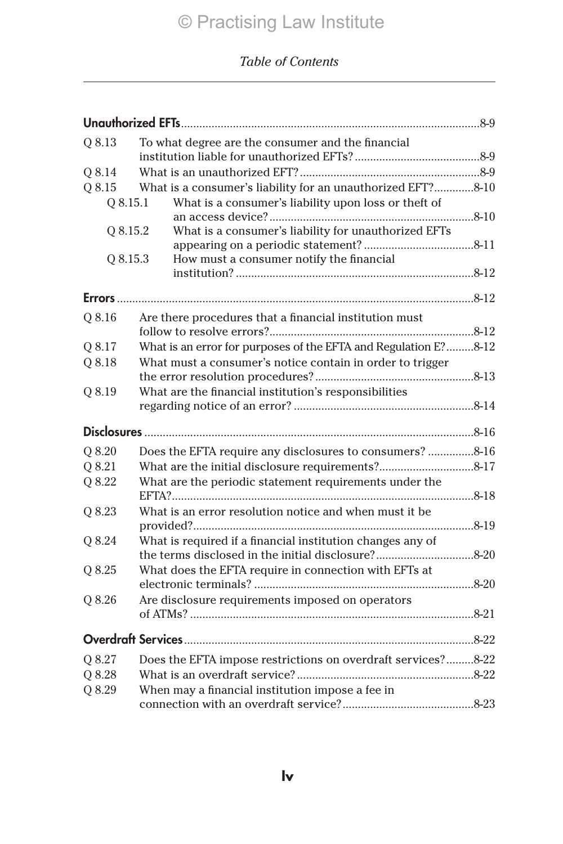| To what degree are the consumer and the financial<br>Q 8.13 |                                                                 |  |  |
|-------------------------------------------------------------|-----------------------------------------------------------------|--|--|
|                                                             |                                                                 |  |  |
| Q 8.14                                                      |                                                                 |  |  |
| Q 8.15                                                      | What is a consumer's liability for an unauthorized EFT?8-10     |  |  |
| O 8.15.1                                                    | What is a consumer's liability upon loss or theft of            |  |  |
|                                                             |                                                                 |  |  |
| Q 8.15.2                                                    | What is a consumer's liability for unauthorized EFTs            |  |  |
|                                                             | How must a consumer notify the financial                        |  |  |
| Q 8.15.3                                                    |                                                                 |  |  |
|                                                             |                                                                 |  |  |
| <b>Errors</b>                                               |                                                                 |  |  |
| Q 8.16                                                      | Are there procedures that a financial institution must          |  |  |
|                                                             |                                                                 |  |  |
| O 8.17                                                      | What is an error for purposes of the EFTA and Regulation E?8-12 |  |  |
| Q 8.18                                                      | What must a consumer's notice contain in order to trigger       |  |  |
|                                                             |                                                                 |  |  |
| Q 8.19                                                      | What are the financial institution's responsibilities           |  |  |
|                                                             |                                                                 |  |  |
|                                                             |                                                                 |  |  |
| Q 8.20                                                      | Does the EFTA require any disclosures to consumers?8-16         |  |  |
| Q 8.21                                                      |                                                                 |  |  |
| Q 8.22                                                      | What are the periodic statement requirements under the          |  |  |
|                                                             |                                                                 |  |  |
| Q 8.23                                                      | What is an error resolution notice and when must it be          |  |  |
|                                                             |                                                                 |  |  |
| O 8.24                                                      | What is required if a financial institution changes any of      |  |  |
|                                                             |                                                                 |  |  |
| Q 8.25                                                      | What does the EFTA require in connection with EFTs at           |  |  |
|                                                             |                                                                 |  |  |
| Q 8.26                                                      | Are disclosure requirements imposed on operators                |  |  |
|                                                             |                                                                 |  |  |
|                                                             |                                                                 |  |  |
| O 8.27                                                      | Does the EFTA impose restrictions on overdraft services?8-22    |  |  |
| Q 8.28                                                      |                                                                 |  |  |
| Q 8.29                                                      | When may a financial institution impose a fee in                |  |  |
|                                                             |                                                                 |  |  |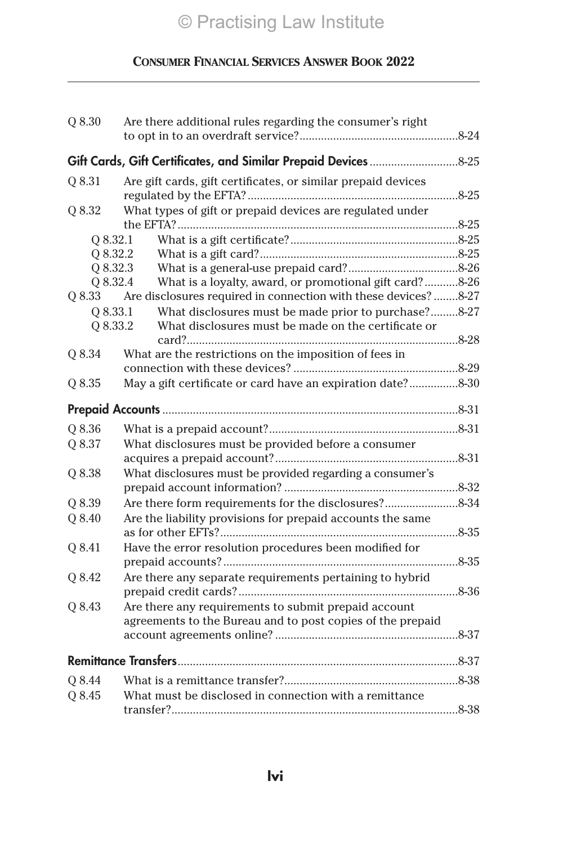| Q 8.30   | Are there additional rules regarding the consumer's right                                                          |  |  |  |  |
|----------|--------------------------------------------------------------------------------------------------------------------|--|--|--|--|
|          |                                                                                                                    |  |  |  |  |
| Q 8.31   | Are gift cards, gift certificates, or similar prepaid devices                                                      |  |  |  |  |
| Q 8.32   | What types of gift or prepaid devices are regulated under                                                          |  |  |  |  |
| 0 8.32.1 |                                                                                                                    |  |  |  |  |
| Q 8.32.2 |                                                                                                                    |  |  |  |  |
| Q 8.32.3 |                                                                                                                    |  |  |  |  |
| Q 8.32.4 | What is a loyalty, award, or promotional gift card?8-26                                                            |  |  |  |  |
| Q 8.33   | Are disclosures required in connection with these devices?8-27                                                     |  |  |  |  |
| Q 8.33.1 | What disclosures must be made prior to purchase?8-27                                                               |  |  |  |  |
| Q 8.33.2 | What disclosures must be made on the certificate or                                                                |  |  |  |  |
|          |                                                                                                                    |  |  |  |  |
| Q 8.34   | What are the restrictions on the imposition of fees in                                                             |  |  |  |  |
|          |                                                                                                                    |  |  |  |  |
| Q 8.35   | May a gift certificate or card have an expiration date?8-30                                                        |  |  |  |  |
|          |                                                                                                                    |  |  |  |  |
| Q 8.36   |                                                                                                                    |  |  |  |  |
| Q 8.37   | What disclosures must be provided before a consumer                                                                |  |  |  |  |
|          |                                                                                                                    |  |  |  |  |
| Q 8.38   | What disclosures must be provided regarding a consumer's                                                           |  |  |  |  |
| Q 8.39   | Are there form requirements for the disclosures?8-34                                                               |  |  |  |  |
|          |                                                                                                                    |  |  |  |  |
| Q 8.40   | Are the liability provisions for prepaid accounts the same                                                         |  |  |  |  |
| Q 8.41   | Have the error resolution procedures been modified for                                                             |  |  |  |  |
| Q 8.42   | Are there any separate requirements pertaining to hybrid                                                           |  |  |  |  |
|          |                                                                                                                    |  |  |  |  |
| Q 8.43   | Are there any requirements to submit prepaid account<br>agreements to the Bureau and to post copies of the prepaid |  |  |  |  |
|          |                                                                                                                    |  |  |  |  |
|          |                                                                                                                    |  |  |  |  |
| O 8.44   |                                                                                                                    |  |  |  |  |
| Q 8.45   | What must be disclosed in connection with a remittance                                                             |  |  |  |  |
|          |                                                                                                                    |  |  |  |  |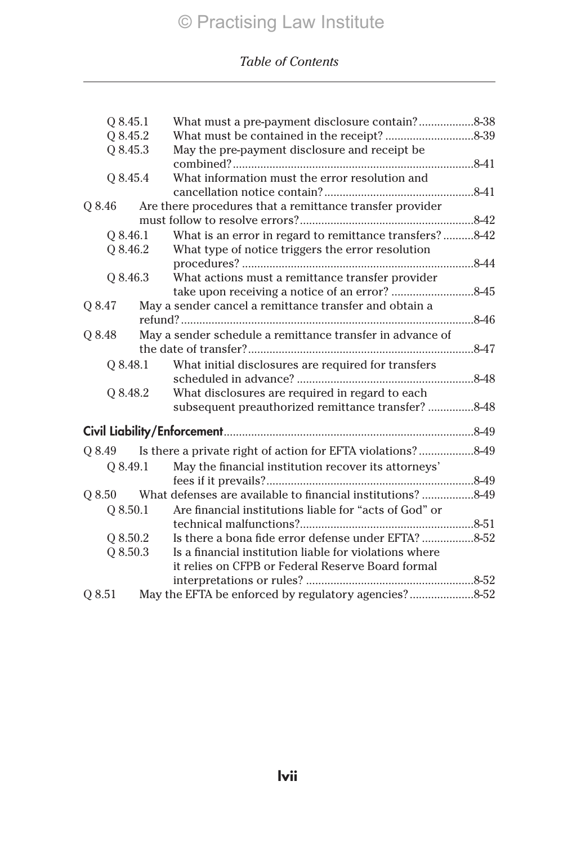| O 8.45.1 | What must a pre-payment disclosure contain?8-38             |           |
|----------|-------------------------------------------------------------|-----------|
| Q 8.45.2 |                                                             |           |
| Q 8.45.3 | May the pre-payment disclosure and receipt be.              |           |
|          |                                                             |           |
| Q 8.45.4 | What information must the error resolution and              |           |
|          |                                                             |           |
| Q 8.46   | Are there procedures that a remittance transfer provider    |           |
|          |                                                             |           |
| Q 8.46.1 | What is an error in regard to remittance transfers?8-42     |           |
| Q 8.46.2 | What type of notice triggers the error resolution           |           |
|          |                                                             |           |
| O 8.46.3 | What actions must a remittance transfer provider            |           |
|          |                                                             |           |
| Q 8.47   | May a sender cancel a remittance transfer and obtain a      |           |
|          |                                                             | $.8 - 46$ |
| Q 8.48   | May a sender schedule a remittance transfer in advance of   |           |
|          |                                                             |           |
| 0 8.48.1 | What initial disclosures are required for transfers         |           |
|          |                                                             |           |
| 0 8.48.2 | What disclosures are required in regard to each             |           |
|          | subsequent preauthorized remittance transfer? 8-48          |           |
|          |                                                             |           |
| O 8.49   | Is there a private right of action for EFTA violations?8-49 |           |
| 0 8.49.1 | May the financial institution recover its attorneys'        |           |
|          |                                                             |           |
| Q8.50    |                                                             |           |
| Q8.50.1  | Are financial institutions liable for "acts of God" or      |           |
|          |                                                             |           |
| Q 8.50.2 |                                                             |           |
| Q8.50.3  | Is a financial institution liable for violations where      |           |
|          | it relies on CFPB or Federal Reserve Board formal           |           |
|          |                                                             |           |
| O 8.51   |                                                             |           |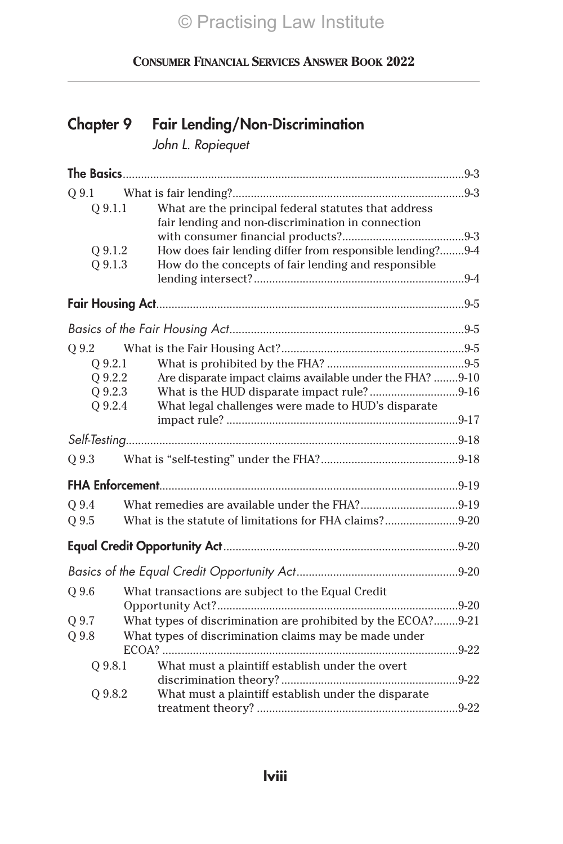# Chapter 9 Fair Lending/Non-Discrimination *John L. Ropiequet*

| O 9.1   |                                                                                                           |  |
|---------|-----------------------------------------------------------------------------------------------------------|--|
| Q 9.1.1 | What are the principal federal statutes that address<br>fair lending and non-discrimination in connection |  |
|         |                                                                                                           |  |
| Q 9.1.2 | How does fair lending differ from responsible lending?9-4                                                 |  |
| Q 9.1.3 | How do the concepts of fair lending and responsible                                                       |  |
|         |                                                                                                           |  |
|         |                                                                                                           |  |
| Q 9.2   |                                                                                                           |  |
| Q 9.2.1 |                                                                                                           |  |
| Q 9.2.2 | Are disparate impact claims available under the FHA? 9-10                                                 |  |
| Q 9.2.3 | What is the HUD disparate impact rule?9-16                                                                |  |
| Q 9.2.4 | What legal challenges were made to HUD's disparate                                                        |  |
|         |                                                                                                           |  |
|         |                                                                                                           |  |
| Q 9.3   |                                                                                                           |  |
|         |                                                                                                           |  |
| Q 9.4   |                                                                                                           |  |
| Q 9.5   | What is the statute of limitations for FHA claims?9-20                                                    |  |
|         |                                                                                                           |  |
|         |                                                                                                           |  |
| Q 9.6   | What transactions are subject to the Equal Credit                                                         |  |
| Q 9.7   | What types of discrimination are prohibited by the ECOA?9-21                                              |  |
| Q 9.8   | What types of discrimination claims may be made under                                                     |  |
| Q 9.8.1 |                                                                                                           |  |
|         | What must a plaintiff establish under the overt                                                           |  |
| Q 9.8.2 | What must a plaintiff establish under the disparate                                                       |  |
|         |                                                                                                           |  |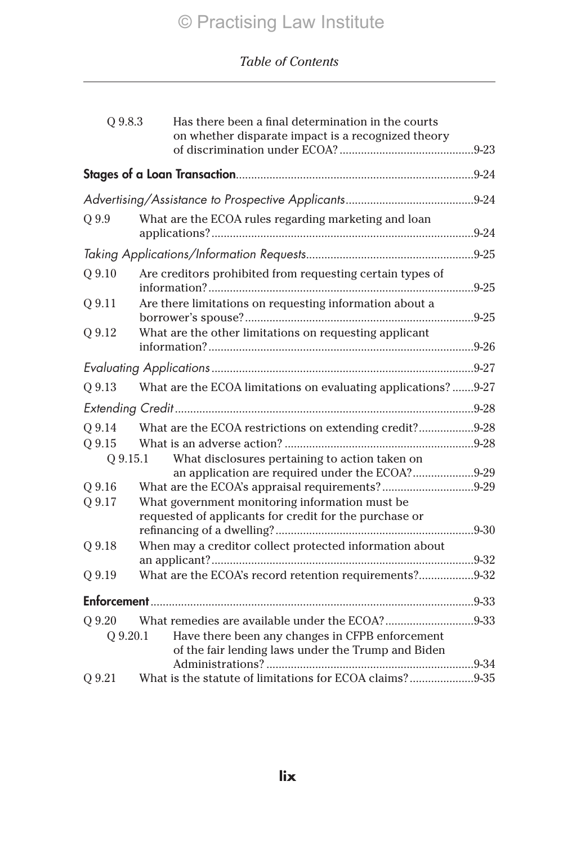| Q 9.8.3            | Has there been a final determination in the courts<br>on whether disparate impact is a recognized theory |  |
|--------------------|----------------------------------------------------------------------------------------------------------|--|
|                    |                                                                                                          |  |
|                    |                                                                                                          |  |
| Q 9.9              | What are the ECOA rules regarding marketing and loan                                                     |  |
|                    |                                                                                                          |  |
| Q 9.10             | Are creditors prohibited from requesting certain types of                                                |  |
| Q 9.11             | Are there limitations on requesting information about a                                                  |  |
| Q 9.12             | What are the other limitations on requesting applicant                                                   |  |
|                    |                                                                                                          |  |
| 0 9.13             | What are the ECOA limitations on evaluating applications?9-27                                            |  |
|                    |                                                                                                          |  |
| O 9.14<br>O 9.15   | What are the ECOA restrictions on extending credit?9-28                                                  |  |
| Q 9.15.1           | What disclosures pertaining to action taken on<br>an application are required under the ECOA?9-29        |  |
| Q 9.16<br>Q 9.17   | What government monitoring information must be<br>requested of applicants for credit for the purchase or |  |
| Q 9.18             | When may a creditor collect protected information about                                                  |  |
| Q 9.19             | What are the ECOA's record retention requirements?9-32                                                   |  |
|                    |                                                                                                          |  |
| Q 9.20<br>Q 9.20.1 | Have there been any changes in CFPB enforcement<br>of the fair lending laws under the Trump and Biden    |  |
| Q 9.21             | What is the statute of limitations for ECOA claims?9-35                                                  |  |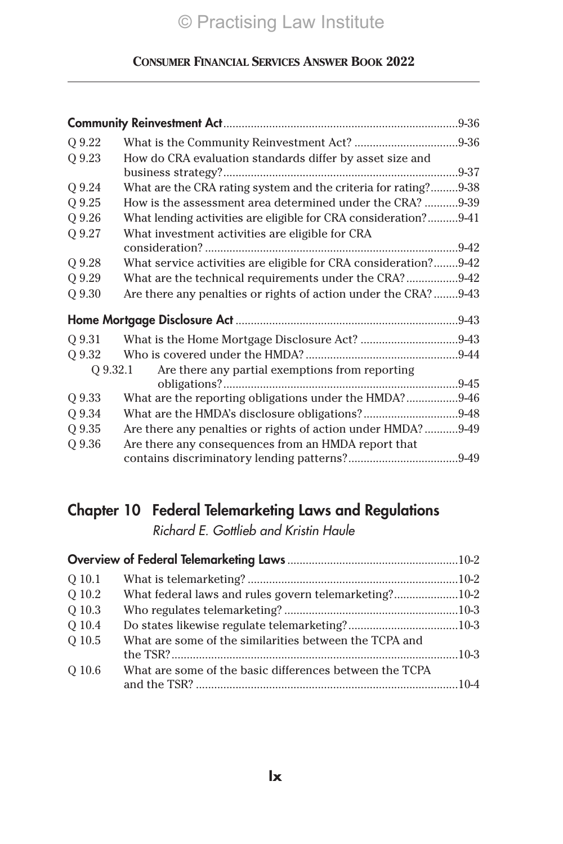|          |                                                                 | $.9 - 36$ |
|----------|-----------------------------------------------------------------|-----------|
| Q 9.22   |                                                                 |           |
| Q 9.23   | How do CRA evaluation standards differ by asset size and        |           |
|          |                                                                 |           |
| Q 9.24   | What are the CRA rating system and the criteria for rating?9-38 |           |
| O 9.25   | How is the assessment area determined under the CRA? 9-39       |           |
| Q 9.26   | What lending activities are eligible for CRA consideration?9-41 |           |
| Q 9.27   | What investment activities are eligible for CRA                 |           |
|          |                                                                 |           |
| Q 9.28   | What service activities are eligible for CRA consideration?9-42 |           |
| Q 9.29   | What are the technical requirements under the CRA?9-42          |           |
| Q 9.30   | Are there any penalties or rights of action under the CRA?9-43  |           |
|          |                                                                 |           |
| O 9.31   |                                                                 |           |
| 0 9.32   |                                                                 |           |
| O 9.32.1 | Are there any partial exemptions from reporting                 |           |
|          |                                                                 |           |
| Q 9.33   | What are the reporting obligations under the HMDA?9-46          |           |
| Q 9.34   |                                                                 |           |
| 0 9.35   | Are there any penalties or rights of action under HMDA?9-49     |           |
| Q 9.36   | Are there any consequences from an HMDA report that             |           |
|          |                                                                 |           |

# Chapter 10 Federal Telemarketing Laws and Regulations

*Richard E. Gottlieb and Kristin Haule*

| O 10.1   |                                                         |  |
|----------|---------------------------------------------------------|--|
| O 10.2   |                                                         |  |
| Q 10.3   |                                                         |  |
| O 10.4   |                                                         |  |
| Q 10.5   | What are some of the similarities between the TCPA and  |  |
| $O$ 10.6 | What are some of the basic differences between the TCPA |  |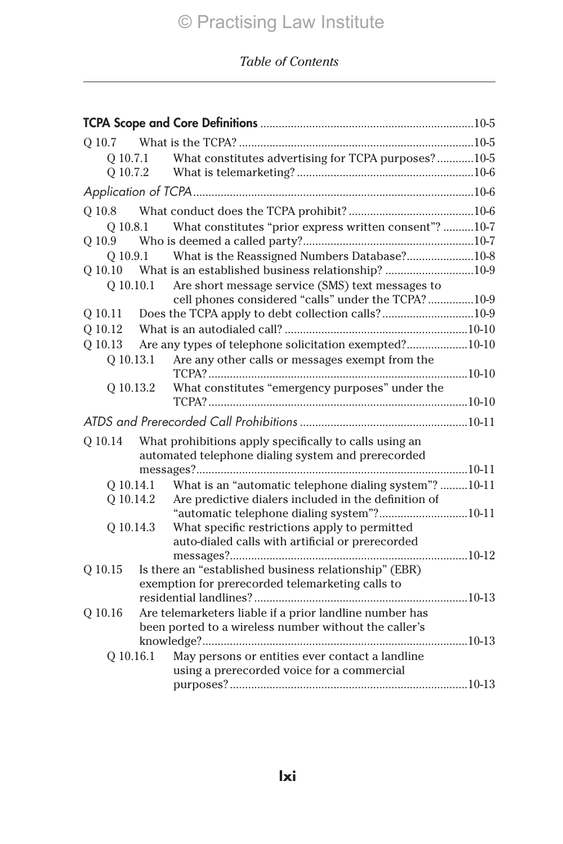| O 10.7                                                              |  |
|---------------------------------------------------------------------|--|
| What constitutes advertising for TCPA purposes?10-5<br>O 10.7.1     |  |
|                                                                     |  |
|                                                                     |  |
|                                                                     |  |
| Q 10.8.1 What constitutes "prior express written consent"? 10-7     |  |
|                                                                     |  |
| Q 10.9.1 What is the Reassigned Numbers Database?10-8               |  |
| Q 10.10 What is an established business relationship? 10-9          |  |
| Are short message service (SMS) text messages to<br>Q 10.10.1       |  |
| cell phones considered "calls" under the TCPA? 10-9                 |  |
| Does the TCPA apply to debt collection calls?10-9<br>Q 10.11        |  |
| Q 10.12                                                             |  |
| Are any types of telephone solicitation exempted?10-10<br>Q 10.13   |  |
| Are any other calls or messages exempt from the<br>Q 10.13.1        |  |
| What constitutes "emergency purposes" under the<br>O 10.13.2        |  |
|                                                                     |  |
|                                                                     |  |
| Q 10.14 What prohibitions apply specifically to calls using an      |  |
| automated telephone dialing system and prerecorded                  |  |
|                                                                     |  |
| What is an "automatic telephone dialing system"? 10-11<br>Q 10.14.1 |  |
| Q 10.14.2<br>Are predictive dialers included in the definition of   |  |
| "automatic telephone dialing system"?10-11                          |  |
| Q 10.14.3<br>What specific restrictions apply to permitted          |  |
| auto-dialed calls with artificial or prerecorded                    |  |
|                                                                     |  |
| Is there an "established business relationship" (EBR)<br>Q 10.15    |  |
| exemption for prerecorded telemarketing calls to                    |  |
| Q 10.16<br>Are telemarketers liable if a prior landline number has  |  |
| been ported to a wireless number without the caller's               |  |
|                                                                     |  |
| $O$ 10.16.1<br>May persons or entities ever contact a landline      |  |
| using a prerecorded voice for a commercial                          |  |
|                                                                     |  |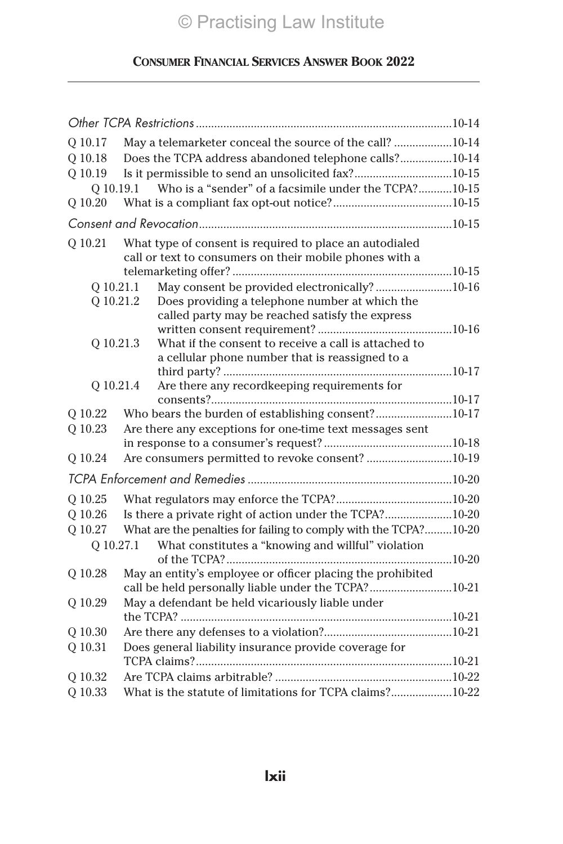| O 10.17   | May a telemarketer conceal the source of the call? 10-14                                                |  |
|-----------|---------------------------------------------------------------------------------------------------------|--|
| Q 10.18   | Does the TCPA address abandoned telephone calls?10-14                                                   |  |
| Q 10.19   |                                                                                                         |  |
| Q 10.19.1 | Who is a "sender" of a facsimile under the TCPA?10-15                                                   |  |
| Q 10.20   |                                                                                                         |  |
|           |                                                                                                         |  |
| Q 10.21   | What type of consent is required to place an autodialed                                                 |  |
|           | call or text to consumers on their mobile phones with a                                                 |  |
|           |                                                                                                         |  |
| Q 10.21.1 | May consent be provided electronically?10-16                                                            |  |
| Q 10.21.2 | Does providing a telephone number at which the                                                          |  |
|           | called party may be reached satisfy the express                                                         |  |
|           |                                                                                                         |  |
| Q 10.21.3 | What if the consent to receive a call is attached to<br>a cellular phone number that is reassigned to a |  |
|           |                                                                                                         |  |
| Q 10.21.4 | Are there any recordkeeping requirements for                                                            |  |
|           |                                                                                                         |  |
| Q 10.22   | Who bears the burden of establishing consent?10-17                                                      |  |
| Q 10.23   | Are there any exceptions for one-time text messages sent                                                |  |
|           |                                                                                                         |  |
| Q 10.24   | Are consumers permitted to revoke consent? 10-19                                                        |  |
|           |                                                                                                         |  |
| Q 10.25   |                                                                                                         |  |
| Q 10.26   | Is there a private right of action under the TCPA?10-20                                                 |  |
| Q 10.27   | What are the penalties for failing to comply with the TCPA?10-20                                        |  |
| O 10.27.1 | What constitutes a "knowing and willful" violation                                                      |  |
|           |                                                                                                         |  |
| Q 10.28   | May an entity's employee or officer placing the prohibited                                              |  |
|           | call be held personally liable under the TCPA?10-21                                                     |  |
| Q 10.29   | May a defendant be held vicariously liable under                                                        |  |
|           |                                                                                                         |  |
| Q 10.30   |                                                                                                         |  |
| Q 10.31   | Does general liability insurance provide coverage for                                                   |  |
|           |                                                                                                         |  |
| Q 10.32   |                                                                                                         |  |
| Q 10.33   | What is the statute of limitations for TCPA claims?10-22                                                |  |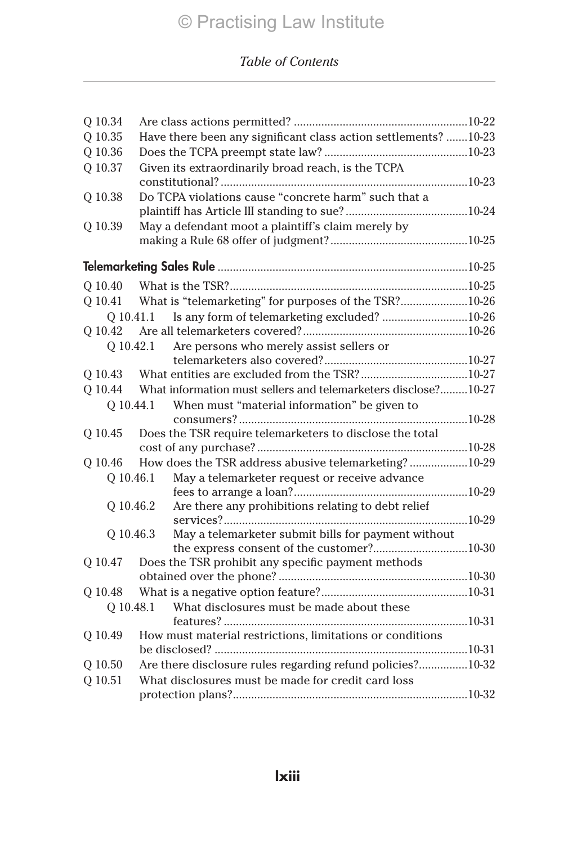| Q 10.34           |                                                                  |  |
|-------------------|------------------------------------------------------------------|--|
| Q 10.35           | Have there been any significant class action settlements? 10-23  |  |
| Q 10.36           |                                                                  |  |
| Q 10.37           | Given its extraordinarily broad reach, is the TCPA               |  |
|                   |                                                                  |  |
| $\mathbf Q$ 10.38 | Do TCPA violations cause "concrete harm" such that a             |  |
|                   |                                                                  |  |
| Q 10.39           | May a defendant moot a plaintiff's claim merely by               |  |
|                   |                                                                  |  |
|                   |                                                                  |  |
| Q 10.40           |                                                                  |  |
| Q 10.41           | What is "telemarketing" for purposes of the TSR?10-26            |  |
|                   | Is any form of telemarketing excluded? 10-26<br>O 10.41.1        |  |
| Q 10.42           |                                                                  |  |
|                   | Are persons who merely assist sellers or<br>O 10.42.1            |  |
|                   |                                                                  |  |
| Q 10.43           |                                                                  |  |
| Q 10.44           | What information must sellers and telemarketers disclose?10-27   |  |
|                   | When must "material information" be given to<br>Q 10.44.1        |  |
|                   |                                                                  |  |
| Q 10.45           | Does the TSR require telemarketers to disclose the total         |  |
|                   |                                                                  |  |
| Q 10.46           | How does the TSR address abusive telemarketing?10-29             |  |
|                   | May a telemarketer request or receive advance<br>O 10.46.1       |  |
|                   |                                                                  |  |
|                   | Are there any prohibitions relating to debt relief<br>Q 10.46.2  |  |
|                   |                                                                  |  |
|                   | May a telemarketer submit bills for payment without<br>Q 10.46.3 |  |
|                   |                                                                  |  |
| Q 10.47           | Does the TSR prohibit any specific payment methods               |  |
|                   |                                                                  |  |
| Q 10.48           | What disclosures must be made about these                        |  |
|                   | O 10.48.1                                                        |  |
| Q 10.49           | How must material restrictions, limitations or conditions        |  |
|                   |                                                                  |  |
| Q 10.50           | Are there disclosure rules regarding refund policies?10-32       |  |
| Q 10.51           | What disclosures must be made for credit card loss               |  |
|                   |                                                                  |  |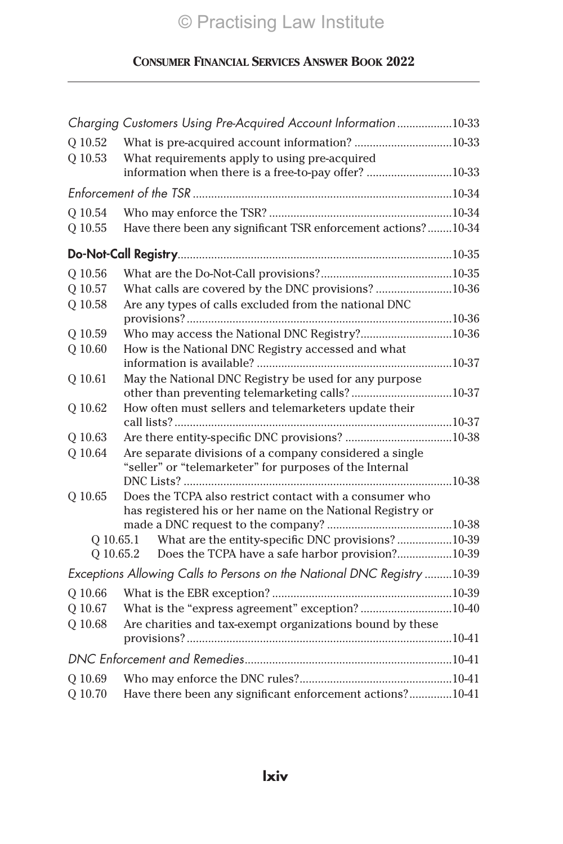|                    | Charging Customers Using Pre-Acquired Account Information10-33                                                        |  |
|--------------------|-----------------------------------------------------------------------------------------------------------------------|--|
| Q 10.52<br>Q 10.53 | What requirements apply to using pre-acquired                                                                         |  |
|                    | information when there is a free-to-pay offer? 10-33                                                                  |  |
|                    |                                                                                                                       |  |
| Q 10.54            |                                                                                                                       |  |
| Q 10.55            | Have there been any significant TSR enforcement actions?10-34                                                         |  |
|                    |                                                                                                                       |  |
| O 10.56            |                                                                                                                       |  |
| Q 10.57            | What calls are covered by the DNC provisions?10-36                                                                    |  |
| Q 10.58            | Are any types of calls excluded from the national DNC                                                                 |  |
| Q 10.59            | Who may access the National DNC Registry?10-36                                                                        |  |
| Q 10.60            | How is the National DNC Registry accessed and what                                                                    |  |
|                    |                                                                                                                       |  |
| Q 10.61            | May the National DNC Registry be used for any purpose                                                                 |  |
|                    |                                                                                                                       |  |
| Q 10.62            | How often must sellers and telemarketers update their                                                                 |  |
| Q 10.63            |                                                                                                                       |  |
| Q 10.64            | Are separate divisions of a company considered a single                                                               |  |
|                    | "seller" or "telemarketer" for purposes of the Internal                                                               |  |
|                    |                                                                                                                       |  |
| Q 10.65            | Does the TCPA also restrict contact with a consumer who<br>has registered his or her name on the National Registry or |  |
|                    |                                                                                                                       |  |
| O 10.65.1          | What are the entity-specific DNC provisions?10-39                                                                     |  |
|                    | Q 10.65.2 Does the TCPA have a safe harbor provision?10-39                                                            |  |
|                    | Exceptions Allowing Calls to Persons on the National DNC Registry 10-39                                               |  |
| Q 10.66            |                                                                                                                       |  |
| Q 10.67            | What is the "express agreement" exception? 10-40                                                                      |  |
| Q 10.68            | Are charities and tax-exempt organizations bound by these                                                             |  |
|                    |                                                                                                                       |  |
|                    |                                                                                                                       |  |
| Q 10.69            | Have there been any significant enforcement actions?10-41                                                             |  |
| Q 10.70            |                                                                                                                       |  |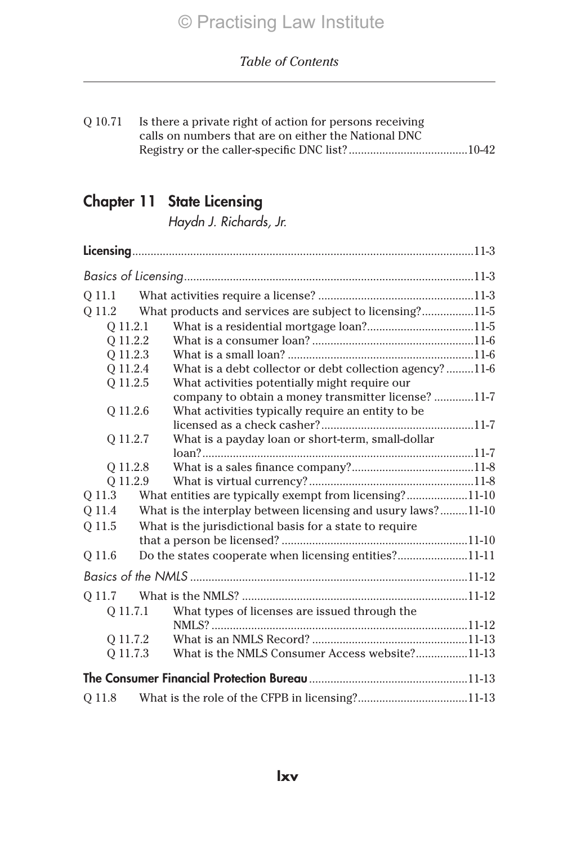| O 10.71 | Is there a private right of action for persons receiving |  |
|---------|----------------------------------------------------------|--|
|         | calls on numbers that are on either the National DNC     |  |
|         |                                                          |  |

# Chapter 11 State Licensing

*Haydn J. Richards, Jr.*

| 0 11.1   |                                                              |  |
|----------|--------------------------------------------------------------|--|
| O 11.2   | What products and services are subject to licensing?11-5     |  |
| 0 11.2.1 |                                                              |  |
| O 11.2.2 |                                                              |  |
| Q 11.2.3 |                                                              |  |
| O 11.2.4 | What is a debt collector or debt collection agency?11-6      |  |
| Q 11.2.5 | What activities potentially might require our                |  |
|          | company to obtain a money transmitter license? 11-7          |  |
| Q 11.2.6 | What activities typically require an entity to be            |  |
|          |                                                              |  |
| Q 11.2.7 | What is a payday loan or short-term, small-dollar            |  |
|          |                                                              |  |
| O 11.2.8 |                                                              |  |
| Q 11.2.9 |                                                              |  |
| Q 11.3   | What entities are typically exempt from licensing?11-10      |  |
| O 11.4   | What is the interplay between licensing and usury laws?11-10 |  |
| Q 11.5   | What is the jurisdictional basis for a state to require      |  |
|          |                                                              |  |
| Q 11.6   | Do the states cooperate when licensing entities?11-11        |  |
|          |                                                              |  |
|          |                                                              |  |
| O 11.7.1 | What types of licenses are issued through the                |  |
|          |                                                              |  |
|          | 0 11.7.2                                                     |  |
|          | What is the NMLS Consumer Access website?11-13<br>Q 11.7.3   |  |
|          |                                                              |  |
| O 11.8   |                                                              |  |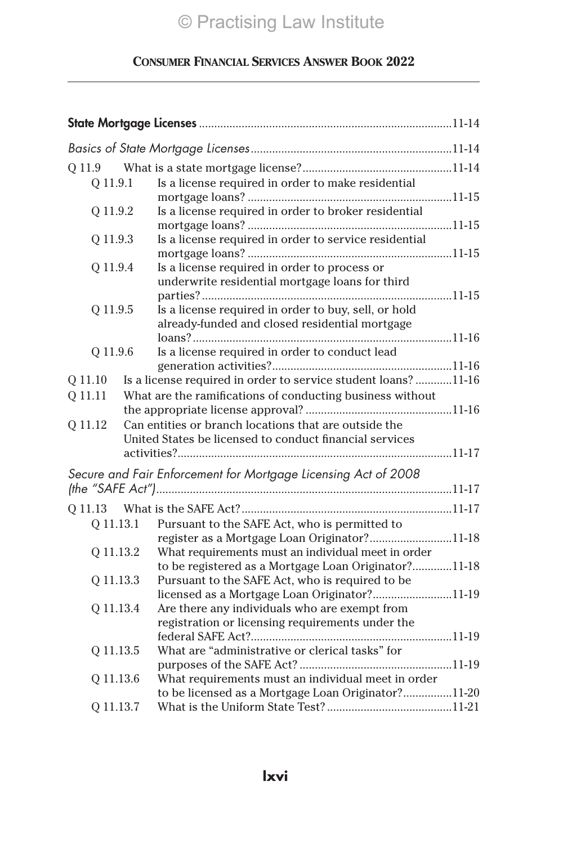| Q 11.9    |                                                                                                            |  |
|-----------|------------------------------------------------------------------------------------------------------------|--|
| Q 11.9.1  | Is a license required in order to make residential                                                         |  |
|           |                                                                                                            |  |
| Q 11.9.2  | Is a license required in order to broker residential                                                       |  |
|           |                                                                                                            |  |
| Q 11.9.3  | Is a license required in order to service residential                                                      |  |
|           |                                                                                                            |  |
| Q 11.9.4  | Is a license required in order to process or                                                               |  |
|           | underwrite residential mortgage loans for third                                                            |  |
|           |                                                                                                            |  |
| Q 11.9.5  | Is a license required in order to buy, sell, or hold                                                       |  |
|           | already-funded and closed residential mortgage                                                             |  |
| Q 11.9.6  | Is a license required in order to conduct lead                                                             |  |
|           |                                                                                                            |  |
| Q 11.10   | Is a license required in order to service student loans? 11-16                                             |  |
| Q 11.11   | What are the ramifications of conducting business without                                                  |  |
|           |                                                                                                            |  |
| Q 11.12   | Can entities or branch locations that are outside the                                                      |  |
|           | United States be licensed to conduct financial services                                                    |  |
|           |                                                                                                            |  |
|           | Secure and Fair Enforcement for Mortgage Licensing Act of 2008                                             |  |
|           |                                                                                                            |  |
|           |                                                                                                            |  |
| Q 11.13   |                                                                                                            |  |
| Q 11.13.1 | Pursuant to the SAFE Act, who is permitted to                                                              |  |
|           | register as a Mortgage Loan Originator?11-18                                                               |  |
| Q 11.13.2 | What requirements must an individual meet in order<br>to be registered as a Mortgage Loan Originator?11-18 |  |
| Q 11.13.3 | Pursuant to the SAFE Act, who is required to be                                                            |  |
|           | licensed as a Mortgage Loan Originator?11-19                                                               |  |
| Q 11.13.4 | Are there any individuals who are exempt from                                                              |  |
|           | registration or licensing requirements under the                                                           |  |
|           |                                                                                                            |  |
| Q 11.13.5 | What are "administrative or clerical tasks" for                                                            |  |
|           |                                                                                                            |  |
| Q 11.13.6 | What requirements must an individual meet in order                                                         |  |
|           | to be licensed as a Mortgage Loan Originator?11-20                                                         |  |
| Q 11.13.7 |                                                                                                            |  |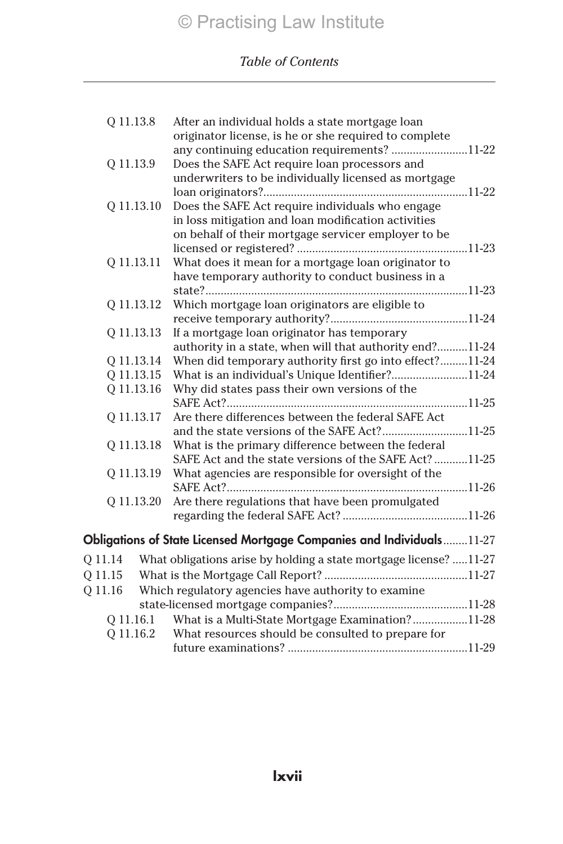| Q 11.13.8  | After an individual holds a state mortgage loan                       |
|------------|-----------------------------------------------------------------------|
|            | originator license, is he or she required to complete                 |
|            | any continuing education requirements? 11-22                          |
| Q 11.13.9  | Does the SAFE Act require loan processors and                         |
|            | underwriters to be individually licensed as mortgage                  |
|            |                                                                       |
| Q 11.13.10 | Does the SAFE Act require individuals who engage                      |
|            | in loss mitigation and loan modification activities                   |
|            | on behalf of their mortgage servicer employer to be                   |
|            |                                                                       |
| Q 11.13.11 | What does it mean for a mortgage loan originator to                   |
|            | have temporary authority to conduct business in a                     |
|            |                                                                       |
| Q 11.13.12 | Which mortgage loan originators are eligible to                       |
|            |                                                                       |
| Q 11.13.13 | If a mortgage loan originator has temporary                           |
|            | authority in a state, when will that authority end?11-24              |
| Q 11.13.14 | When did temporary authority first go into effect?11-24               |
| 0 11.13.15 | What is an individual's Unique Identifier?11-24                       |
| Q 11.13.16 | Why did states pass their own versions of the                         |
|            |                                                                       |
| Q 11.13.17 | Are there differences between the federal SAFE Act                    |
|            | and the state versions of the SAFE Act?11-25                          |
| Q 11.13.18 | What is the primary difference between the federal                    |
|            | SAFE Act and the state versions of the SAFE Act?11-25                 |
| Q 11.13.19 | What agencies are responsible for oversight of the                    |
|            |                                                                       |
| Q 11.13.20 | Are there regulations that have been promulgated                      |
|            |                                                                       |
|            |                                                                       |
|            | Obligations of State Licensed Mortgage Companies and Individuals11-27 |
| Q 11.14    | What obligations arise by holding a state mortgage license? 11-27     |
| Q 11.15    |                                                                       |
| Q 11.16    | Which regulatory agencies have authority to examine                   |
|            |                                                                       |
| Q 11.16.1  | What is a Multi-State Mortgage Examination?11-28                      |
| Q 11.16.2  | What resources should be consulted to prepare for                     |
|            |                                                                       |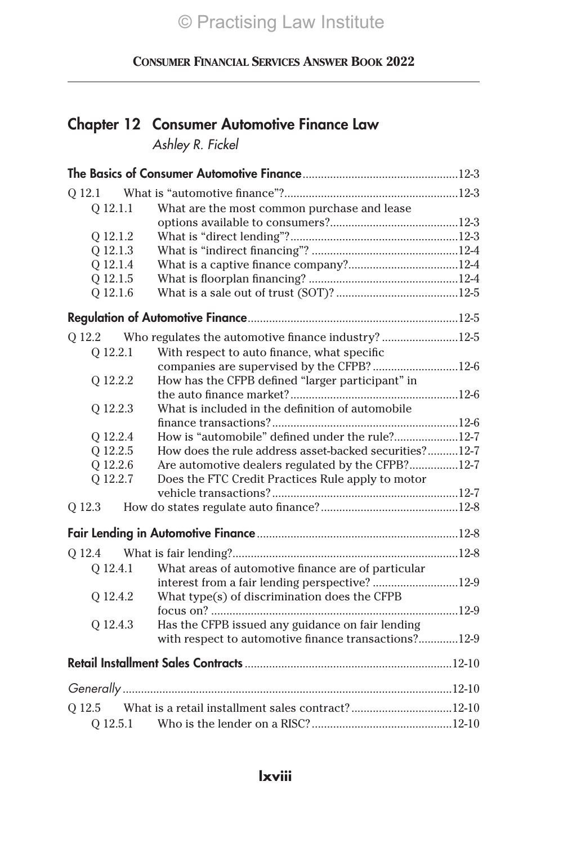| Chapter 12 Consumer Automotive Finance Law |
|--------------------------------------------|
| Ashley R. Fickel                           |

| Q 12.1.1 | What are the most common purchase and lease            |  |
|----------|--------------------------------------------------------|--|
|          |                                                        |  |
| Q 12.1.2 |                                                        |  |
| Q 12.1.3 |                                                        |  |
| Q 12.1.4 |                                                        |  |
| Q 12.1.5 |                                                        |  |
| Q 12.1.6 |                                                        |  |
|          |                                                        |  |
| O 12.2   | Who regulates the automotive finance industry? 12-5    |  |
| Q 12.2.1 | With respect to auto finance, what specific            |  |
|          | companies are supervised by the CFPB?12-6              |  |
| Q 12.2.2 | How has the CFPB defined "larger participant" in       |  |
|          |                                                        |  |
| Q 12.2.3 | What is included in the definition of automobile       |  |
|          |                                                        |  |
| Q 12.2.4 | How is "automobile" defined under the rule?12-7        |  |
| Q 12.2.5 | How does the rule address asset-backed securities?12-7 |  |
| Q 12.2.6 | Are automotive dealers regulated by the CFPB?12-7      |  |
| Q 12.2.7 | Does the FTC Credit Practices Rule apply to motor      |  |
|          |                                                        |  |
| Q 12.3   |                                                        |  |
|          |                                                        |  |
| 0 12.4   |                                                        |  |
| O 12.4.1 | What areas of automotive finance are of particular     |  |
|          | interest from a fair lending perspective?12-9          |  |
| Q 12.4.2 | What type(s) of discrimination does the CFPB           |  |
|          |                                                        |  |
| Q 12.4.3 | Has the CFPB issued any guidance on fair lending       |  |
|          | with respect to automotive finance transactions?12-9   |  |
|          |                                                        |  |
|          |                                                        |  |
|          |                                                        |  |
|          |                                                        |  |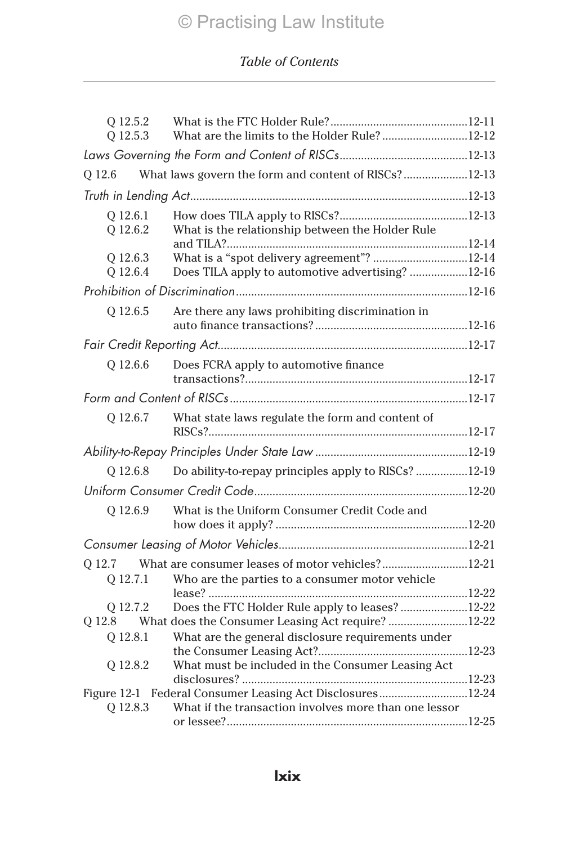| 0 12.5.2<br>Q 12.5.3 | What are the limits to the Holder Rule?12-12              |  |
|----------------------|-----------------------------------------------------------|--|
|                      |                                                           |  |
| Q 12.6               | What laws govern the form and content of RISCs?12-13      |  |
|                      |                                                           |  |
| Q 12.6.1<br>Q 12.6.2 | What is the relationship between the Holder Rule          |  |
| Q 12.6.3             | What is a "spot delivery agreement"? 12-14                |  |
| Q 12.6.4             | Does TILA apply to automotive advertising? 12-16          |  |
|                      |                                                           |  |
| Q 12.6.5             | Are there any laws prohibiting discrimination in          |  |
|                      |                                                           |  |
| Q 12.6.6             | Does FCRA apply to automotive finance                     |  |
|                      |                                                           |  |
| O 12.6.7             | What state laws regulate the form and content of          |  |
|                      |                                                           |  |
| $Q$ 12.6.8           | Do ability-to-repay principles apply to RISCs? 12-19      |  |
|                      |                                                           |  |
| O 12.6.9             | What is the Uniform Consumer Credit Code and              |  |
|                      |                                                           |  |
|                      | Q 12.7 What are consumer leases of motor vehicles?12-21   |  |
| Q 12.7.1             | Who are the parties to a consumer motor vehicle           |  |
| Q 12.7.2             | Does the FTC Holder Rule apply to leases?12-22            |  |
|                      | Q 12.8 What does the Consumer Leasing Act require? 12-22  |  |
| Q 12.8.1             | What are the general disclosure requirements under        |  |
| Q 12.8.2             | What must be included in the Consumer Leasing Act         |  |
|                      | Figure 12-1 Federal Consumer Leasing Act Disclosures12-24 |  |
| Q 12.8.3             | What if the transaction involves more than one lessor     |  |
|                      |                                                           |  |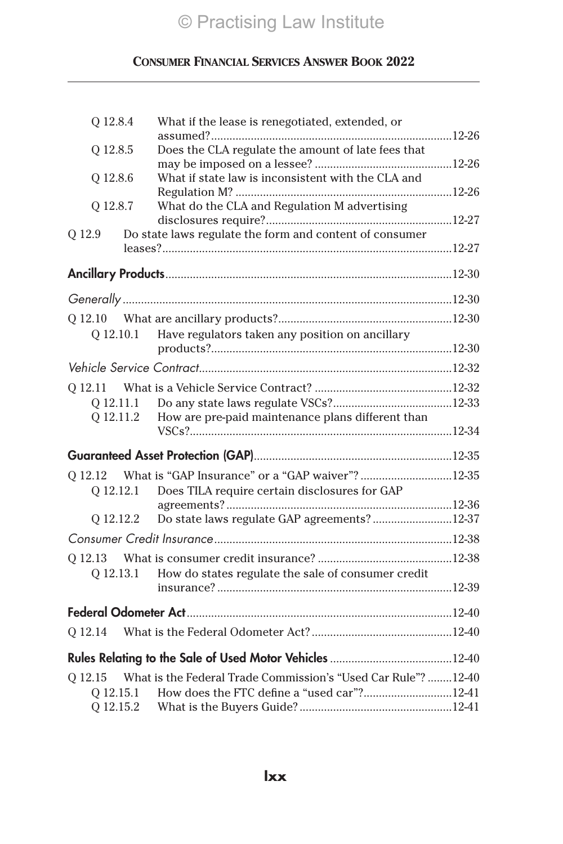| Q 12.8.4  | What if the lease is renegotiated, extended, or              |  |
|-----------|--------------------------------------------------------------|--|
| Q 12.8.5  | Does the CLA regulate the amount of late fees that           |  |
|           |                                                              |  |
| Q 12.8.6  | What if state law is inconsistent with the CLA and           |  |
|           |                                                              |  |
| Q 12.8.7  | What do the CLA and Regulation M advertising                 |  |
|           |                                                              |  |
| Q 12.9    | Do state laws regulate the form and content of consumer      |  |
|           |                                                              |  |
|           |                                                              |  |
|           |                                                              |  |
|           |                                                              |  |
| O 12.10.1 | Have regulators taken any position on ancillary              |  |
|           |                                                              |  |
|           |                                                              |  |
|           |                                                              |  |
| 0 12.11.1 |                                                              |  |
| Q 12.11.2 | How are pre-paid maintenance plans different than            |  |
|           |                                                              |  |
|           | Q 12.12 What is "GAP Insurance" or a "GAP waiver"? 12-35     |  |
| 0 12.12.1 | Does TILA require certain disclosures for GAP                |  |
|           |                                                              |  |
| 0 12.12.2 | Do state laws regulate GAP agreements?12-37                  |  |
|           |                                                              |  |
| Q 12.13   |                                                              |  |
| 0 12.13.1 | How do states regulate the sale of consumer credit           |  |
|           |                                                              |  |
|           |                                                              |  |
| O 12.14   |                                                              |  |
|           |                                                              |  |
| Q 12.15   | What is the Federal Trade Commission's "Used Car Rule"?12-40 |  |
| Q 12.15.1 | How does the FTC define a "used car"?12-41                   |  |
| O 12.15.2 |                                                              |  |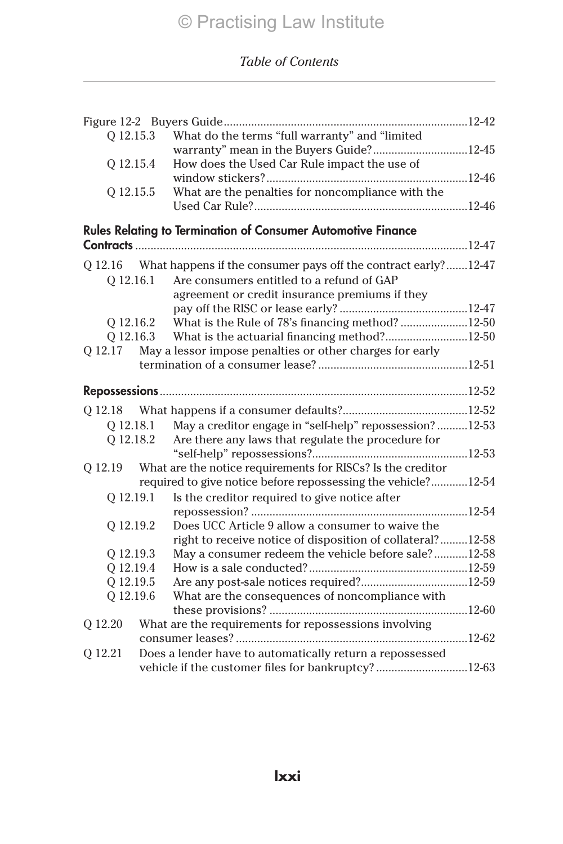| Q 12.15.3 |           | What do the terms "full warranty" and "limited                      |  |
|-----------|-----------|---------------------------------------------------------------------|--|
|           |           | warranty" mean in the Buyers Guide?12-45                            |  |
| Q 12.15.4 |           | How does the Used Car Rule impact the use of                        |  |
|           |           |                                                                     |  |
| Q 12.15.5 |           | What are the penalties for noncompliance with the                   |  |
|           |           |                                                                     |  |
|           |           |                                                                     |  |
|           |           | <b>Rules Relating to Termination of Consumer Automotive Finance</b> |  |
|           |           |                                                                     |  |
| O 12.16   |           | What happens if the consumer pays off the contract early?12-47      |  |
| Q 12.16.1 |           | Are consumers entitled to a refund of GAP                           |  |
|           |           | agreement or credit insurance premiums if they                      |  |
|           |           |                                                                     |  |
| Q 12.16.2 |           | What is the Rule of 78's financing method? 12-50                    |  |
| O 12.16.3 |           | What is the actuarial financing method?12-50                        |  |
| O 12.17   |           | May a lessor impose penalties or other charges for early            |  |
|           |           |                                                                     |  |
|           |           |                                                                     |  |
|           |           |                                                                     |  |
|           |           |                                                                     |  |
|           | 0 12.18.1 | May a creditor engage in "self-help" repossession? 12-53            |  |
| Q 12.18.2 |           | Are there any laws that regulate the procedure for                  |  |
|           |           |                                                                     |  |
| Q 12.19   |           | What are the notice requirements for RISCs? Is the creditor         |  |
|           |           | required to give notice before repossessing the vehicle?12-54       |  |
| O 12.19.1 |           | Is the creditor required to give notice after                       |  |
|           |           |                                                                     |  |
| Q 12.19.2 |           | Does UCC Article 9 allow a consumer to waive the                    |  |
|           |           | right to receive notice of disposition of collateral?12-58          |  |
| Q 12.19.3 |           | May a consumer redeem the vehicle before sale?12-58                 |  |
| Q 12.19.4 |           |                                                                     |  |
| Q 12.19.5 |           |                                                                     |  |
| Q 12.19.6 |           | What are the consequences of noncompliance with                     |  |
|           |           |                                                                     |  |
| Q 12.20   |           | What are the requirements for repossessions involving               |  |
|           |           |                                                                     |  |
| O 12.21   |           | Does a lender have to automatically return a repossessed            |  |
|           |           | vehicle if the customer files for bankruptcy? 12-63                 |  |
|           |           |                                                                     |  |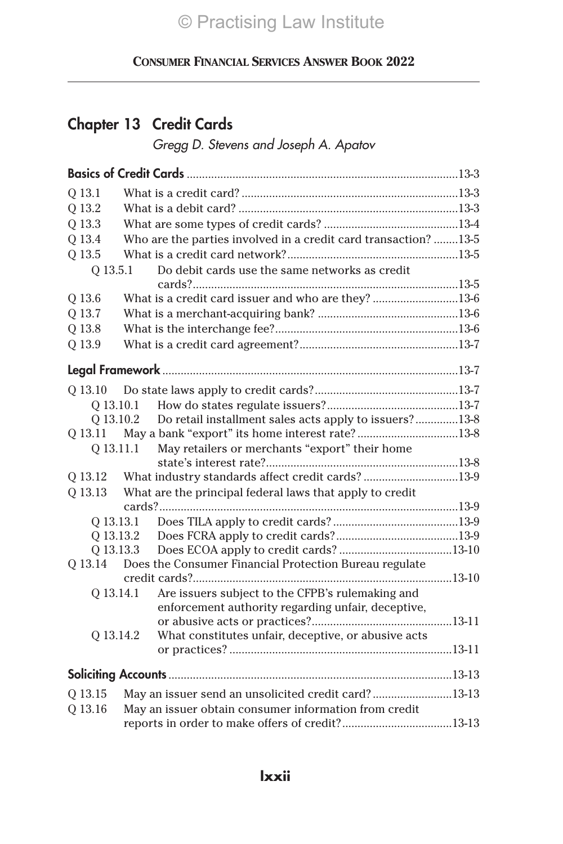## Chapter 13 Credit Cards

*Gregg D. Stevens and Joseph A. Apatov*

| O 13.1    |           |                                                                 |  |
|-----------|-----------|-----------------------------------------------------------------|--|
| Q 13.2    |           |                                                                 |  |
| Q 13.3    |           |                                                                 |  |
| Q 13.4    |           | Who are the parties involved in a credit card transaction? 13-5 |  |
| Q 13.5    |           |                                                                 |  |
| Q 13.5.1  |           | Do debit cards use the same networks as credit                  |  |
|           |           |                                                                 |  |
| Q 13.6    |           | What is a credit card issuer and who are they? 13-6             |  |
| O 13.7    |           |                                                                 |  |
| Q 13.8    |           |                                                                 |  |
| Q 13.9    |           |                                                                 |  |
|           |           |                                                                 |  |
| O 13.10   |           |                                                                 |  |
| O 13.10.1 |           |                                                                 |  |
|           | O 13.10.2 | Do retail installment sales acts apply to issuers?13-8          |  |
| 0 13.11   |           | May a bank "export" its home interest rate?13-8                 |  |
| Q 13.11.1 |           | May retailers or merchants "export" their home                  |  |
|           |           |                                                                 |  |
| O 13.12   |           | What industry standards affect credit cards?13-9                |  |
| Q 13.13   |           | What are the principal federal laws that apply to credit        |  |
|           |           |                                                                 |  |
| Q 13.13.1 |           |                                                                 |  |
| Q 13.13.2 | Q 13.13.3 |                                                                 |  |
| Q 13.14   |           | Does the Consumer Financial Protection Bureau regulate          |  |
|           |           |                                                                 |  |
| Q 13.14.1 |           | Are issuers subject to the CFPB's rulemaking and                |  |
|           |           | enforcement authority regarding unfair, deceptive,              |  |
|           |           |                                                                 |  |
| Q 13.14.2 |           | What constitutes unfair, deceptive, or abusive acts             |  |
|           |           |                                                                 |  |
|           |           |                                                                 |  |
| Q 13.15   |           | May an issuer send an unsolicited credit card?13-13             |  |
| Q 13.16   |           | May an issuer obtain consumer information from credit           |  |
|           |           |                                                                 |  |
|           |           |                                                                 |  |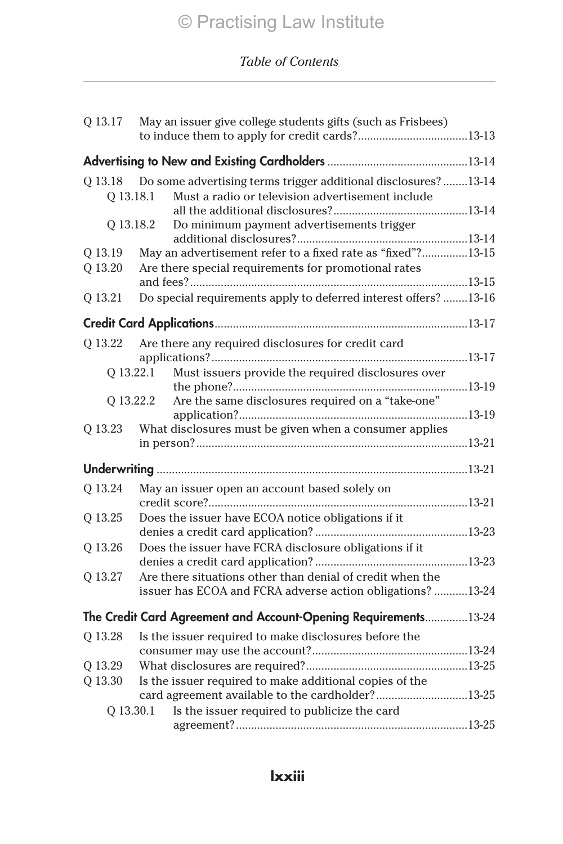| Q 13.17            |           | May an issuer give college students gifts (such as Frisbees)                                                        |  |
|--------------------|-----------|---------------------------------------------------------------------------------------------------------------------|--|
|                    |           |                                                                                                                     |  |
| 0 13.18            |           | Do some advertising terms trigger additional disclosures?13-14                                                      |  |
| 0 13.18.1          |           | Must a radio or television advertisement include                                                                    |  |
|                    |           |                                                                                                                     |  |
| 0 13.18.2          |           | Do minimum payment advertisements trigger                                                                           |  |
|                    |           |                                                                                                                     |  |
| Q 13.19<br>Q 13.20 |           | May an advertisement refer to a fixed rate as "fixed"?13-15<br>Are there special requirements for promotional rates |  |
|                    |           |                                                                                                                     |  |
| Q 13.21            |           | Do special requirements apply to deferred interest offers? 13-16                                                    |  |
|                    |           |                                                                                                                     |  |
| O 13.22            |           | Are there any required disclosures for credit card                                                                  |  |
|                    |           |                                                                                                                     |  |
| 0 13.22.1          |           | Must issuers provide the required disclosures over                                                                  |  |
|                    |           |                                                                                                                     |  |
|                    | Q 13.22.2 | Are the same disclosures required on a "take-one"                                                                   |  |
|                    |           |                                                                                                                     |  |
| Q 13.23            |           | What disclosures must be given when a consumer applies                                                              |  |
|                    |           |                                                                                                                     |  |
| Q 13.24            |           | May an issuer open an account based solely on                                                                       |  |
|                    |           |                                                                                                                     |  |
| Q 13.25            |           | Does the issuer have ECOA notice obligations if it                                                                  |  |
|                    |           |                                                                                                                     |  |
| Q 13.26            |           | Does the issuer have FCRA disclosure obligations if it                                                              |  |
|                    |           |                                                                                                                     |  |
| Q 13.27            |           | Are there situations other than denial of credit when the                                                           |  |
|                    |           | issuer has ECOA and FCRA adverse action obligations? 13-24                                                          |  |
|                    |           | The Credit Card Agreement and Account-Opening Requirements13-24                                                     |  |
| Q 13.28            |           | Is the issuer required to make disclosures before the                                                               |  |
|                    |           |                                                                                                                     |  |
| Q 13.29            |           |                                                                                                                     |  |
| Q 13.30            |           | Is the issuer required to make additional copies of the                                                             |  |
|                    |           | card agreement available to the cardholder?13-25                                                                    |  |
|                    | 0 13.30.1 | Is the issuer required to publicize the card                                                                        |  |
|                    |           |                                                                                                                     |  |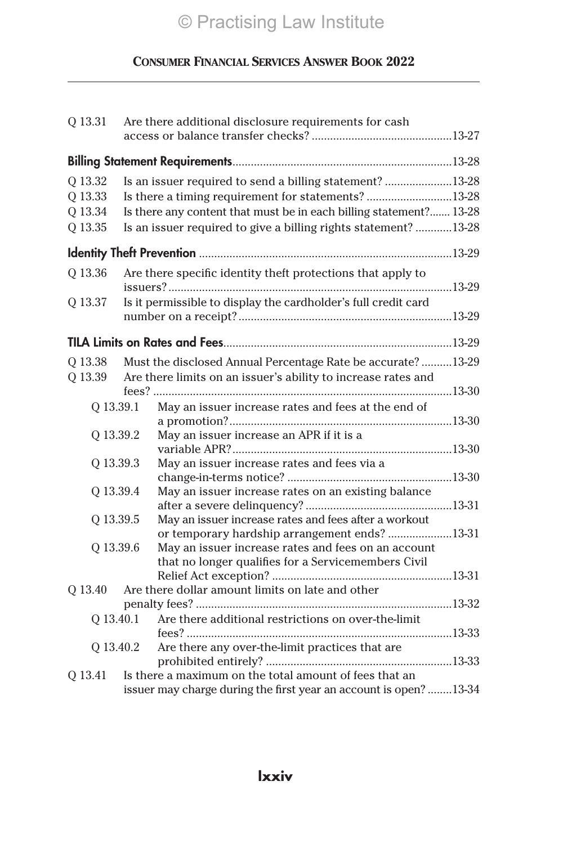| Q 13.31   |           | Are there additional disclosure requirements for cash              |  |
|-----------|-----------|--------------------------------------------------------------------|--|
|           |           |                                                                    |  |
| Q 13.32   |           | Is an issuer required to send a billing statement? 13-28           |  |
| Q 13.33   |           | Is there a timing requirement for statements? 13-28                |  |
| Q 13.34   |           | Is there any content that must be in each billing statement? 13-28 |  |
| Q 13.35   |           | Is an issuer required to give a billing rights statement? 13-28    |  |
|           |           |                                                                    |  |
| O 13.36   |           | Are there specific identity theft protections that apply to        |  |
| Q 13.37   |           | Is it permissible to display the cardholder's full credit card     |  |
|           |           |                                                                    |  |
| Q 13.38   |           | Must the disclosed Annual Percentage Rate be accurate?  13-29      |  |
| Q 13.39   |           | Are there limits on an issuer's ability to increase rates and      |  |
|           |           |                                                                    |  |
| Q 13.39.1 |           | May an issuer increase rates and fees at the end of                |  |
|           |           |                                                                    |  |
| Q 13.39.2 |           | May an issuer increase an APR if it is a                           |  |
|           |           |                                                                    |  |
|           | Q 13.39.3 | May an issuer increase rates and fees via a                        |  |
|           | Q 13.39.4 | May an issuer increase rates on an existing balance                |  |
|           |           |                                                                    |  |
| Q 13.39.5 |           | May an issuer increase rates and fees after a workout              |  |
|           |           | or temporary hardship arrangement ends? 13-31                      |  |
|           | Q 13.39.6 | May an issuer increase rates and fees on an account                |  |
|           |           | that no longer qualifies for a Servicemembers Civil                |  |
|           |           |                                                                    |  |
| O 13.40   |           | Are there dollar amount limits on late and other                   |  |
|           |           |                                                                    |  |
|           | Q 13.40.1 | Are there additional restrictions on over-the-limit                |  |
|           |           |                                                                    |  |
|           |           | Q 13.40.2 Are there any over-the-limit practices that are          |  |
| Q 13.41   |           | Is there a maximum on the total amount of fees that an             |  |
|           |           | issuer may charge during the first year an account is open?13-34   |  |
|           |           |                                                                    |  |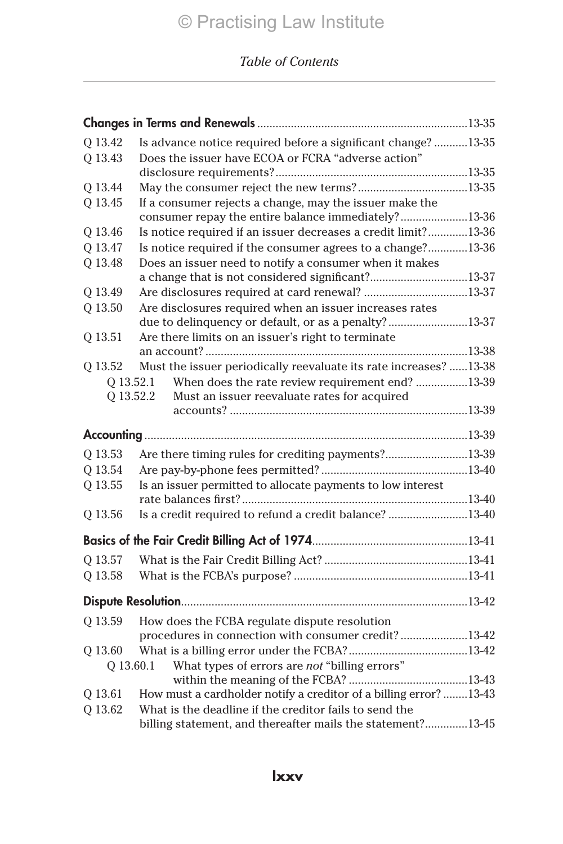| Q 13.42   | Is advance notice required before a significant change?  13-35                                                  |  |
|-----------|-----------------------------------------------------------------------------------------------------------------|--|
| Q 13.43   | Does the issuer have ECOA or FCRA "adverse action"                                                              |  |
|           |                                                                                                                 |  |
| Q 13.44   |                                                                                                                 |  |
| Q 13.45   | If a consumer rejects a change, may the issuer make the                                                         |  |
|           | consumer repay the entire balance immediately?13-36                                                             |  |
| Q 13.46   | Is notice required if an issuer decreases a credit limit?13-36                                                  |  |
| Q 13.47   | Is notice required if the consumer agrees to a change?13-36                                                     |  |
| Q 13.48   | Does an issuer need to notify a consumer when it makes                                                          |  |
|           | a change that is not considered significant?13-37                                                               |  |
| Q 13.49   | Are disclosures required at card renewal? 13-37                                                                 |  |
| Q 13.50   | Are disclosures required when an issuer increases rates<br>due to delinquency or default, or as a penalty?13-37 |  |
| Q 13.51   | Are there limits on an issuer's right to terminate                                                              |  |
|           |                                                                                                                 |  |
| Q 13.52   | Must the issuer periodically reevaluate its rate increases? 13-38                                               |  |
|           | When does the rate review requirement end? 13-39<br>Q 13.52.1                                                   |  |
|           | Must an issuer reevaluate rates for acquired<br>Q 13.52.2                                                       |  |
|           |                                                                                                                 |  |
|           |                                                                                                                 |  |
| Q 13.53   | Are there timing rules for crediting payments?13-39                                                             |  |
| Q 13.54   |                                                                                                                 |  |
| Q 13.55   | Is an issuer permitted to allocate payments to low interest                                                     |  |
|           |                                                                                                                 |  |
| Q 13.56   | Is a credit required to refund a credit balance? 13-40                                                          |  |
|           |                                                                                                                 |  |
| Q 13.57   |                                                                                                                 |  |
| Q 13.58   |                                                                                                                 |  |
|           |                                                                                                                 |  |
|           |                                                                                                                 |  |
| Q 13.59   | How does the FCBA regulate dispute resolution                                                                   |  |
|           | procedures in connection with consumer credit?13-42                                                             |  |
| Q 13.60   |                                                                                                                 |  |
| Q 13.60.1 | What types of errors are not "billing errors"                                                                   |  |
|           |                                                                                                                 |  |
| Q 13.61   | How must a cardholder notify a creditor of a billing error? 13-43                                               |  |
| Q 13.62   | What is the deadline if the creditor fails to send the                                                          |  |
|           | billing statement, and thereafter mails the statement?13-45                                                     |  |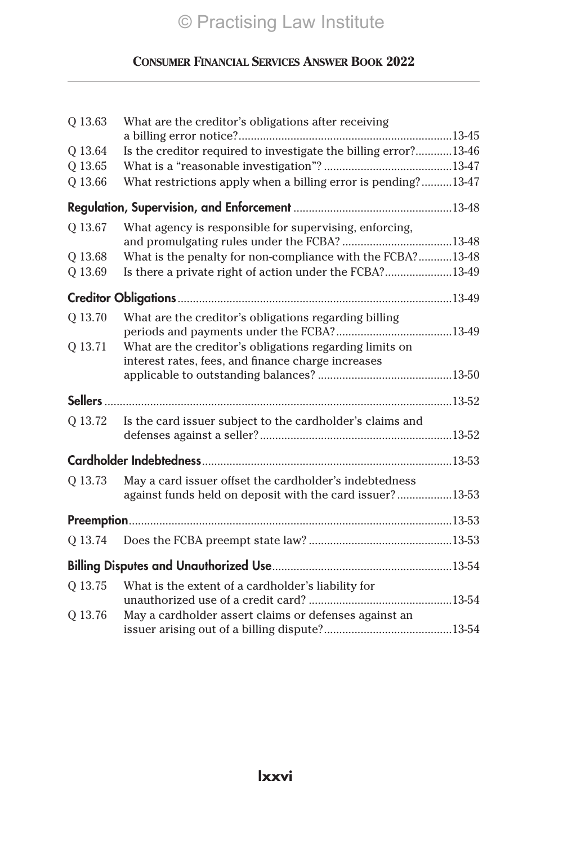| O 13.63 | What are the creditor's obligations after receiving                                                           |  |
|---------|---------------------------------------------------------------------------------------------------------------|--|
|         |                                                                                                               |  |
| O 13.64 | Is the creditor required to investigate the billing error?13-46                                               |  |
| Q 13.65 |                                                                                                               |  |
| Q 13.66 | What restrictions apply when a billing error is pending?13-47                                                 |  |
|         |                                                                                                               |  |
| O 13.67 | What agency is responsible for supervising, enforcing,                                                        |  |
|         |                                                                                                               |  |
| O 13.68 | What is the penalty for non-compliance with the FCBA?13-48                                                    |  |
| Q 13.69 | Is there a private right of action under the FCBA?13-49                                                       |  |
|         |                                                                                                               |  |
| O 13.70 | What are the creditor's obligations regarding billing                                                         |  |
| Q 13.71 | What are the creditor's obligations regarding limits on<br>interest rates, fees, and finance charge increases |  |
|         |                                                                                                               |  |
|         |                                                                                                               |  |
| O 13.72 | Is the card issuer subject to the cardholder's claims and                                                     |  |
|         |                                                                                                               |  |
| O 13.73 | May a card issuer offset the cardholder's indebtedness                                                        |  |
|         | against funds held on deposit with the card issuer?13-53                                                      |  |
|         |                                                                                                               |  |
| O 13.74 |                                                                                                               |  |
|         |                                                                                                               |  |
| Q 13.75 | What is the extent of a cardholder's liability for                                                            |  |
|         |                                                                                                               |  |
| Q 13.76 | May a cardholder assert claims or defenses against an                                                         |  |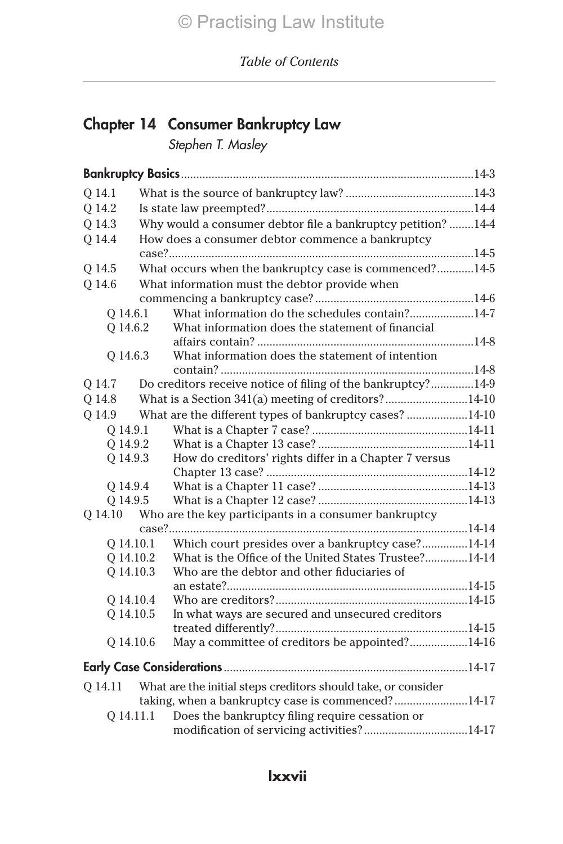## Chapter 14 Consumer Bankruptcy Law

*Stephen T. Masley*

| Q 14.1    |           |                                                               |  |
|-----------|-----------|---------------------------------------------------------------|--|
| Q 14.2    |           |                                                               |  |
| Q 14.3    |           | Why would a consumer debtor file a bankruptcy petition? 14-4  |  |
| Q 14.4    |           | How does a consumer debtor commence a bankruptcy              |  |
|           |           |                                                               |  |
| Q 14.5    |           | What occurs when the bankruptcy case is commenced?14-5        |  |
| Q 14.6    |           | What information must the debtor provide when                 |  |
|           |           |                                                               |  |
| O 14.6.1  |           | What information do the schedules contain?14-7                |  |
| Q 14.6.2  |           | What information does the statement of financial              |  |
|           |           |                                                               |  |
| Q 14.6.3  |           | What information does the statement of intention              |  |
|           |           |                                                               |  |
| Q 14.7    |           | Do creditors receive notice of filing of the bankruptcy?14-9  |  |
| Q 14.8    |           | What is a Section 341(a) meeting of creditors?14-10           |  |
| Q 14.9    |           | What are the different types of bankruptcy cases? 14-10       |  |
| O 14.9.1  |           |                                                               |  |
| O 14.9.2  |           |                                                               |  |
| O 14.9.3  |           | How do creditors' rights differ in a Chapter 7 versus         |  |
|           |           |                                                               |  |
| Q 14.9.4  |           |                                                               |  |
| Q 14.9.5  |           |                                                               |  |
| Q 14.10   |           | Who are the key participants in a consumer bankruptcy         |  |
|           |           |                                                               |  |
| O 14.10.1 |           | Which court presides over a bankruptcy case?14-14             |  |
| O 14.10.2 |           | What is the Office of the United States Trustee?14-14         |  |
| Q 14.10.3 |           | Who are the debtor and other fiduciaries of                   |  |
|           |           |                                                               |  |
| Q 14.10.4 |           |                                                               |  |
| Q 14.10.5 |           | In what ways are secured and unsecured creditors              |  |
| Q 14.10.6 |           | May a committee of creditors be appointed?14-16               |  |
|           |           |                                                               |  |
|           |           |                                                               |  |
| Q 14.11   |           | What are the initial steps creditors should take, or consider |  |
|           |           | taking, when a bankruptcy case is commenced?14-17             |  |
|           | 0 14.11.1 | Does the bankruptcy filing require cessation or               |  |
|           |           | modification of servicing activities?14-17                    |  |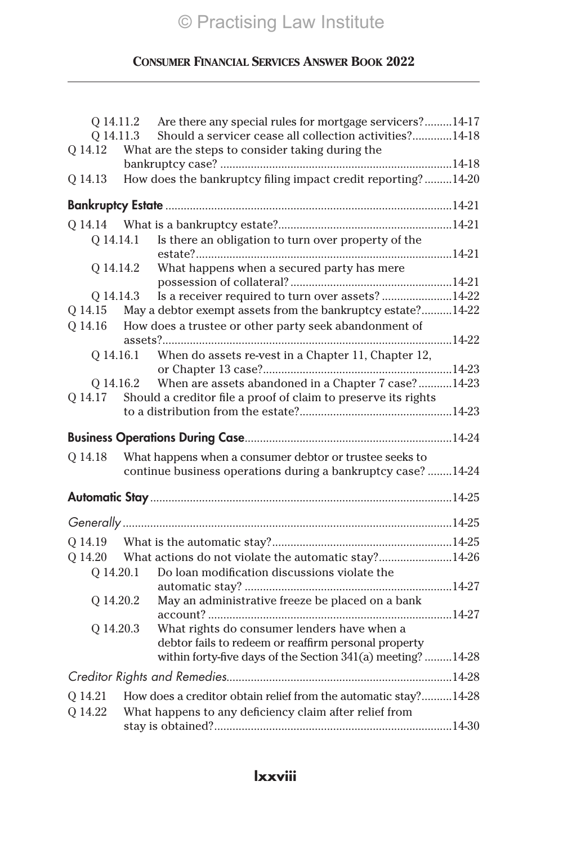|           | Q 14.11.2 Are there any special rules for mortgage servicers?14-17   |  |
|-----------|----------------------------------------------------------------------|--|
|           | Q 14.11.3<br>Should a servicer cease all collection activities?14-18 |  |
| Q 14.12   | What are the steps to consider taking during the                     |  |
|           |                                                                      |  |
| Q 14.13   | How does the bankruptcy filing impact credit reporting?14-20         |  |
|           |                                                                      |  |
|           |                                                                      |  |
| Q 14.14.1 | Is there an obligation to turn over property of the                  |  |
|           | What happens when a secured party has mere<br>Q 14.14.2              |  |
|           |                                                                      |  |
| 0 14.14.3 | Is a receiver required to turn over assets? 14-22                    |  |
| Q 14.15   | May a debtor exempt assets from the bankruptcy estate?14-22          |  |
| Q 14.16   | How does a trustee or other party seek abandonment of                |  |
|           |                                                                      |  |
| 0 14.16.1 | When do assets re-vest in a Chapter 11, Chapter 12,                  |  |
| 0 14.16.2 | When are assets abandoned in a Chapter 7 case?14-23                  |  |
| Q 14.17   | Should a creditor file a proof of claim to preserve its rights       |  |
|           |                                                                      |  |
|           |                                                                      |  |
|           |                                                                      |  |
| Q 14.18   | What happens when a consumer debtor or trustee seeks to              |  |
|           | continue business operations during a bankruptcy case?14-24          |  |
|           |                                                                      |  |
|           |                                                                      |  |
| Q 14.19   |                                                                      |  |
| Q 14.20   | What actions do not violate the automatic stay?14-26                 |  |
| Q 14.20.1 | Do loan modification discussions violate the                         |  |
|           |                                                                      |  |
| Q 14.20.2 | May an administrative freeze be placed on a bank                     |  |
|           |                                                                      |  |
| Q 14.20.3 | What rights do consumer lenders have when a                          |  |
|           | debtor fails to redeem or reaffirm personal property                 |  |
|           | within forty-five days of the Section 341(a) meeting? 14-28          |  |
|           |                                                                      |  |
| Q 14.21   | How does a creditor obtain relief from the automatic stay?14-28      |  |
| Q 14.22   | What happens to any deficiency claim after relief from               |  |
|           |                                                                      |  |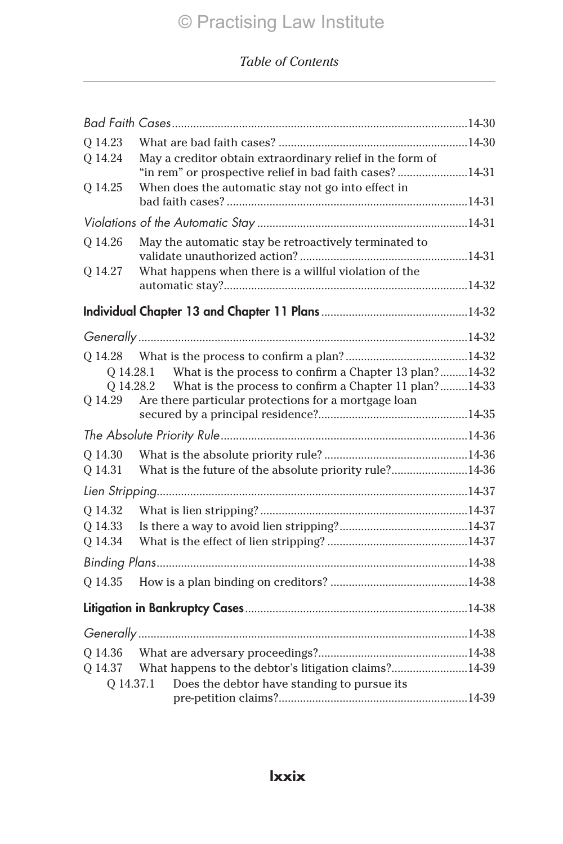| O 14.23   |                                                                                                                                      |  |
|-----------|--------------------------------------------------------------------------------------------------------------------------------------|--|
| Q 14.24   | May a creditor obtain extraordinary relief in the form of                                                                            |  |
|           | "in rem" or prospective relief in bad faith cases?14-31                                                                              |  |
| O 14.25   | When does the automatic stay not go into effect in                                                                                   |  |
|           |                                                                                                                                      |  |
|           |                                                                                                                                      |  |
| Q 14.26   | May the automatic stay be retroactively terminated to                                                                                |  |
| Q 14.27   | What happens when there is a willful violation of the                                                                                |  |
|           |                                                                                                                                      |  |
|           |                                                                                                                                      |  |
|           |                                                                                                                                      |  |
|           |                                                                                                                                      |  |
|           |                                                                                                                                      |  |
|           | Q 14.28.1 What is the process to confirm a Chapter 13 plan?14-32<br>Q 14.28.2 What is the process to confirm a Chapter 11 plan?14-33 |  |
| Q 14.29   | Are there particular protections for a mortgage loan                                                                                 |  |
|           |                                                                                                                                      |  |
|           |                                                                                                                                      |  |
| Q 14.30   |                                                                                                                                      |  |
| Q 14.31   | What is the future of the absolute priority rule?14-36                                                                               |  |
|           |                                                                                                                                      |  |
| Q 14.32   |                                                                                                                                      |  |
| Q 14.33   |                                                                                                                                      |  |
| Q 14.34   |                                                                                                                                      |  |
|           |                                                                                                                                      |  |
| O 14.35   |                                                                                                                                      |  |
|           |                                                                                                                                      |  |
|           |                                                                                                                                      |  |
| Q 14.36   |                                                                                                                                      |  |
| O 14.37   | What happens to the debtor's litigation claims?14-39                                                                                 |  |
| 0 14.37.1 | Does the debtor have standing to pursue its                                                                                          |  |
|           |                                                                                                                                      |  |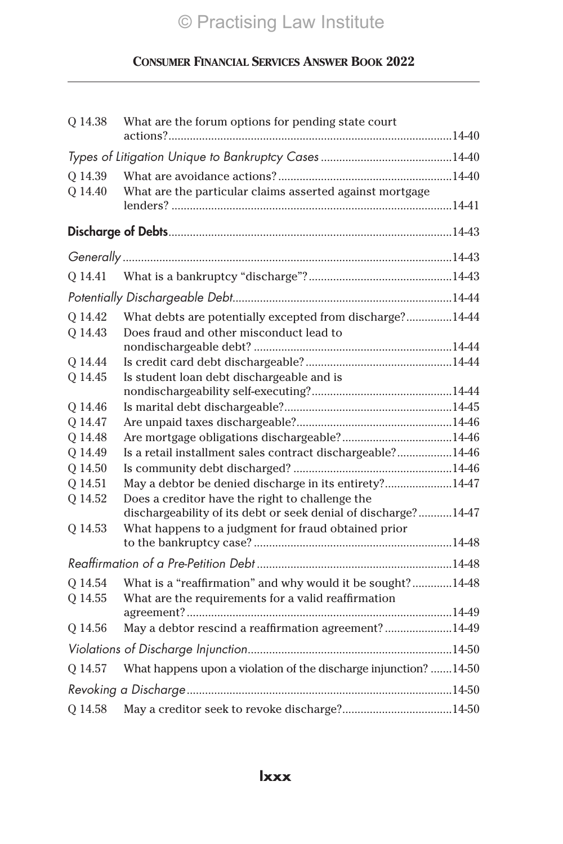| Q 14.38 | What are the forum options for pending state court               |  |
|---------|------------------------------------------------------------------|--|
|         |                                                                  |  |
|         |                                                                  |  |
| Q 14.39 |                                                                  |  |
| Q 14.40 | What are the particular claims asserted against mortgage         |  |
|         |                                                                  |  |
|         |                                                                  |  |
| O 14.41 |                                                                  |  |
|         |                                                                  |  |
| Q 14.42 | What debts are potentially excepted from discharge?14-44         |  |
| Q 14.43 | Does fraud and other misconduct lead to                          |  |
|         |                                                                  |  |
| O 14.44 |                                                                  |  |
| Q 14.45 | Is student loan debt dischargeable and is                        |  |
|         |                                                                  |  |
| Q 14.46 |                                                                  |  |
| Q 14.47 |                                                                  |  |
| Q 14.48 |                                                                  |  |
| Q 14.49 | Is a retail installment sales contract dischargeable?14-46       |  |
| Q 14.50 |                                                                  |  |
| Q 14.51 | May a debtor be denied discharge in its entirety?14-47           |  |
| Q 14.52 | Does a creditor have the right to challenge the                  |  |
|         | dischargeability of its debt or seek denial of discharge?14-47   |  |
| Q 14.53 | What happens to a judgment for fraud obtained prior              |  |
|         |                                                                  |  |
|         |                                                                  |  |
| Q 14.54 | What is a "reaffirmation" and why would it be sought?14-48       |  |
| Q 14.55 | What are the requirements for a valid reaffirmation              |  |
|         |                                                                  |  |
| Q 14.56 | May a debtor rescind a reaffirmation agreement?14-49             |  |
|         |                                                                  |  |
| Q 14.57 | What happens upon a violation of the discharge injunction? 14-50 |  |
|         |                                                                  |  |
| Q 14.58 |                                                                  |  |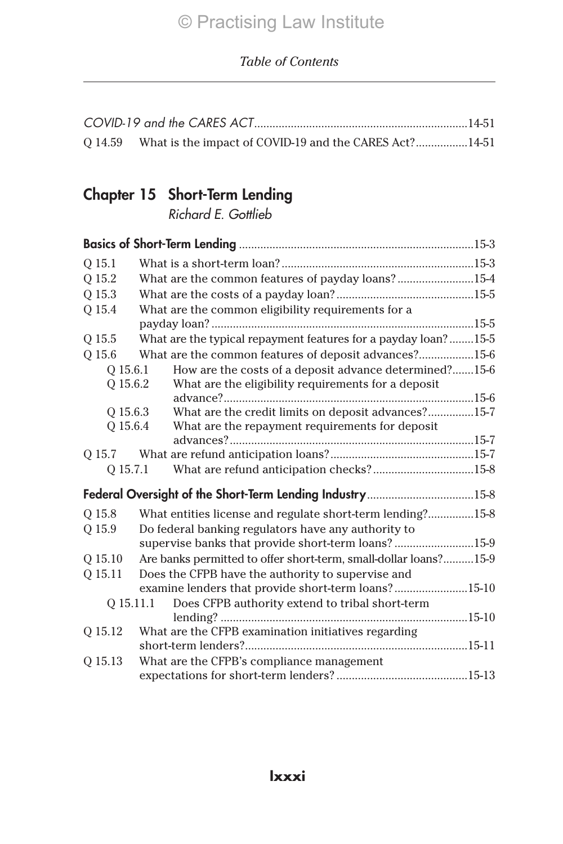| Q 14.59 What is the impact of COVID-19 and the CARES Act?14-51 |  |
|----------------------------------------------------------------|--|

## Chapter 15 Short-Term Lending

*Richard E. Gottlieb*

| Q 15.1   |                                                                  |  |
|----------|------------------------------------------------------------------|--|
| O 15.2   | What are the common features of payday loans?15-4                |  |
| Q 15.3   |                                                                  |  |
| Q 15.4   | What are the common eligibility requirements for a               |  |
|          |                                                                  |  |
| O 15.5   | What are the typical repayment features for a payday loan?15-5   |  |
| Q 15.6   | What are the common features of deposit advances?15-6            |  |
| O 15.6.1 | How are the costs of a deposit advance determined?15-6           |  |
| Q 15.6.2 | What are the eligibility requirements for a deposit              |  |
|          |                                                                  |  |
| O 15.6.3 | What are the credit limits on deposit advances?15-7              |  |
| O 15.6.4 | What are the repayment requirements for deposit                  |  |
| O 15.7   |                                                                  |  |
| O 15.7.1 |                                                                  |  |
|          |                                                                  |  |
|          | Federal Oversight of the Short-Term Lending Industry15-8         |  |
| Q 15.8   | What entities license and regulate short-term lending?15-8       |  |
| Q 15.9   | Do federal banking regulators have any authority to              |  |
|          | supervise banks that provide short-term loans?15-9               |  |
| Q 15.10  | Are banks permitted to offer short-term, small-dollar loans?15-9 |  |
| Q 15.11  | Does the CFPB have the authority to supervise and                |  |
|          | examine lenders that provide short-term loans?15-10              |  |
|          | Does CFPB authority extend to tribal short-term<br>0 15.11.1     |  |
|          |                                                                  |  |
| O 15.12  | What are the CFPB examination initiatives regarding              |  |
|          |                                                                  |  |
| O 15.13  | What are the CFPB's compliance management                        |  |
|          |                                                                  |  |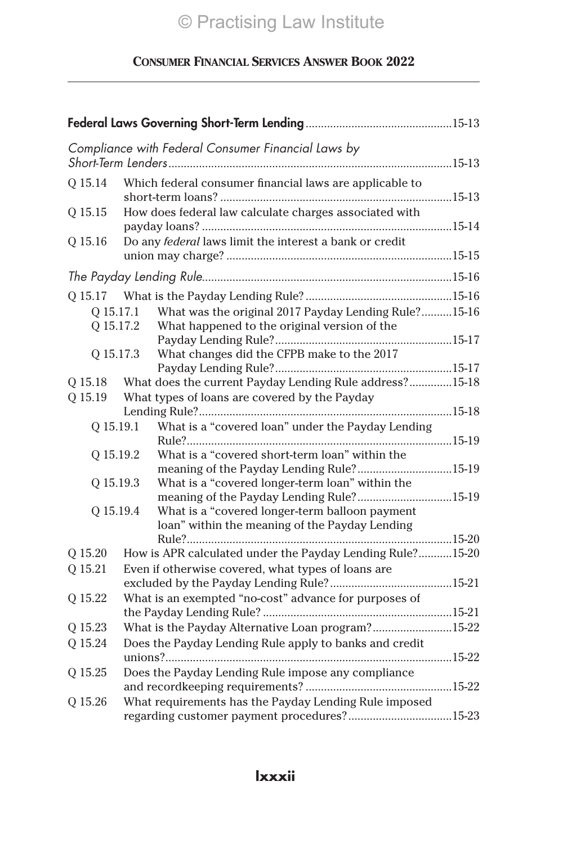|           | Compliance with Federal Consumer Financial Laws by                                         |  |
|-----------|--------------------------------------------------------------------------------------------|--|
| Q 15.14   | Which federal consumer financial laws are applicable to                                    |  |
| Q 15.15   | How does federal law calculate charges associated with                                     |  |
| Q 15.16   | Do any federal laws limit the interest a bank or credit                                    |  |
|           |                                                                                            |  |
|           |                                                                                            |  |
| Q 15.17.1 | What was the original 2017 Payday Lending Rule?15-16                                       |  |
| Q 15.17.2 | What happened to the original version of the                                               |  |
|           |                                                                                            |  |
| Q 15.17.3 | What changes did the CFPB make to the 2017                                                 |  |
| Q 15.18   | What does the current Payday Lending Rule address?15-18                                    |  |
| Q 15.19   | What types of loans are covered by the Payday                                              |  |
|           |                                                                                            |  |
| Q 15.19.1 | What is a "covered loan" under the Payday Lending                                          |  |
|           |                                                                                            |  |
| O 15.19.2 | What is a "covered short-term loan" within the                                             |  |
|           | meaning of the Payday Lending Rule?15-19                                                   |  |
| Q 15.19.3 | What is a "covered longer-term loan" within the                                            |  |
| Q 15.19.4 | meaning of the Payday Lending Rule?15-19<br>What is a "covered longer-term balloon payment |  |
|           | loan" within the meaning of the Payday Lending                                             |  |
|           |                                                                                            |  |
| Q 15.20   | How is APR calculated under the Payday Lending Rule?15-20                                  |  |
| Q 15.21   | Even if otherwise covered, what types of loans are                                         |  |
|           |                                                                                            |  |
| Q 15.22   | What is an exempted "no-cost" advance for purposes of                                      |  |
|           |                                                                                            |  |
| Q 15.23   | What is the Payday Alternative Loan program?15-22                                          |  |
| Q 15.24   | Does the Payday Lending Rule apply to banks and credit                                     |  |
|           |                                                                                            |  |
| Q 15.25   | Does the Payday Lending Rule impose any compliance                                         |  |
| Q 15.26   | What requirements has the Payday Lending Rule imposed                                      |  |
|           | regarding customer payment procedures?15-23                                                |  |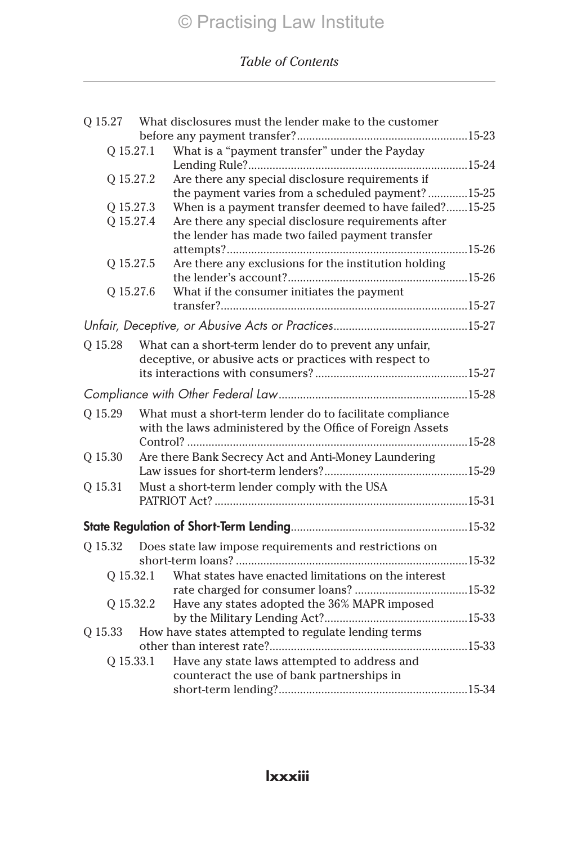|           |  | Q 15.27 What disclosures must the lender make to the customer |  |
|-----------|--|---------------------------------------------------------------|--|
| Q 15.27.1 |  | What is a "payment transfer" under the Payday                 |  |
|           |  |                                                               |  |
| Q 15.27.2 |  | Are there any special disclosure requirements if              |  |
|           |  | the payment varies from a scheduled payment? 15-25            |  |
| Q 15.27.3 |  | When is a payment transfer deemed to have failed?15-25        |  |
| Q 15.27.4 |  | Are there any special disclosure requirements after           |  |
|           |  | the lender has made two failed payment transfer               |  |
|           |  |                                                               |  |
| Q 15.27.5 |  | Are there any exclusions for the institution holding          |  |
|           |  |                                                               |  |
| Q 15.27.6 |  | What if the consumer initiates the payment                    |  |
|           |  |                                                               |  |
|           |  |                                                               |  |
| O 15.28   |  | What can a short-term lender do to prevent any unfair,        |  |
|           |  | deceptive, or abusive acts or practices with respect to       |  |
|           |  |                                                               |  |
|           |  |                                                               |  |
| Q 15.29   |  | What must a short-term lender do to facilitate compliance     |  |
|           |  | with the laws administered by the Office of Foreign Assets    |  |
|           |  |                                                               |  |
| Q 15.30   |  | Are there Bank Secrecy Act and Anti-Money Laundering          |  |
|           |  |                                                               |  |
| O 15.31   |  | Must a short-term lender comply with the USA                  |  |
|           |  |                                                               |  |
|           |  |                                                               |  |
|           |  |                                                               |  |
| Q 15.32   |  | Does state law impose requirements and restrictions on        |  |
|           |  |                                                               |  |
| 0 15.32.1 |  | What states have enacted limitations on the interest          |  |
|           |  |                                                               |  |
| 0 15.32.2 |  | Have any states adopted the 36% MAPR imposed                  |  |
|           |  |                                                               |  |
| Q 15.33   |  | How have states attempted to regulate lending terms           |  |
| Q 15.33.1 |  | Have any state laws attempted to address and                  |  |
|           |  | counteract the use of bank partnerships in                    |  |
|           |  |                                                               |  |
|           |  |                                                               |  |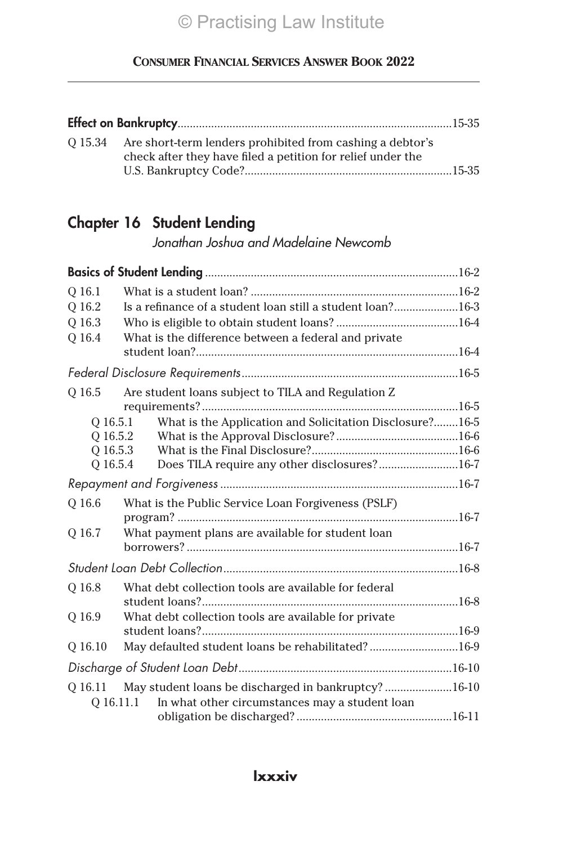| Q 15.34 Are short-term lenders prohibited from cashing a debtor's<br>check after they have filed a petition for relief under the |  |
|----------------------------------------------------------------------------------------------------------------------------------|--|

## Chapter 16 Student Lending

## *Jonathan Joshua and Madelaine Newcomb*

| O 16.1  |           |                                                              |  |
|---------|-----------|--------------------------------------------------------------|--|
| O 16.2  |           | Is a refinance of a student loan still a student loan?16-3   |  |
| Q 16.3  |           |                                                              |  |
| Q 16.4  |           | What is the difference between a federal and private         |  |
|         |           |                                                              |  |
|         |           |                                                              |  |
| O 16.5  |           | Are student loans subject to TILA and Regulation Z           |  |
|         |           |                                                              |  |
|         | O 16.5.1  | What is the Application and Solicitation Disclosure?16-5     |  |
|         | Q 16.5.2  |                                                              |  |
|         | Q 16.5.3  |                                                              |  |
|         | Q 16.5.4  | Does TILA require any other disclosures?16-7                 |  |
|         |           |                                                              |  |
| O 16.6  |           | What is the Public Service Loan Forgiveness (PSLF)           |  |
|         |           |                                                              |  |
| Q 16.7  |           | What payment plans are available for student loan            |  |
|         |           |                                                              |  |
|         |           |                                                              |  |
| O 16.8  |           | What debt collection tools are available for federal         |  |
|         |           |                                                              |  |
| Q 16.9  |           | What debt collection tools are available for private         |  |
|         |           |                                                              |  |
| O 16.10 |           | May defaulted student loans be rehabilitated? 16-9           |  |
|         |           |                                                              |  |
|         |           | Q 16.11 May student loans be discharged in bankruptcy? 16-10 |  |
|         | 0 16.11.1 | In what other circumstances may a student loan               |  |
|         |           |                                                              |  |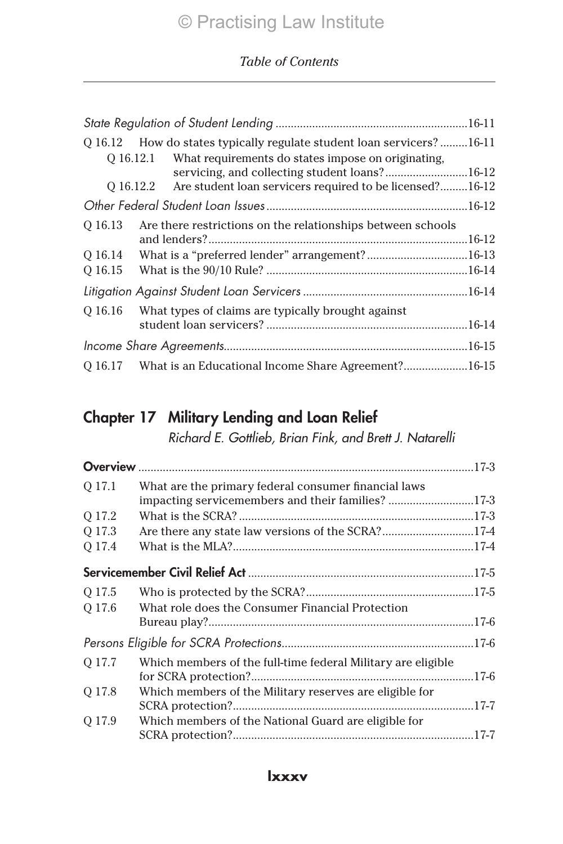|                    | Q 16.12 How do states typically regulate student loan servicers?16-11<br>0 16.12.1 What requirements do states impose on originating. |  |
|--------------------|---------------------------------------------------------------------------------------------------------------------------------------|--|
|                    | servicing, and collecting student loans?16-12<br>Q 16.12.2 Are student loan servicers required to be licensed?16-12                   |  |
|                    |                                                                                                                                       |  |
| 0 16.13<br>O 16.14 | Are there restrictions on the relationships between schools                                                                           |  |
| Q 16.15            |                                                                                                                                       |  |
|                    |                                                                                                                                       |  |
| O 16.16            | What types of claims are typically brought against                                                                                    |  |
|                    |                                                                                                                                       |  |
|                    | Q 16.17 What is an Educational Income Share Agreement?16-15                                                                           |  |

## Chapter 17 Military Lending and Loan Relief

*Richard E. Gottlieb, Brian Fink, and Brett J. Natarelli*

| O 17.1 | What are the primary federal consumer financial laws<br>impacting servicemembers and their families?17-3 |  |
|--------|----------------------------------------------------------------------------------------------------------|--|
| Q 17.2 |                                                                                                          |  |
| O 17.3 | Are there any state law versions of the SCRA?17-4                                                        |  |
| O 17.4 |                                                                                                          |  |
|        |                                                                                                          |  |
| O 17.5 |                                                                                                          |  |
| Q 17.6 | What role does the Consumer Financial Protection                                                         |  |
|        |                                                                                                          |  |
| O 17.7 | Which members of the full-time federal Military are eligible                                             |  |
| O 17.8 | Which members of the Military reserves are eligible for                                                  |  |
| O 17.9 | Which members of the National Guard are eligible for                                                     |  |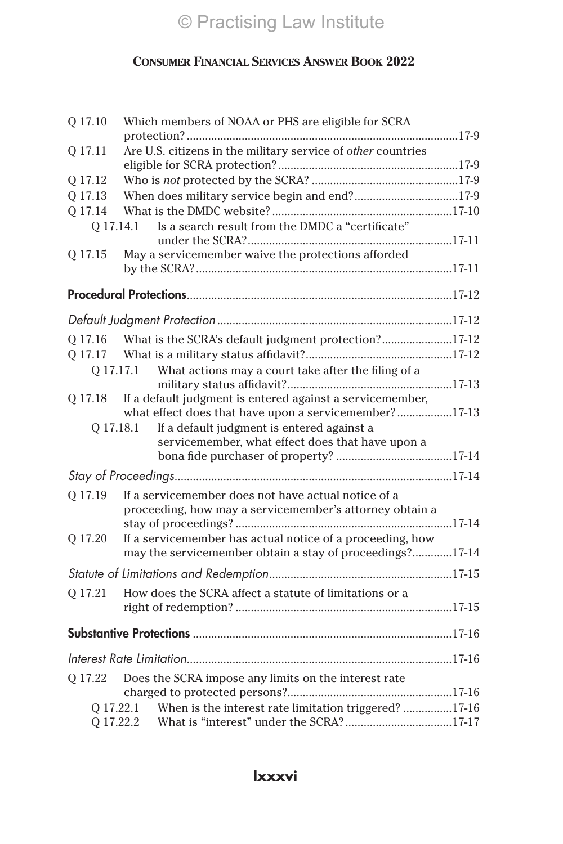| Q 17.10 |           | Which members of NOAA or PHS are eligible for SCRA           |  |
|---------|-----------|--------------------------------------------------------------|--|
| Q 17.11 |           | Are U.S. citizens in the military service of other countries |  |
|         |           |                                                              |  |
| Q 17.12 |           |                                                              |  |
| Q 17.13 |           | When does military service begin and end?17-9                |  |
| Q 17.14 |           |                                                              |  |
|         | Q 17.14.1 | Is a search result from the DMDC a "certificate"             |  |
|         |           |                                                              |  |
| Q 17.15 |           | May a servicemember waive the protections afforded           |  |
|         |           |                                                              |  |
|         |           |                                                              |  |
| Q 17.16 |           | What is the SCRA's default judgment protection?17-12         |  |
| Q 17.17 |           |                                                              |  |
|         | 0 17.17.1 | What actions may a court take after the filing of a          |  |
|         |           |                                                              |  |
| Q 17.18 |           | If a default judgment is entered against a servicemember,    |  |
|         |           | what effect does that have upon a servicemember?17-13        |  |
|         | 0 17.18.1 | If a default judgment is entered against a                   |  |
|         |           | servicemember, what effect does that have upon a             |  |
|         |           |                                                              |  |
|         |           |                                                              |  |
| Q 17.19 |           | If a servicemember does not have actual notice of a          |  |
|         |           | proceeding, how may a servicemember's attorney obtain a      |  |
|         |           |                                                              |  |
| Q 17.20 |           | If a servicemember has actual notice of a proceeding, how    |  |
|         |           | may the servicemember obtain a stay of proceedings?17-14     |  |
|         |           |                                                              |  |
| Q 17.21 |           | How does the SCRA affect a statute of limitations or a       |  |
|         |           |                                                              |  |
|         |           |                                                              |  |
|         |           |                                                              |  |
| O 17.22 |           | Does the SCRA impose any limits on the interest rate         |  |
|         |           |                                                              |  |
|         | O 17.22.1 | When is the interest rate limitation triggered? 17-16        |  |
|         | Q 17.22.2 |                                                              |  |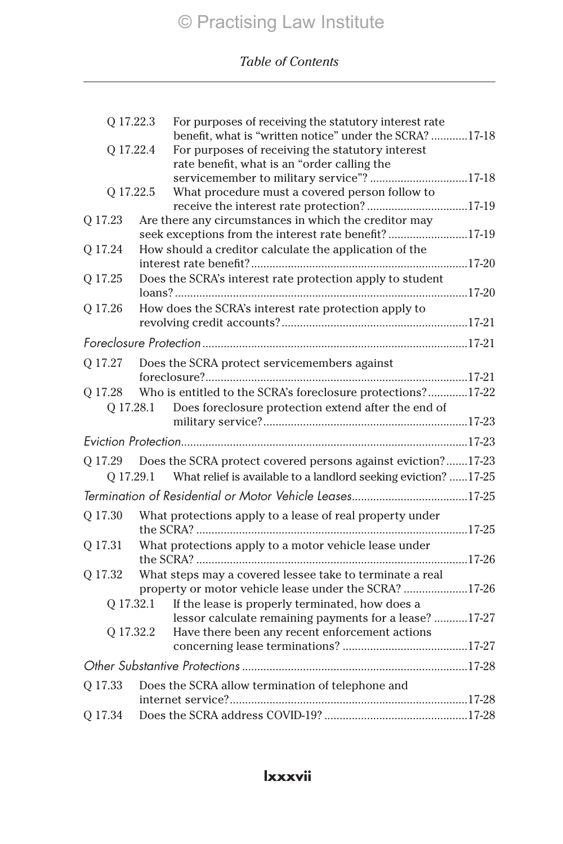| Q 17.22.3 |           | For purposes of receiving the statutory interest rate<br>benefit, what is "written notice" under the SCRA? 17-18  |  |
|-----------|-----------|-------------------------------------------------------------------------------------------------------------------|--|
| Q 17.22.4 |           | For purposes of receiving the statutory interest                                                                  |  |
|           |           | rate benefit, what is an "order calling the                                                                       |  |
|           |           | servicemember to military service"? 17-18                                                                         |  |
|           | Q 17.22.5 | What procedure must a covered person follow to<br>receive the interest rate protection?17-19                      |  |
| Q 17.23   |           | Are there any circumstances in which the creditor may                                                             |  |
|           |           | seek exceptions from the interest rate benefit? 17-19                                                             |  |
| Q 17.24   |           | How should a creditor calculate the application of the                                                            |  |
| Q 17.25   |           | Does the SCRA's interest rate protection apply to student                                                         |  |
|           |           |                                                                                                                   |  |
| Q 17.26   |           | How does the SCRA's interest rate protection apply to                                                             |  |
|           |           |                                                                                                                   |  |
|           |           |                                                                                                                   |  |
| Q 17.27   |           | Does the SCRA protect servicemembers against                                                                      |  |
|           |           |                                                                                                                   |  |
|           |           | Q 17.28 Who is entitled to the SCRA's foreclosure protections?17-22                                               |  |
|           |           | Q 17.28.1 Does foreclosure protection extend after the end of                                                     |  |
|           |           |                                                                                                                   |  |
|           |           |                                                                                                                   |  |
| O 17.29   |           | Does the SCRA protect covered persons against eviction?17-23                                                      |  |
|           |           | Q 17.29.1 What relief is available to a landlord seeking eviction?  17-25                                         |  |
|           |           |                                                                                                                   |  |
| O 17.30   |           | What protections apply to a lease of real property under                                                          |  |
|           |           |                                                                                                                   |  |
| Q 17.31   |           | What protections apply to a motor vehicle lease under                                                             |  |
|           |           |                                                                                                                   |  |
| Q 17.32   |           | What steps may a covered lessee take to terminate a real<br>property or motor vehicle lease under the SCRA? 17-26 |  |
|           | Q 17.32.1 | If the lease is properly terminated, how does a                                                                   |  |
|           |           | lessor calculate remaining payments for a lease? 17-27                                                            |  |
|           | Q 17.32.2 | Have there been any recent enforcement actions                                                                    |  |
|           |           |                                                                                                                   |  |
|           |           |                                                                                                                   |  |
| Q 17.33   |           | Does the SCRA allow termination of telephone and                                                                  |  |
|           |           |                                                                                                                   |  |
| Q 17.34   |           |                                                                                                                   |  |

### **lxxxvii**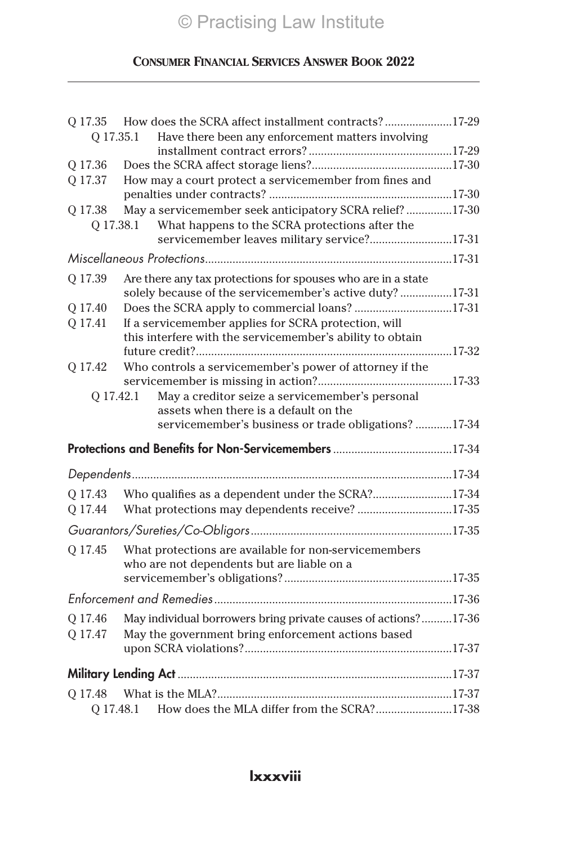|           | Q 17.35 How does the SCRA affect installment contracts?17-29                                                             |  |
|-----------|--------------------------------------------------------------------------------------------------------------------------|--|
| O 17.35.1 | Have there been any enforcement matters involving                                                                        |  |
|           |                                                                                                                          |  |
| Q 17.36   |                                                                                                                          |  |
| Q 17.37   | How may a court protect a servicemember from fines and                                                                   |  |
| Q 17.38   | May a servicemember seek anticipatory SCRA relief? 17-30                                                                 |  |
| O 17.38.1 | What happens to the SCRA protections after the<br>servicemember leaves military service?17-31                            |  |
|           |                                                                                                                          |  |
| Q 17.39   | Are there any tax protections for spouses who are in a state<br>solely because of the servicemember's active duty? 17-31 |  |
| Q 17.40   | Does the SCRA apply to commercial loans? 17-31                                                                           |  |
| Q 17.41   | If a servicemember applies for SCRA protection, will<br>this interfere with the servicemember's ability to obtain        |  |
|           |                                                                                                                          |  |
| O 17.42   | Who controls a servicemember's power of attorney if the                                                                  |  |
| 0 17.42.1 | May a creditor seize a servicemember's personal<br>assets when there is a default on the                                 |  |
|           | servicemember's business or trade obligations? 17-34                                                                     |  |
|           |                                                                                                                          |  |
|           |                                                                                                                          |  |
| Q 17.43   | Who qualifies as a dependent under the SCRA?17-34                                                                        |  |
| Q 17.44   | What protections may dependents receive? 17-35                                                                           |  |
|           |                                                                                                                          |  |
| Q 17.45   | What protections are available for non-servicemembers                                                                    |  |
|           | who are not dependents but are liable on a                                                                               |  |
|           |                                                                                                                          |  |
| Q 17.46   | May individual borrowers bring private causes of actions?17-36                                                           |  |
| Q 17.47   | May the government bring enforcement actions based                                                                       |  |
|           |                                                                                                                          |  |
| O 17.48   |                                                                                                                          |  |
|           | Q 17.48.1 How does the MLA differ from the SCRA?17-38                                                                    |  |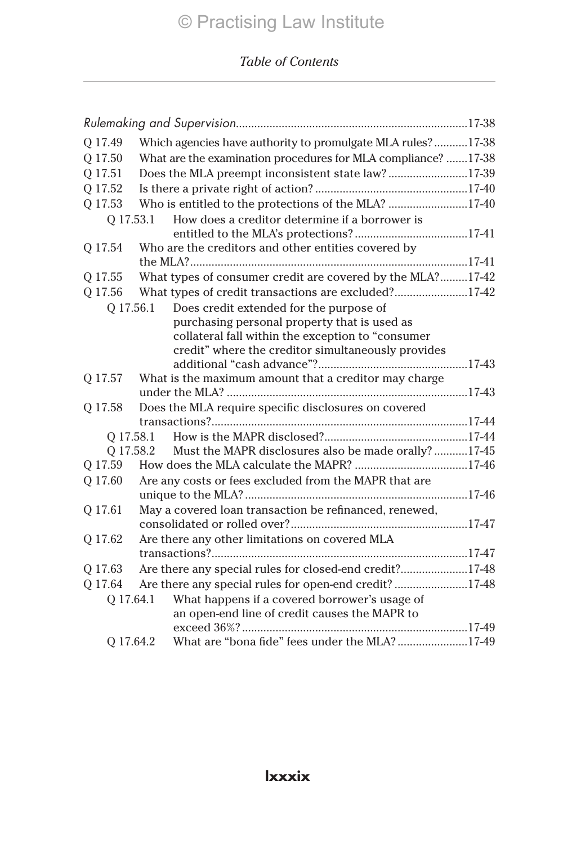| Which agencies have authority to promulgate MLA rules? 17-38<br>O 17.49<br>O 17.50<br>What are the examination procedures for MLA compliance? 17-38<br>Does the MLA preempt inconsistent state law?17-39<br>Q 17.51<br>Q 17.52<br>Who is entitled to the protections of the MLA? 17-40<br>Q 17.53<br>How does a creditor determine if a borrower is<br>Q 17.53.1<br>Q 17.54<br>Who are the creditors and other entities covered by<br>What types of consumer credit are covered by the MLA?17-42<br>O 17.55<br>What types of credit transactions are excluded?17-42<br>Q 17.56<br>Does credit extended for the purpose of<br>O 17.56.1<br>purchasing personal property that is used as<br>collateral fall within the exception to "consumer<br>credit" where the creditor simultaneously provides<br>What is the maximum amount that a creditor may charge<br>O 17.57<br>Does the MLA require specific disclosures on covered<br>O 17.58<br>O 17.58.1<br>Must the MAPR disclosures also be made orally? 17-45<br>Q 17.58.2<br>Q 17.59<br>Are any costs or fees excluded from the MAPR that are<br>Q 17.60<br>May a covered loan transaction be refinanced, renewed,<br>Q 17.61<br>Are there any other limitations on covered MLA<br>Q 17.62<br>Are there any special rules for closed-end credit?17-48<br>O 17.63<br>Are there any special rules for open-end credit?17-48<br>O 17.64<br>What happens if a covered borrower's usage of<br>O 17.64.1<br>an open-end line of credit causes the MAPR to |  |  |
|------------------------------------------------------------------------------------------------------------------------------------------------------------------------------------------------------------------------------------------------------------------------------------------------------------------------------------------------------------------------------------------------------------------------------------------------------------------------------------------------------------------------------------------------------------------------------------------------------------------------------------------------------------------------------------------------------------------------------------------------------------------------------------------------------------------------------------------------------------------------------------------------------------------------------------------------------------------------------------------------------------------------------------------------------------------------------------------------------------------------------------------------------------------------------------------------------------------------------------------------------------------------------------------------------------------------------------------------------------------------------------------------------------------------------------------------------------------------------------------------------|--|--|
|                                                                                                                                                                                                                                                                                                                                                                                                                                                                                                                                                                                                                                                                                                                                                                                                                                                                                                                                                                                                                                                                                                                                                                                                                                                                                                                                                                                                                                                                                                      |  |  |
|                                                                                                                                                                                                                                                                                                                                                                                                                                                                                                                                                                                                                                                                                                                                                                                                                                                                                                                                                                                                                                                                                                                                                                                                                                                                                                                                                                                                                                                                                                      |  |  |
|                                                                                                                                                                                                                                                                                                                                                                                                                                                                                                                                                                                                                                                                                                                                                                                                                                                                                                                                                                                                                                                                                                                                                                                                                                                                                                                                                                                                                                                                                                      |  |  |
|                                                                                                                                                                                                                                                                                                                                                                                                                                                                                                                                                                                                                                                                                                                                                                                                                                                                                                                                                                                                                                                                                                                                                                                                                                                                                                                                                                                                                                                                                                      |  |  |
|                                                                                                                                                                                                                                                                                                                                                                                                                                                                                                                                                                                                                                                                                                                                                                                                                                                                                                                                                                                                                                                                                                                                                                                                                                                                                                                                                                                                                                                                                                      |  |  |
|                                                                                                                                                                                                                                                                                                                                                                                                                                                                                                                                                                                                                                                                                                                                                                                                                                                                                                                                                                                                                                                                                                                                                                                                                                                                                                                                                                                                                                                                                                      |  |  |
|                                                                                                                                                                                                                                                                                                                                                                                                                                                                                                                                                                                                                                                                                                                                                                                                                                                                                                                                                                                                                                                                                                                                                                                                                                                                                                                                                                                                                                                                                                      |  |  |
|                                                                                                                                                                                                                                                                                                                                                                                                                                                                                                                                                                                                                                                                                                                                                                                                                                                                                                                                                                                                                                                                                                                                                                                                                                                                                                                                                                                                                                                                                                      |  |  |
|                                                                                                                                                                                                                                                                                                                                                                                                                                                                                                                                                                                                                                                                                                                                                                                                                                                                                                                                                                                                                                                                                                                                                                                                                                                                                                                                                                                                                                                                                                      |  |  |
|                                                                                                                                                                                                                                                                                                                                                                                                                                                                                                                                                                                                                                                                                                                                                                                                                                                                                                                                                                                                                                                                                                                                                                                                                                                                                                                                                                                                                                                                                                      |  |  |
|                                                                                                                                                                                                                                                                                                                                                                                                                                                                                                                                                                                                                                                                                                                                                                                                                                                                                                                                                                                                                                                                                                                                                                                                                                                                                                                                                                                                                                                                                                      |  |  |
|                                                                                                                                                                                                                                                                                                                                                                                                                                                                                                                                                                                                                                                                                                                                                                                                                                                                                                                                                                                                                                                                                                                                                                                                                                                                                                                                                                                                                                                                                                      |  |  |
|                                                                                                                                                                                                                                                                                                                                                                                                                                                                                                                                                                                                                                                                                                                                                                                                                                                                                                                                                                                                                                                                                                                                                                                                                                                                                                                                                                                                                                                                                                      |  |  |
|                                                                                                                                                                                                                                                                                                                                                                                                                                                                                                                                                                                                                                                                                                                                                                                                                                                                                                                                                                                                                                                                                                                                                                                                                                                                                                                                                                                                                                                                                                      |  |  |
|                                                                                                                                                                                                                                                                                                                                                                                                                                                                                                                                                                                                                                                                                                                                                                                                                                                                                                                                                                                                                                                                                                                                                                                                                                                                                                                                                                                                                                                                                                      |  |  |
|                                                                                                                                                                                                                                                                                                                                                                                                                                                                                                                                                                                                                                                                                                                                                                                                                                                                                                                                                                                                                                                                                                                                                                                                                                                                                                                                                                                                                                                                                                      |  |  |
|                                                                                                                                                                                                                                                                                                                                                                                                                                                                                                                                                                                                                                                                                                                                                                                                                                                                                                                                                                                                                                                                                                                                                                                                                                                                                                                                                                                                                                                                                                      |  |  |
|                                                                                                                                                                                                                                                                                                                                                                                                                                                                                                                                                                                                                                                                                                                                                                                                                                                                                                                                                                                                                                                                                                                                                                                                                                                                                                                                                                                                                                                                                                      |  |  |
|                                                                                                                                                                                                                                                                                                                                                                                                                                                                                                                                                                                                                                                                                                                                                                                                                                                                                                                                                                                                                                                                                                                                                                                                                                                                                                                                                                                                                                                                                                      |  |  |
|                                                                                                                                                                                                                                                                                                                                                                                                                                                                                                                                                                                                                                                                                                                                                                                                                                                                                                                                                                                                                                                                                                                                                                                                                                                                                                                                                                                                                                                                                                      |  |  |
|                                                                                                                                                                                                                                                                                                                                                                                                                                                                                                                                                                                                                                                                                                                                                                                                                                                                                                                                                                                                                                                                                                                                                                                                                                                                                                                                                                                                                                                                                                      |  |  |
|                                                                                                                                                                                                                                                                                                                                                                                                                                                                                                                                                                                                                                                                                                                                                                                                                                                                                                                                                                                                                                                                                                                                                                                                                                                                                                                                                                                                                                                                                                      |  |  |
|                                                                                                                                                                                                                                                                                                                                                                                                                                                                                                                                                                                                                                                                                                                                                                                                                                                                                                                                                                                                                                                                                                                                                                                                                                                                                                                                                                                                                                                                                                      |  |  |
|                                                                                                                                                                                                                                                                                                                                                                                                                                                                                                                                                                                                                                                                                                                                                                                                                                                                                                                                                                                                                                                                                                                                                                                                                                                                                                                                                                                                                                                                                                      |  |  |
|                                                                                                                                                                                                                                                                                                                                                                                                                                                                                                                                                                                                                                                                                                                                                                                                                                                                                                                                                                                                                                                                                                                                                                                                                                                                                                                                                                                                                                                                                                      |  |  |
|                                                                                                                                                                                                                                                                                                                                                                                                                                                                                                                                                                                                                                                                                                                                                                                                                                                                                                                                                                                                                                                                                                                                                                                                                                                                                                                                                                                                                                                                                                      |  |  |
|                                                                                                                                                                                                                                                                                                                                                                                                                                                                                                                                                                                                                                                                                                                                                                                                                                                                                                                                                                                                                                                                                                                                                                                                                                                                                                                                                                                                                                                                                                      |  |  |
|                                                                                                                                                                                                                                                                                                                                                                                                                                                                                                                                                                                                                                                                                                                                                                                                                                                                                                                                                                                                                                                                                                                                                                                                                                                                                                                                                                                                                                                                                                      |  |  |
|                                                                                                                                                                                                                                                                                                                                                                                                                                                                                                                                                                                                                                                                                                                                                                                                                                                                                                                                                                                                                                                                                                                                                                                                                                                                                                                                                                                                                                                                                                      |  |  |
|                                                                                                                                                                                                                                                                                                                                                                                                                                                                                                                                                                                                                                                                                                                                                                                                                                                                                                                                                                                                                                                                                                                                                                                                                                                                                                                                                                                                                                                                                                      |  |  |
|                                                                                                                                                                                                                                                                                                                                                                                                                                                                                                                                                                                                                                                                                                                                                                                                                                                                                                                                                                                                                                                                                                                                                                                                                                                                                                                                                                                                                                                                                                      |  |  |
|                                                                                                                                                                                                                                                                                                                                                                                                                                                                                                                                                                                                                                                                                                                                                                                                                                                                                                                                                                                                                                                                                                                                                                                                                                                                                                                                                                                                                                                                                                      |  |  |
| What are "bona fide" fees under the MLA? 17-49<br>O 17.64.2                                                                                                                                                                                                                                                                                                                                                                                                                                                                                                                                                                                                                                                                                                                                                                                                                                                                                                                                                                                                                                                                                                                                                                                                                                                                                                                                                                                                                                          |  |  |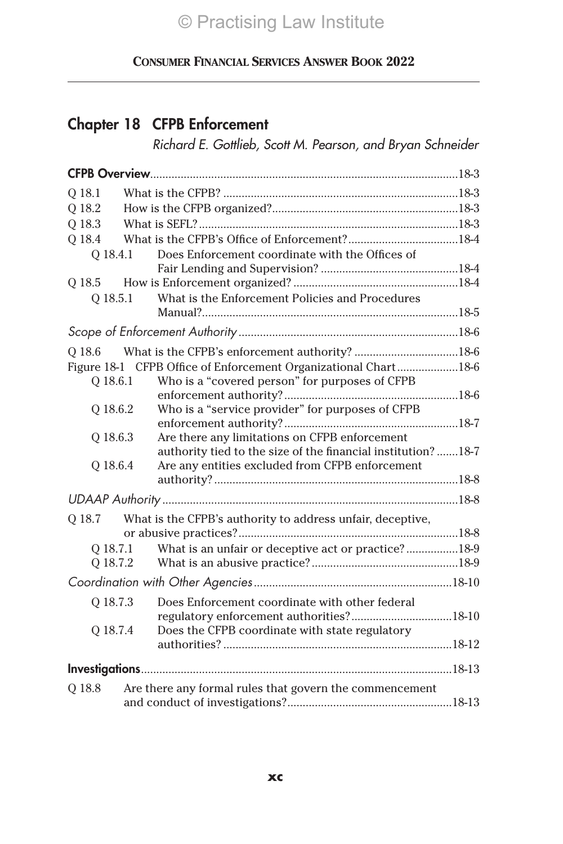### Chapter 18 CFPB Enforcement

*Richard E. Gottlieb, Scott M. Pearson, and Bryan Schneider*

| O 18.1   |                                                                                                                 |  |
|----------|-----------------------------------------------------------------------------------------------------------------|--|
| O 18.2   |                                                                                                                 |  |
| Q 18.3   |                                                                                                                 |  |
| Q 18.4   |                                                                                                                 |  |
| Q 18.4.1 | Does Enforcement coordinate with the Offices of                                                                 |  |
|          |                                                                                                                 |  |
| O 18.5   |                                                                                                                 |  |
| Q 18.5.1 | What is the Enforcement Policies and Procedures                                                                 |  |
|          |                                                                                                                 |  |
| Q 18.6   |                                                                                                                 |  |
|          | Figure 18-1 CFPB Office of Enforcement Organizational Chart18-6                                                 |  |
| Q 18.6.1 | Who is a "covered person" for purposes of CFPB                                                                  |  |
|          |                                                                                                                 |  |
| Q 18.6.2 | Who is a "service provider" for purposes of CFPB                                                                |  |
|          |                                                                                                                 |  |
| O 18.6.3 | Are there any limitations on CFPB enforcement                                                                   |  |
| Q 18.6.4 | authority tied to the size of the financial institution?18-7<br>Are any entities excluded from CFPB enforcement |  |
|          |                                                                                                                 |  |
|          |                                                                                                                 |  |
| Q 18.7   | What is the CFPB's authority to address unfair, deceptive,                                                      |  |
|          |                                                                                                                 |  |
| O 18.7.1 | What is an unfair or deceptive act or practice?18-9                                                             |  |
| O 18.7.2 |                                                                                                                 |  |
|          |                                                                                                                 |  |
| O 18.7.3 | Does Enforcement coordinate with other federal                                                                  |  |
|          |                                                                                                                 |  |
| Q 18.7.4 | Does the CFPB coordinate with state regulatory                                                                  |  |
|          |                                                                                                                 |  |
| O 18.8   | Are there any formal rules that govern the commencement                                                         |  |
|          |                                                                                                                 |  |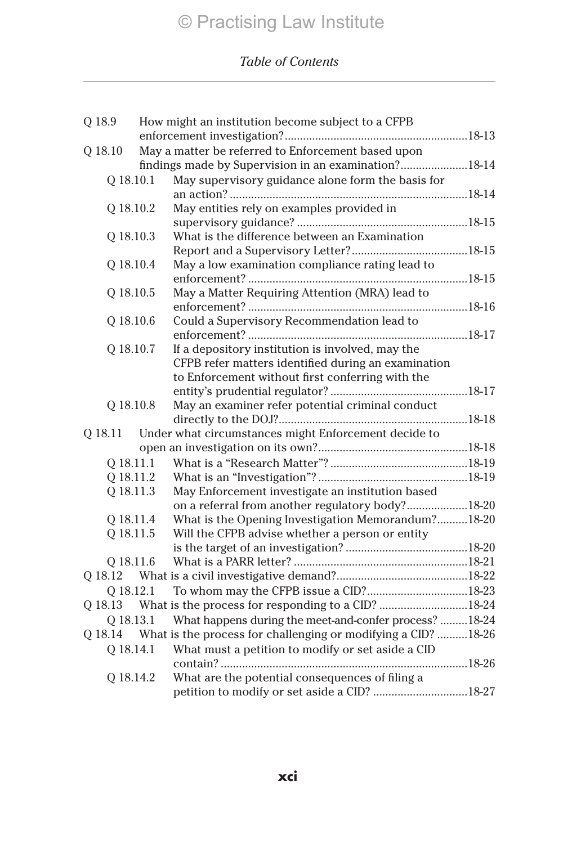| Q 18.9    | How might an institution become subject to a CFPB                                                      |  |
|-----------|--------------------------------------------------------------------------------------------------------|--|
|           |                                                                                                        |  |
| Q 18.10   | May a matter be referred to Enforcement based upon                                                     |  |
|           | findings made by Supervision in an examination?18-14                                                   |  |
| Q 18.10.1 | May supervisory guidance alone form the basis for                                                      |  |
|           |                                                                                                        |  |
| Q 18.10.2 | May entities rely on examples provided in                                                              |  |
|           |                                                                                                        |  |
| Q 18.10.3 | What is the difference between an Examination                                                          |  |
|           |                                                                                                        |  |
| Q 18.10.4 | May a low examination compliance rating lead to                                                        |  |
|           |                                                                                                        |  |
| Q 18.10.5 | May a Matter Requiring Attention (MRA) lead to                                                         |  |
|           |                                                                                                        |  |
| Q 18.10.6 | Could a Supervisory Recommendation lead to                                                             |  |
|           |                                                                                                        |  |
| Q 18.10.7 | If a depository institution is involved, may the                                                       |  |
|           | CFPB refer matters identified during an examination                                                    |  |
|           | to Enforcement without first conferring with the                                                       |  |
|           |                                                                                                        |  |
| Q 18.10.8 | May an examiner refer potential criminal conduct                                                       |  |
|           |                                                                                                        |  |
| Q 18.11   | Under what circumstances might Enforcement decide to                                                   |  |
|           |                                                                                                        |  |
| Q 18.11.1 |                                                                                                        |  |
| Q 18.11.2 |                                                                                                        |  |
| Q 18.11.3 | May Enforcement investigate an institution based                                                       |  |
| Q 18.11.4 | on a referral from another regulatory body?18-20<br>What is the Opening Investigation Memorandum?18-20 |  |
| Q 18.11.5 | Will the CFPB advise whether a person or entity                                                        |  |
|           |                                                                                                        |  |
| Q 18.11.6 |                                                                                                        |  |
| O 18.12   |                                                                                                        |  |
| Q 18.12.1 |                                                                                                        |  |
|           | Q 18.13 What is the process for responding to a CID? 18-24                                             |  |
| Q 18.13.1 | What happens during the meet-and-confer process? 18-24                                                 |  |
|           | Q 18.14 What is the process for challenging or modifying a CID?  18-26                                 |  |
| Q 18.14.1 |                                                                                                        |  |
|           | What must a petition to modify or set aside a CID                                                      |  |
| Q 18.14.2 | What are the potential consequences of filing a                                                        |  |
|           | petition to modify or set aside a CID? 18-27                                                           |  |
|           |                                                                                                        |  |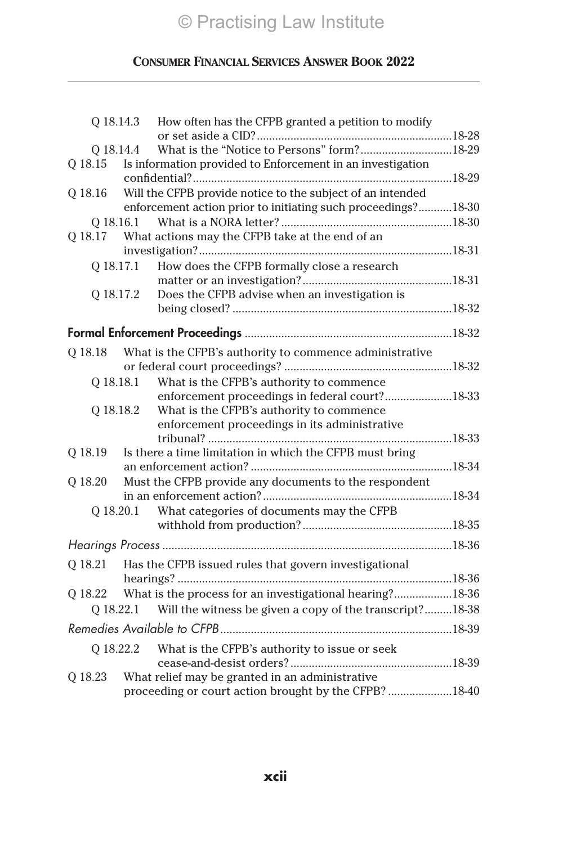|           |           | Q 18.14.3 How often has the CFPB granted a petition to modify |  |
|-----------|-----------|---------------------------------------------------------------|--|
| 0 18.14.4 |           | What is the "Notice to Persons" form?18-29                    |  |
| Q 18.15   |           | Is information provided to Enforcement in an investigation    |  |
|           |           |                                                               |  |
| Q 18.16   |           | Will the CFPB provide notice to the subject of an intended    |  |
|           |           | enforcement action prior to initiating such proceedings?18-30 |  |
| O 18.16.1 |           |                                                               |  |
| Q 18.17   |           | What actions may the CFPB take at the end of an               |  |
|           |           |                                                               |  |
| O 18.17.1 |           | How does the CFPB formally close a research                   |  |
|           |           |                                                               |  |
| Q 18.17.2 |           | Does the CFPB advise when an investigation is                 |  |
|           |           |                                                               |  |
|           |           |                                                               |  |
|           |           |                                                               |  |
| O 18.18   |           | What is the CFPB's authority to commence administrative       |  |
|           |           |                                                               |  |
| Q 18.18.1 |           | What is the CFPB's authority to commence                      |  |
|           |           | enforcement proceedings in federal court?18-33                |  |
| Q 18.18.2 |           | What is the CFPB's authority to commence                      |  |
|           |           | enforcement proceedings in its administrative                 |  |
|           |           |                                                               |  |
| Q 18.19   |           | Is there a time limitation in which the CFPB must bring       |  |
|           |           |                                                               |  |
| Q 18.20   |           | Must the CFPB provide any documents to the respondent         |  |
|           |           |                                                               |  |
|           | Q 18.20.1 | What categories of documents may the CFPB                     |  |
|           |           |                                                               |  |
|           |           |                                                               |  |
|           |           |                                                               |  |
| O 18.21   |           | Has the CFPB issued rules that govern investigational         |  |
|           |           |                                                               |  |
| O 18.22   |           | What is the process for an investigational hearing?18-36      |  |
| 0 18.22.1 |           | Will the witness be given a copy of the transcript?18-38      |  |
|           |           |                                                               |  |
|           |           | Q 18.22.2 What is the CFPB's authority to issue or seek       |  |
|           |           |                                                               |  |
| O 18.23   |           | What relief may be granted in an administrative               |  |
|           |           | proceeding or court action brought by the CFPB? 18-40         |  |
|           |           |                                                               |  |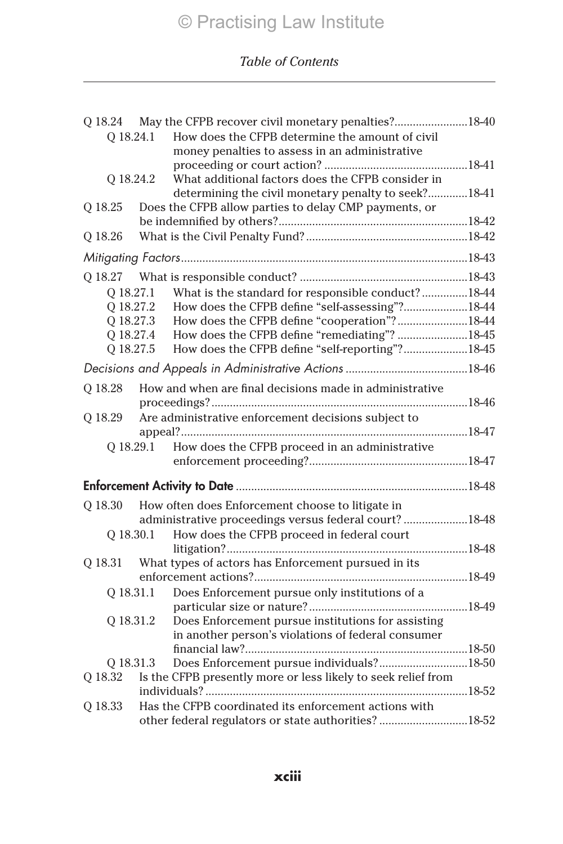|           |  | Q 18.24 May the CFPB recover civil monetary penalties?18-40   |  |
|-----------|--|---------------------------------------------------------------|--|
| 0 18.24.1 |  | How does the CFPB determine the amount of civil               |  |
|           |  | money penalties to assess in an administrative                |  |
|           |  |                                                               |  |
| 0 18.24.2 |  | What additional factors does the CFPB consider in             |  |
|           |  | determining the civil monetary penalty to seek?18-41          |  |
| Q 18.25   |  | Does the CFPB allow parties to delay CMP payments, or         |  |
|           |  |                                                               |  |
| O 18.26   |  |                                                               |  |
|           |  |                                                               |  |
|           |  |                                                               |  |
| Q 18.27.1 |  | What is the standard for responsible conduct?18-44            |  |
| Q 18.27.2 |  | How does the CFPB define "self-assessing"?18-44               |  |
| Q 18.27.3 |  | How does the CFPB define "cooperation"?18-44                  |  |
| Q 18.27.4 |  | How does the CFPB define "remediating"? 18-45                 |  |
| Q 18.27.5 |  | How does the CFPB define "self-reporting"?18-45               |  |
|           |  |                                                               |  |
| O 18.28   |  | How and when are final decisions made in administrative       |  |
|           |  |                                                               |  |
| Q 18.29   |  | Are administrative enforcement decisions subject to           |  |
|           |  |                                                               |  |
| O 18.29.1 |  | How does the CFPB proceed in an administrative                |  |
|           |  |                                                               |  |
|           |  |                                                               |  |
|           |  |                                                               |  |
| Q 18.30   |  | How often does Enforcement choose to litigate in              |  |
|           |  | administrative proceedings versus federal court? 18-48        |  |
| O 18.30.1 |  | How does the CFPB proceed in federal court                    |  |
|           |  |                                                               |  |
| Q 18.31   |  | What types of actors has Enforcement pursued in its           |  |
| Q 18.31.1 |  | Does Enforcement pursue only institutions of a                |  |
|           |  |                                                               |  |
| Q 18.31.2 |  | Does Enforcement pursue institutions for assisting            |  |
|           |  | in another person's violations of federal consumer            |  |
|           |  |                                                               |  |
| Q 18.31.3 |  | Does Enforcement pursue individuals?18-50                     |  |
| Q 18.32   |  | Is the CFPB presently more or less likely to seek relief from |  |
|           |  |                                                               |  |
| Q 18.33   |  | Has the CFPB coordinated its enforcement actions with         |  |
|           |  | other federal regulators or state authorities?18-52           |  |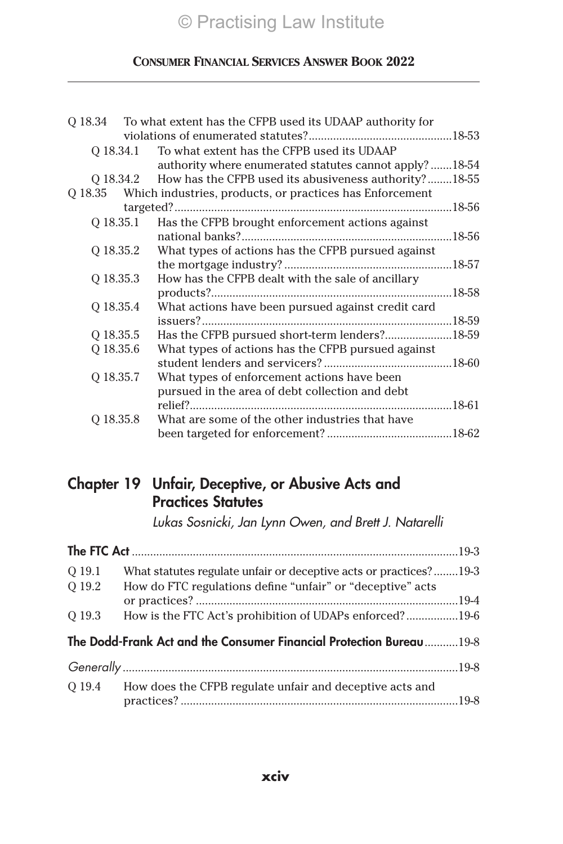|           | Q 18.34 To what extent has the CFPB used its UDAAP authority for |  |
|-----------|------------------------------------------------------------------|--|
|           |                                                                  |  |
| 0 18.34.1 | To what extent has the CFPB used its UDAAP                       |  |
|           | authority where enumerated statutes cannot apply?18-54           |  |
| 0 18.34.2 | How has the CFPB used its abusiveness authority?18-55            |  |
|           | Q 18.35 Which industries, products, or practices has Enforcement |  |
|           |                                                                  |  |
| 0 18.35.1 | Has the CFPB brought enforcement actions against                 |  |
|           |                                                                  |  |
| 0 18.35.2 | What types of actions has the CFPB pursued against               |  |
|           |                                                                  |  |
| 0 18.35.3 | How has the CFPB dealt with the sale of ancillary                |  |
|           |                                                                  |  |
| O 18.35.4 | What actions have been pursued against credit card               |  |
|           |                                                                  |  |
| O 18.35.5 |                                                                  |  |
| Q 18.35.6 | What types of actions has the CFPB pursued against               |  |
|           |                                                                  |  |
| O 18.35.7 | What types of enforcement actions have been                      |  |
|           | pursued in the area of debt collection and debt                  |  |
|           |                                                                  |  |
| O 18.35.8 | What are some of the other industries that have                  |  |
|           |                                                                  |  |
|           |                                                                  |  |

### Chapter 19 Unfair, Deceptive, or Abusive Acts and Practices Statutes

*Lukas Sosnicki, Jan Lynn Owen, and Brett J. Natarelli*

| O 19.1 | What statutes regulate unfair or deceptive acts or practices?19-3   |  |
|--------|---------------------------------------------------------------------|--|
| Q 19.2 | How do FTC regulations define "unfair" or "deceptive" acts          |  |
| O 19.3 |                                                                     |  |
|        | The Dodd-Frank Act and the Consumer Financial Protection Bureau19-8 |  |
|        |                                                                     |  |
| O 19.4 | How does the CFPB regulate unfair and deceptive acts and            |  |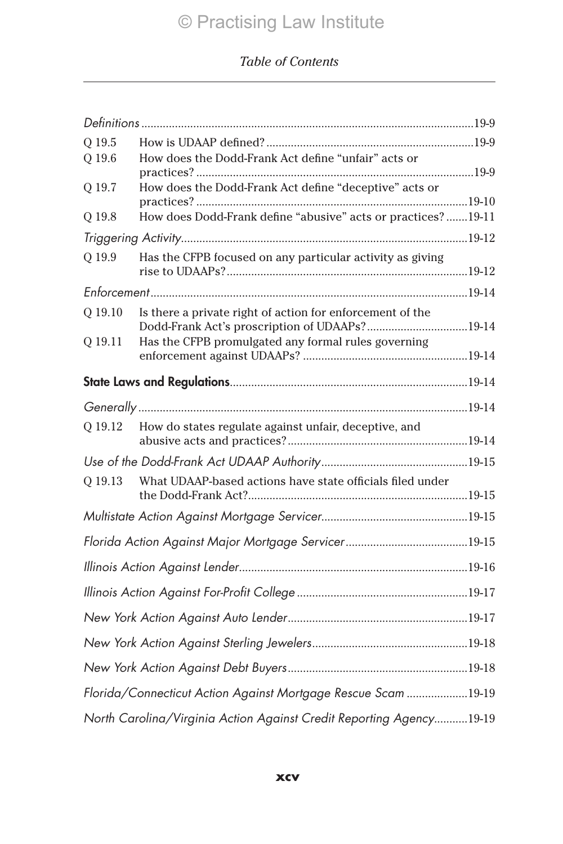| O 19.5                                                        |                                                                                                            |  |
|---------------------------------------------------------------|------------------------------------------------------------------------------------------------------------|--|
| Q 19.6                                                        | How does the Dodd-Frank Act define "unfair" acts or                                                        |  |
| Q 19.7                                                        | How does the Dodd-Frank Act define "deceptive" acts or                                                     |  |
|                                                               |                                                                                                            |  |
| Q 19.8                                                        | How does Dodd-Frank define "abusive" acts or practices?19-11                                               |  |
|                                                               |                                                                                                            |  |
| Q 19.9                                                        | Has the CFPB focused on any particular activity as giving                                                  |  |
|                                                               |                                                                                                            |  |
| Q 19.10                                                       | Is there a private right of action for enforcement of the<br>Dodd-Frank Act's proscription of UDAAPs?19-14 |  |
| O 19.11                                                       | Has the CFPB promulgated any formal rules governing                                                        |  |
|                                                               |                                                                                                            |  |
|                                                               |                                                                                                            |  |
| O 19.12                                                       | How do states regulate against unfair, deceptive, and                                                      |  |
|                                                               |                                                                                                            |  |
| O 19.13                                                       | What UDAAP-based actions have state officials filed under                                                  |  |
|                                                               |                                                                                                            |  |
|                                                               |                                                                                                            |  |
|                                                               |                                                                                                            |  |
|                                                               |                                                                                                            |  |
|                                                               |                                                                                                            |  |
|                                                               |                                                                                                            |  |
|                                                               |                                                                                                            |  |
| Florida/Connecticut Action Against Mortgage Rescue Scam 19-19 |                                                                                                            |  |
|                                                               | North Carolina/Virginia Action Against Credit Reporting Agency19-19                                        |  |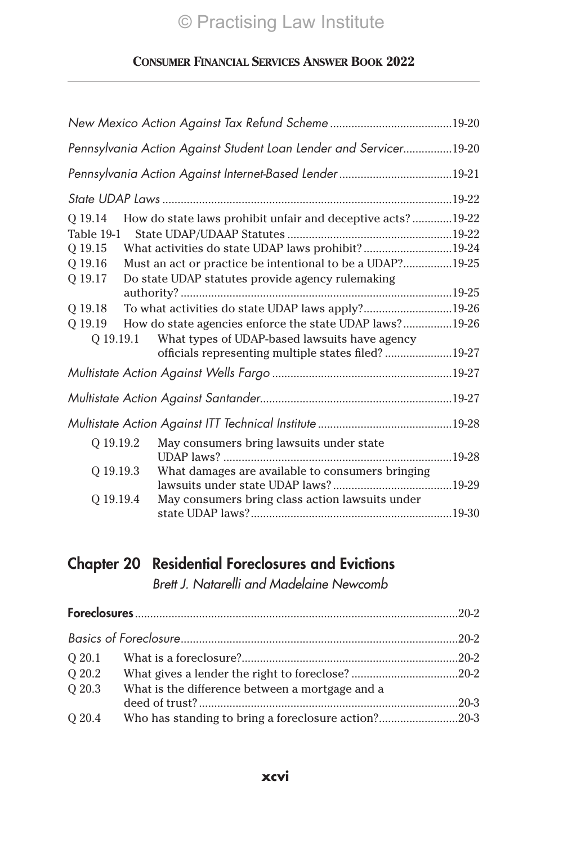| Pennsylvania Action Against Student Loan Lender and Servicer19-20 |  |                                                            |  |
|-------------------------------------------------------------------|--|------------------------------------------------------------|--|
|                                                                   |  |                                                            |  |
|                                                                   |  |                                                            |  |
| O 19.14                                                           |  | How do state laws prohibit unfair and deceptive acts?19-22 |  |
| Table 19-1                                                        |  |                                                            |  |
| Q 19.15                                                           |  | What activities do state UDAP laws prohibit?19-24          |  |
| O 19.16                                                           |  | Must an act or practice be intentional to be a UDAP?19-25  |  |
| Q 19.17                                                           |  | Do state UDAP statutes provide agency rulemaking           |  |
|                                                                   |  |                                                            |  |
| O 19.18                                                           |  | To what activities do state UDAP laws apply?19-26          |  |
| O 19.19                                                           |  | How do state agencies enforce the state UDAP laws?19-26    |  |
| O 19.19.1                                                         |  | What types of UDAP-based lawsuits have agency              |  |
|                                                                   |  | officials representing multiple states filed? 19-27        |  |
|                                                                   |  |                                                            |  |
|                                                                   |  |                                                            |  |
|                                                                   |  |                                                            |  |
| O 19.19.2                                                         |  | May consumers bring lawsuits under state                   |  |
| Q 19.19.3                                                         |  | What damages are available to consumers bringing           |  |
| Q 19.19.4                                                         |  | May consumers bring class action lawsuits under            |  |
|                                                                   |  |                                                            |  |

# Chapter 20 Residential Foreclosures and Evictions

*Brett J. Natarelli and Madelaine Newcomb*

| O 20.1                                                    |  |
|-----------------------------------------------------------|--|
| Q 20.2                                                    |  |
| Q 20.3<br>What is the difference between a mortgage and a |  |
|                                                           |  |
| Q 20.4                                                    |  |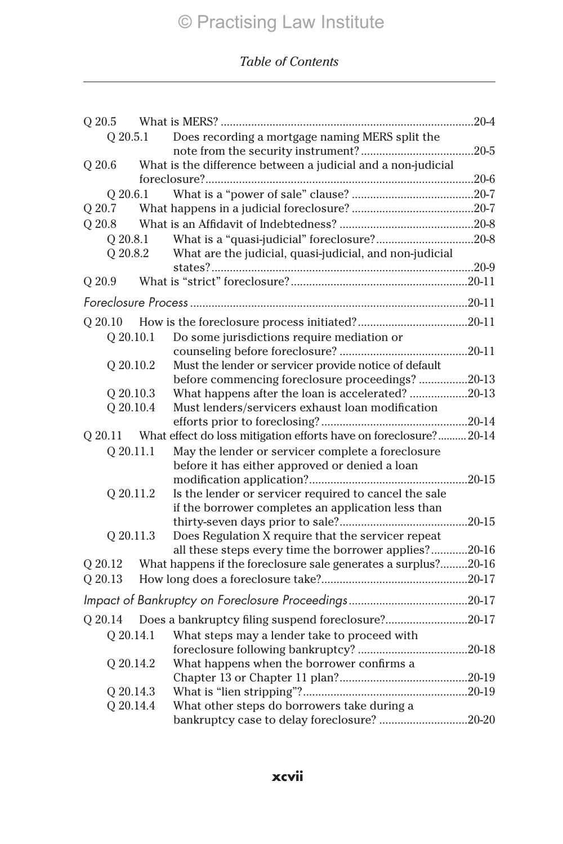| Q 20.5      |                                                                   |  |
|-------------|-------------------------------------------------------------------|--|
| O 20.5.1    | Does recording a mortgage naming MERS split the                   |  |
|             |                                                                   |  |
| $Q$ 20.6    | What is the difference between a judicial and a non-judicial      |  |
|             |                                                                   |  |
| Q 20.6.1    |                                                                   |  |
| Q 20.7      |                                                                   |  |
| Q 20.8      |                                                                   |  |
| Q 20.8.1    | What is a "quasi-judicial" foreclosure?20-8                       |  |
| Q 20.8.2    | What are the judicial, quasi-judicial, and non-judicial           |  |
|             |                                                                   |  |
| Q 20.9      |                                                                   |  |
|             |                                                                   |  |
| Q 20.10     |                                                                   |  |
| $Q$ 20.10.1 | Do some jurisdictions require mediation or                        |  |
|             |                                                                   |  |
| Q 20.10.2   | Must the lender or servicer provide notice of default             |  |
|             | before commencing foreclosure proceedings? 20-13                  |  |
| Q 20.10.3   | What happens after the loan is accelerated? 20-13                 |  |
| Q 20.10.4   | Must lenders/servicers exhaust loan modification                  |  |
|             |                                                                   |  |
| Q 20.11     | What effect do loss mitigation efforts have on foreclosure? 20-14 |  |
| Q 20.11.1   | May the lender or servicer complete a foreclosure                 |  |
|             | before it has either approved or denied a loan                    |  |
|             |                                                                   |  |
| Q 20.11.2   | Is the lender or servicer required to cancel the sale             |  |
|             | if the borrower completes an application less than                |  |
|             |                                                                   |  |
| Q 20.11.3   | Does Regulation X require that the servicer repeat                |  |
|             | all these steps every time the borrower applies?20-16             |  |
| Q 20.12     | What happens if the foreclosure sale generates a surplus?20-16    |  |
| Q 20.13     |                                                                   |  |
|             |                                                                   |  |
|             | Q 20.14 Does a bankruptcy filing suspend foreclosure?20-17        |  |
| Q 20.14.1   | What steps may a lender take to proceed with                      |  |
|             |                                                                   |  |
| Q 20.14.2   | What happens when the borrower confirms a                         |  |
|             |                                                                   |  |
| Q 20.14.3   |                                                                   |  |
| Q 20.14.4   | What other steps do borrowers take during a                       |  |
|             | bankruptcy case to delay foreclosure? 20-20                       |  |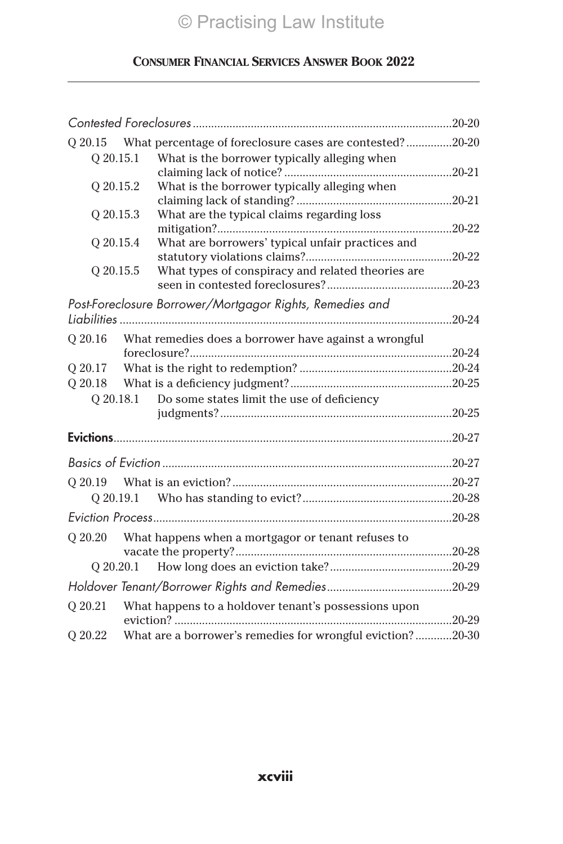|           |                                                                  | .20-20    |
|-----------|------------------------------------------------------------------|-----------|
|           | Q 20.15 What percentage of foreclosure cases are contested?20-20 |           |
| O 20.15.1 | What is the borrower typically alleging when                     |           |
|           |                                                                  | $20 - 21$ |
| Q 20.15.2 | What is the borrower typically alleging when                     | 20-21     |
| Q 20.15.3 | What are the typical claims regarding loss                       |           |
|           |                                                                  | 20-22     |
| Q 20.15.4 | What are borrowers' typical unfair practices and                 |           |
|           |                                                                  | 20-22     |
| Q 20.15.5 | What types of conspiracy and related theories are                |           |
|           |                                                                  | 20-23     |
|           | Post-Foreclosure Borrower/Mortgagor Rights, Remedies and         |           |
|           |                                                                  | $20 - 24$ |
| Q 20.16   | What remedies does a borrower have against a wrongful            |           |
|           |                                                                  |           |
| Q 20.17   |                                                                  |           |
| Q 20.18   |                                                                  |           |
|           | Do some states limit the use of deficiency<br>O 20.18.1          |           |
|           |                                                                  |           |
|           |                                                                  |           |
|           |                                                                  |           |
|           |                                                                  |           |
|           |                                                                  |           |
|           |                                                                  |           |
| O 20.20   | What happens when a mortgagor or tenant refuses to               |           |
|           |                                                                  |           |
|           | O 20.20.1                                                        |           |
|           |                                                                  |           |
| Q 20.21   | What happens to a holdover tenant's possessions upon             |           |
| Q 20.22   | What are a borrower's remedies for wrongful eviction?20-30       |           |
|           |                                                                  |           |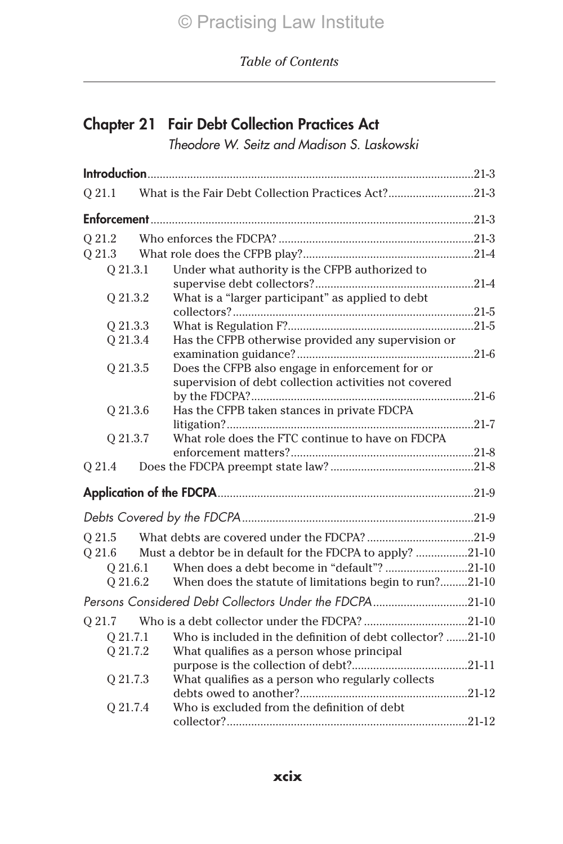|          | <b>Chapter 21 Fair Debt Collection Practices Act</b><br>Theodore W. Seitz and Madison S. Laskowski |  |
|----------|----------------------------------------------------------------------------------------------------|--|
|          |                                                                                                    |  |
| Q 21.1   | What is the Fair Debt Collection Practices Act?21-3                                                |  |
|          |                                                                                                    |  |
| Q 21.2   |                                                                                                    |  |
| Q 21.3   |                                                                                                    |  |
| Q 21.3.1 | Under what authority is the CFPB authorized to                                                     |  |
|          |                                                                                                    |  |
| Q 21.3.2 | What is a "larger participant" as applied to debt                                                  |  |
|          |                                                                                                    |  |
| Q 21.3.3 |                                                                                                    |  |
| Q 21.3.4 | Has the CFPB otherwise provided any supervision or                                                 |  |
| Q 21.3.5 | Does the CFPB also engage in enforcement for or                                                    |  |
|          | supervision of debt collection activities not covered                                              |  |
|          |                                                                                                    |  |
| Q 21.3.6 | Has the CFPB taken stances in private FDCPA                                                        |  |
|          |                                                                                                    |  |
| Q 21.3.7 | What role does the FTC continue to have on FDCPA                                                   |  |
|          |                                                                                                    |  |
| Q 21.4   |                                                                                                    |  |
|          |                                                                                                    |  |
|          |                                                                                                    |  |
| O 21.5   |                                                                                                    |  |
| O 21.6   | Must a debtor be in default for the FDCPA to apply? 21-10                                          |  |
| O 21.6.1 | When does a debt become in "default"? 21-10                                                        |  |
| Q 21.6.2 | When does the statute of limitations begin to run?21-10                                            |  |
|          | Persons Considered Debt Collectors Under the FDCPA21-10                                            |  |
|          |                                                                                                    |  |
| Q 21.7.1 | Who is included in the definition of debt collector? 21-10                                         |  |
| Q 21.7.2 | What qualifies as a person whose principal                                                         |  |
|          |                                                                                                    |  |
| Q 21.7.3 | What qualifies as a person who regularly collects                                                  |  |
|          |                                                                                                    |  |
| O 21.7.4 | Who is excluded from the definition of debt                                                        |  |
|          |                                                                                                    |  |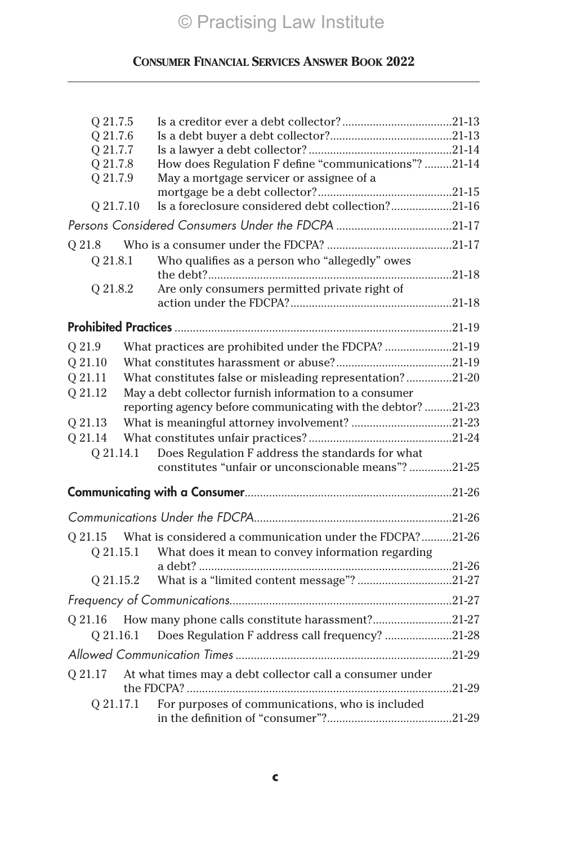| Q 21.7.5  |           |                                                                                                                       |  |
|-----------|-----------|-----------------------------------------------------------------------------------------------------------------------|--|
| Q 21.7.6  |           |                                                                                                                       |  |
| Q 21.7.7  |           |                                                                                                                       |  |
| Q 21.7.8  |           | How does Regulation F define "communications"? 21-14                                                                  |  |
| Q 21.7.9  |           | May a mortgage servicer or assignee of a                                                                              |  |
|           |           |                                                                                                                       |  |
| Q 21.7.10 |           | Is a foreclosure considered debt collection?21-16                                                                     |  |
|           |           |                                                                                                                       |  |
|           |           |                                                                                                                       |  |
| Q 21.8.1  |           | Who qualifies as a person who "allegedly" owes                                                                        |  |
|           |           |                                                                                                                       |  |
| 0 21.8.2  |           | Are only consumers permitted private right of                                                                         |  |
|           |           |                                                                                                                       |  |
|           |           |                                                                                                                       |  |
| Q 21.9    |           | What practices are prohibited under the FDCPA? 21-19                                                                  |  |
|           |           |                                                                                                                       |  |
| Q 21.10   |           |                                                                                                                       |  |
| Q 21.11   |           | What constitutes false or misleading representation?21-20                                                             |  |
| O 21.12   |           | May a debt collector furnish information to a consumer                                                                |  |
|           |           | reporting agency before communicating with the debtor?21-23                                                           |  |
| Q 21.13   |           | What is meaningful attorney involvement? 21-23                                                                        |  |
| Q 21.14   |           |                                                                                                                       |  |
| Q 21.14.1 |           | Does Regulation F address the standards for what                                                                      |  |
|           |           | constitutes "unfair or unconscionable means"?21-25                                                                    |  |
|           |           |                                                                                                                       |  |
|           |           |                                                                                                                       |  |
|           |           |                                                                                                                       |  |
| 0 21.15.1 |           | Q 21.15 What is considered a communication under the FDCPA?21-26<br>What does it mean to convey information regarding |  |
|           |           |                                                                                                                       |  |
|           |           | Q 21.15.2 What is a "limited content message"? 21-27                                                                  |  |
|           |           |                                                                                                                       |  |
| O 21.16   |           | How many phone calls constitute harassment?21-27                                                                      |  |
| Q 21.16.1 |           | Does Regulation F address call frequency? 21-28                                                                       |  |
|           |           |                                                                                                                       |  |
|           |           | Q 21.17 At what times may a debt collector call a consumer under                                                      |  |
|           |           |                                                                                                                       |  |
|           | 0 21.17.1 | For purposes of communications, who is included                                                                       |  |
|           |           |                                                                                                                       |  |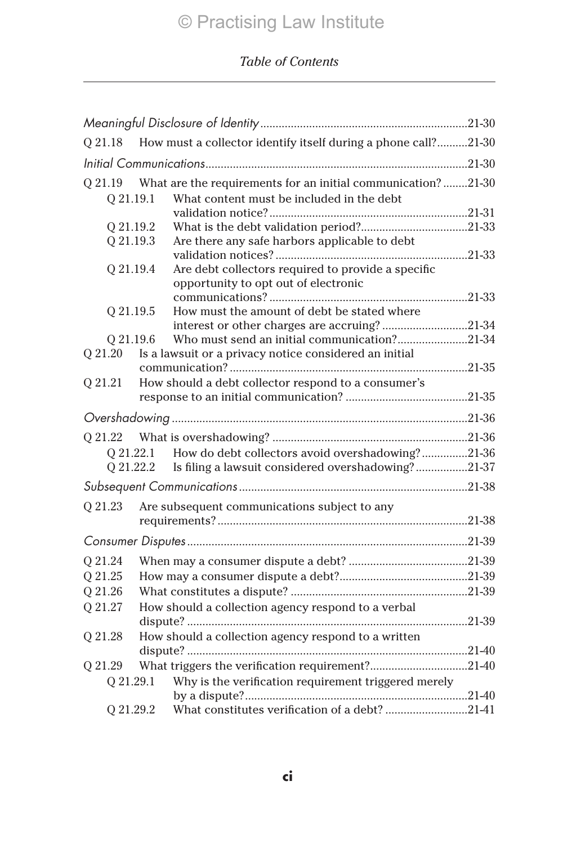| Q 21.18   | How must a collector identify itself during a phone call?21-30       |  |
|-----------|----------------------------------------------------------------------|--|
|           |                                                                      |  |
|           | Q 21.19 What are the requirements for an initial communication?21-30 |  |
| 0 21.19.1 | What content must be included in the debt                            |  |
|           |                                                                      |  |
| O 21.19.2 |                                                                      |  |
| Q 21.19.3 | Are there any safe harbors applicable to debt                        |  |
|           |                                                                      |  |
| Q 21.19.4 | Are debt collectors required to provide a specific                   |  |
|           | opportunity to opt out of electronic                                 |  |
|           |                                                                      |  |
| Q 21.19.5 | How must the amount of debt be stated where                          |  |
|           | interest or other charges are accruing?21-34                         |  |
| Q 21.19.6 | Who must send an initial communication?21-34                         |  |
| Q 21.20   | Is a lawsuit or a privacy notice considered an initial               |  |
|           |                                                                      |  |
| Q 21.21   | How should a debt collector respond to a consumer's                  |  |
|           |                                                                      |  |
|           |                                                                      |  |
|           |                                                                      |  |
|           | Q 21.22.1 How do debt collectors avoid overshadowing?21-36           |  |
|           | Q 21.22.2 Is filing a lawsuit considered overshadowing?21-37         |  |
|           |                                                                      |  |
| O 21.23   | Are subsequent communications subject to any                         |  |
|           |                                                                      |  |
|           |                                                                      |  |
| Q 21.24   |                                                                      |  |
| Q 21.25   |                                                                      |  |
| Q 21.26   |                                                                      |  |
| Q 21.27   | How should a collection agency respond to a verbal                   |  |
|           |                                                                      |  |
|           |                                                                      |  |
| Q 21.28   | How should a collection agency respond to a written                  |  |
|           |                                                                      |  |
| O 21.29   | What triggers the verification requirement?21-40                     |  |
| Q 21.29.1 | Why is the verification requirement triggered merely                 |  |
| O 21.29.2 | What constitutes verification of a debt? 21-41                       |  |
|           |                                                                      |  |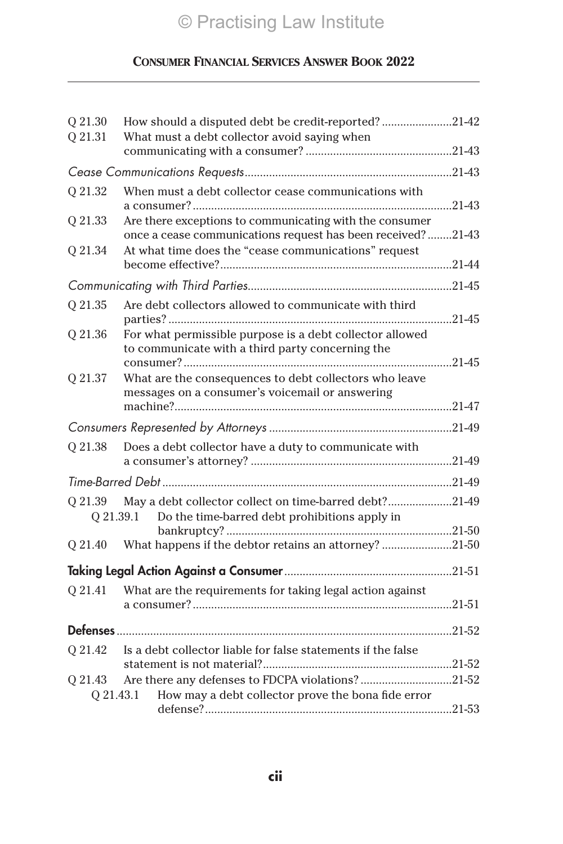## **Consumer Financial Services Answer Book 2022**

| Q 21.30 | How should a disputed debt be credit-reported? 21-42                                                                         |  |
|---------|------------------------------------------------------------------------------------------------------------------------------|--|
| Q 21.31 | What must a debt collector avoid saying when                                                                                 |  |
|         |                                                                                                                              |  |
|         |                                                                                                                              |  |
| Q 21.32 | When must a debt collector cease communications with                                                                         |  |
| Q 21.33 | Are there exceptions to communicating with the consumer<br>once a cease communications request has been received?21-43       |  |
| O 21.34 | At what time does the "cease communications" request                                                                         |  |
|         |                                                                                                                              |  |
| Q 21.35 | Are debt collectors allowed to communicate with third                                                                        |  |
| Q 21.36 | For what permissible purpose is a debt collector allowed<br>to communicate with a third party concerning the                 |  |
| Q 21.37 | What are the consequences to debt collectors who leave<br>messages on a consumer's voicemail or answering                    |  |
|         |                                                                                                                              |  |
| Q 21.38 | Does a debt collector have a duty to communicate with                                                                        |  |
|         |                                                                                                                              |  |
|         | Q 21.39 May a debt collector collect on time-barred debt?21-49<br>Do the time-barred debt prohibitions apply in<br>Q 21.39.1 |  |
|         |                                                                                                                              |  |
| Q 21.40 | What happens if the debtor retains an attorney? 21-50                                                                        |  |
|         |                                                                                                                              |  |
| Q 21.41 | What are the requirements for taking legal action against                                                                    |  |
|         |                                                                                                                              |  |
| O 21.42 | Is a debt collector liable for false statements if the false                                                                 |  |
| Q 21.43 | Are there any defenses to FDCPA violations? 21-52                                                                            |  |
|         | How may a debt collector prove the bona fide error<br>Q 21.43.1                                                              |  |
|         |                                                                                                                              |  |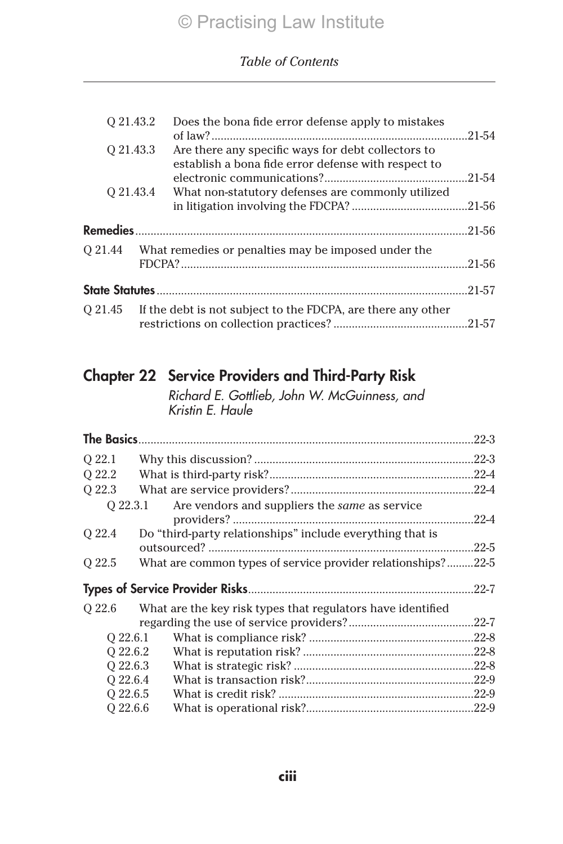| Q 21.43.2 | Does the bona fide error defense apply to mistakes                                                        |            |
|-----------|-----------------------------------------------------------------------------------------------------------|------------|
| 0 21.43.3 | Are there any specific ways for debt collectors to<br>establish a bona fide error defense with respect to |            |
| 0 21.43.4 | What non-statutory defenses are commonly utilized                                                         |            |
|           |                                                                                                           |            |
| O 21.44   | What remedies or penalties may be imposed under the                                                       |            |
|           |                                                                                                           | $.21 - 57$ |
| O 21.45   | If the debt is not subject to the FDCPA, are there any other                                              |            |

## Chapter 22 Service Providers and Third-Party Risk

*Richard E. Gottlieb, John W. McGuinness, and Kristin E. Haule*

|          |                                                             | $.22 - 3$ |
|----------|-------------------------------------------------------------|-----------|
| O 22.1   |                                                             |           |
| Q 22.2   |                                                             |           |
| Q 22.3   |                                                             |           |
| O 22.3.1 | Are vendors and suppliers the <i>same</i> as service        | $.22 - 4$ |
| O 22.4   | Do "third-party relationships" include everything that is   |           |
|          |                                                             | .22-5     |
| O 22.5   | What are common types of service provider relationships?    | .22-5     |
|          |                                                             |           |
|          |                                                             | $.22 - 7$ |
| O 22.6   | What are the key risk types that regulators have identified |           |
|          |                                                             |           |
| O 22.6.1 |                                                             |           |
| O 22.6.2 |                                                             |           |
| O 22.6.3 |                                                             |           |
| O 22.6.4 |                                                             |           |
| O 22.6.5 |                                                             |           |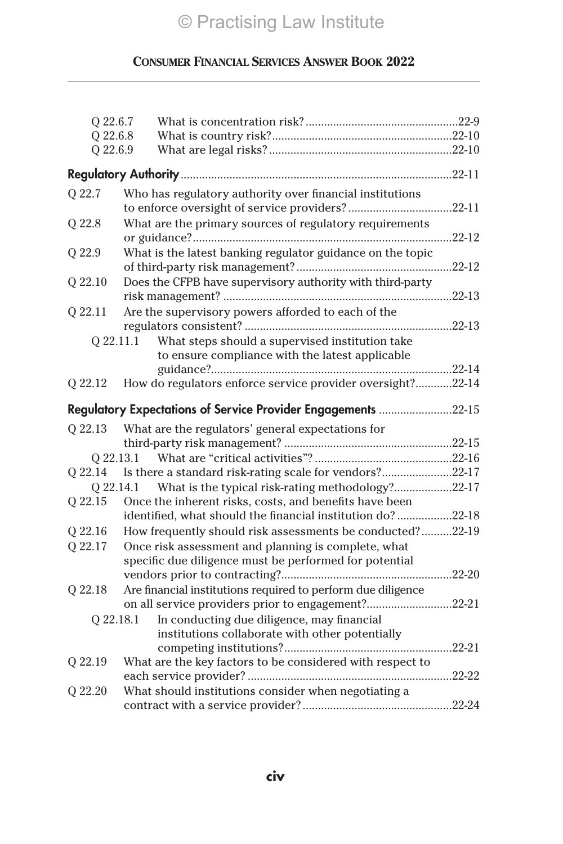## **Consumer Financial Services Answer Book 2022**

| Q 22.6.7  |                                                                                                                 |       |
|-----------|-----------------------------------------------------------------------------------------------------------------|-------|
| Q 22.6.8  |                                                                                                                 |       |
| Q 22.6.9  |                                                                                                                 |       |
|           |                                                                                                                 |       |
| Q 22.7    | Who has regulatory authority over financial institutions                                                        |       |
|           |                                                                                                                 |       |
| Q 22.8    | What are the primary sources of regulatory requirements                                                         | 22-12 |
| Q 22.9    | What is the latest banking regulator guidance on the topic                                                      |       |
|           |                                                                                                                 |       |
| Q 22.10   | Does the CFPB have supervisory authority with third-party                                                       |       |
| Q 22.11   | Are the supervisory powers afforded to each of the                                                              |       |
|           |                                                                                                                 |       |
|           | What steps should a supervised institution take<br>Q 22.11.1<br>to ensure compliance with the latest applicable |       |
|           |                                                                                                                 |       |
| Q 22.12   | How do regulators enforce service provider oversight?22-14                                                      |       |
|           | <b>Regulatory Expectations of Service Provider Engagements 22-15</b>                                            |       |
| O 22.13   | What are the regulators' general expectations for                                                               |       |
|           |                                                                                                                 |       |
| 0 22.13.1 |                                                                                                                 |       |
| O 22.14   | Is there a standard risk-rating scale for vendors?22-17                                                         |       |
| 0 22.14.1 | What is the typical risk-rating methodology?22-17                                                               |       |
| Q 22.15   | Once the inherent risks, costs, and benefits have been                                                          |       |
|           | identified, what should the financial institution do?22-18                                                      |       |
| Q 22.16   | How frequently should risk assessments be conducted?22-19                                                       |       |
| O 22.17   | Once risk assessment and planning is complete, what<br>specific due diligence must be performed for potential   |       |
|           |                                                                                                                 |       |
| Q 22.18   | Are financial institutions required to perform due diligence                                                    |       |
|           | on all service providers prior to engagement?22-21                                                              |       |
| O 22.18.1 | In conducting due diligence, may financial                                                                      |       |
|           | institutions collaborate with other potentially                                                                 |       |
|           |                                                                                                                 |       |
| Q 22.19   | What are the key factors to be considered with respect to                                                       |       |
|           |                                                                                                                 |       |
| Q 22.20   | What should institutions consider when negotiating a                                                            |       |
|           |                                                                                                                 |       |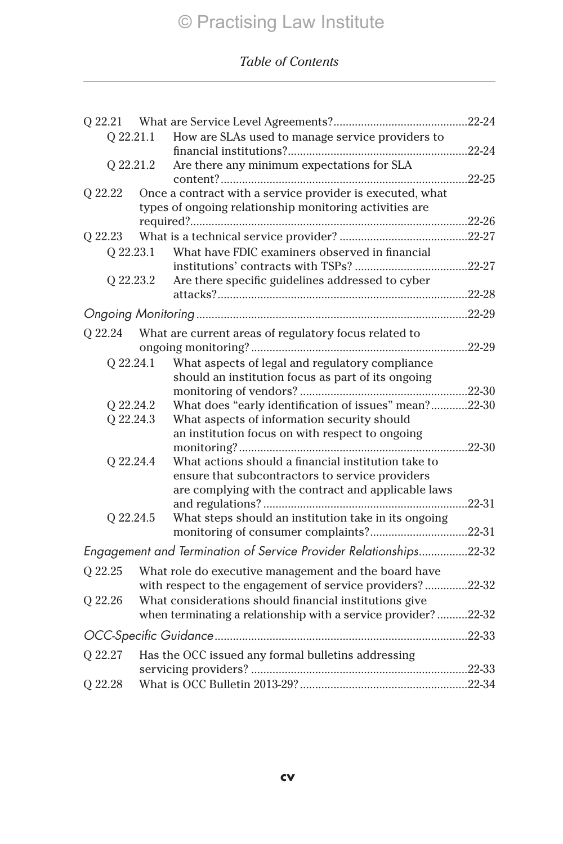| Q 22.21.1 | How are SLAs used to manage service providers to                  |  |
|-----------|-------------------------------------------------------------------|--|
|           |                                                                   |  |
| Q 22.21.2 | Are there any minimum expectations for SLA                        |  |
|           |                                                                   |  |
| Q 22.22   | Once a contract with a service provider is executed, what         |  |
|           | types of ongoing relationship monitoring activities are           |  |
|           |                                                                   |  |
| Q 22.23   | What have FDIC examiners observed in financial                    |  |
| 0 22.23.1 |                                                                   |  |
| 0 22.23.2 | Are there specific guidelines addressed to cyber                  |  |
|           |                                                                   |  |
|           |                                                                   |  |
|           |                                                                   |  |
| Q 22.24   | What are current areas of regulatory focus related to             |  |
|           |                                                                   |  |
| Q 22.24.1 | What aspects of legal and regulatory compliance                   |  |
|           | should an institution focus as part of its ongoing                |  |
| Q 22.24.2 | What does "early identification of issues" mean?22-30             |  |
| Q 22.24.3 | What aspects of information security should                       |  |
|           | an institution focus on with respect to ongoing                   |  |
|           |                                                                   |  |
| Q 22.24.4 | What actions should a financial institution take to               |  |
|           | ensure that subcontractors to service providers                   |  |
|           | are complying with the contract and applicable laws               |  |
|           |                                                                   |  |
| O 22.24.5 | What steps should an institution take in its ongoing              |  |
|           | monitoring of consumer complaints?22-31                           |  |
|           | Engagement and Termination of Service Provider Relationships22-32 |  |
| Q 22.25   | What role do executive management and the board have              |  |
|           | with respect to the engagement of service providers?22-32         |  |
| Q 22.26   | What considerations should financial institutions give            |  |
|           | when terminating a relationship with a service provider?22-32     |  |
|           |                                                                   |  |
| O 22.27   | Has the OCC issued any formal bulletins addressing                |  |
|           |                                                                   |  |
| Q 22.28   |                                                                   |  |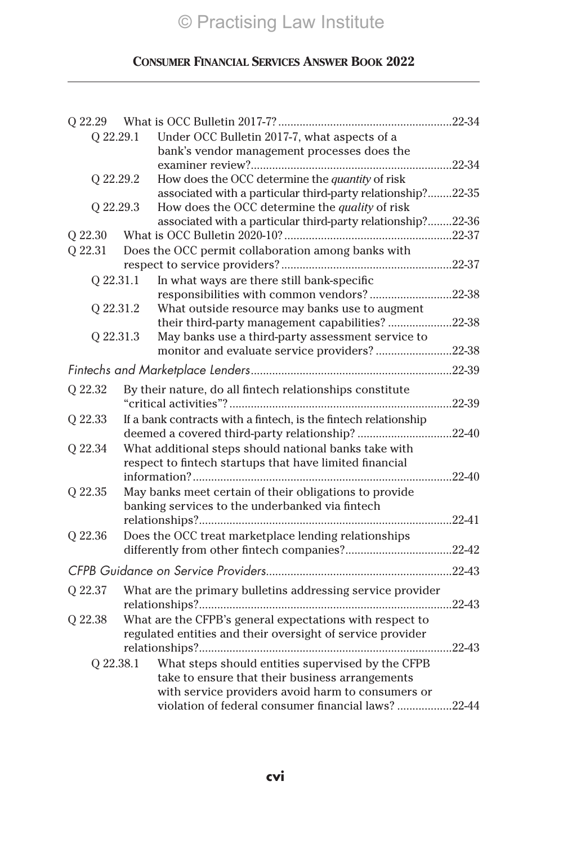| O 22.29.1 | Under OCC Bulletin 2017-7, what aspects of a                    |  |
|-----------|-----------------------------------------------------------------|--|
|           | bank's vendor management processes does the                     |  |
|           |                                                                 |  |
| O 22.29.2 | How does the OCC determine the <i>quantity</i> of risk          |  |
|           | associated with a particular third-party relationship?22-35     |  |
| Q 22.29.3 | How does the OCC determine the quality of risk                  |  |
|           | associated with a particular third-party relationship?22-36     |  |
| O 22.30   |                                                                 |  |
| O 22.31   | Does the OCC permit collaboration among banks with              |  |
|           |                                                                 |  |
| 0 22.31.1 | In what ways are there still bank-specific                      |  |
|           | responsibilities with common vendors?22-38                      |  |
| Q 22.31.2 | What outside resource may banks use to augment                  |  |
|           | their third-party management capabilities?22-38                 |  |
| Q 22.31.3 | May banks use a third-party assessment service to               |  |
|           | monitor and evaluate service providers? 22-38                   |  |
|           |                                                                 |  |
| Q 22.32   | By their nature, do all fintech relationships constitute        |  |
|           |                                                                 |  |
| Q 22.33   | If a bank contracts with a fintech, is the fintech relationship |  |
|           | deemed a covered third-party relationship?22-40                 |  |
| Q 22.34   | What additional steps should national banks take with           |  |
|           | respect to fintech startups that have limited financial         |  |
|           |                                                                 |  |
| Q 22.35   | May banks meet certain of their obligations to provide          |  |
|           | banking services to the underbanked via fintech                 |  |
|           |                                                                 |  |
| O 22.36   | Does the OCC treat marketplace lending relationships            |  |
|           |                                                                 |  |
|           |                                                                 |  |
| O 22.37   | What are the primary bulletins addressing service provider      |  |
|           |                                                                 |  |
| Q 22.38   | What are the CFPB's general expectations with respect to        |  |
|           | regulated entities and their oversight of service provider      |  |
|           |                                                                 |  |
| 0 22.38.1 | What steps should entities supervised by the CFPB               |  |
|           | take to ensure that their business arrangements                 |  |
|           | with service providers avoid harm to consumers or               |  |
|           | violation of federal consumer financial laws?22-44              |  |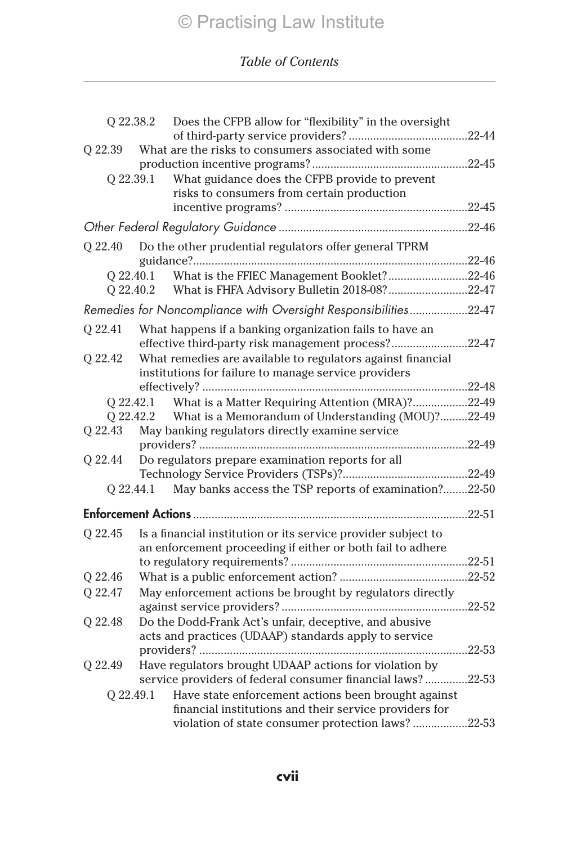|                        | Q 22.38.2 | Does the CFPB allow for "flexibility" in the oversight                                                              |  |
|------------------------|-----------|---------------------------------------------------------------------------------------------------------------------|--|
| Q 22.39                |           | What are the risks to consumers associated with some                                                                |  |
| Q 22.39.1              |           | What guidance does the CFPB provide to prevent<br>risks to consumers from certain production                        |  |
|                        |           |                                                                                                                     |  |
|                        |           |                                                                                                                     |  |
| O 22.40                |           | Do the other prudential regulators offer general TPRM                                                               |  |
|                        | Q 22.40.1 | What is the FFIEC Management Booklet?22-46<br>Q 22.40.2 What is FHFA Advisory Bulletin 2018-08?22-47                |  |
|                        |           | Remedies for Noncompliance with Oversight Responsibilities22-47                                                     |  |
| Q 22.41                |           | What happens if a banking organization fails to have an<br>effective third-party risk management process?22-47      |  |
| Q 22.42                |           | What remedies are available to regulators against financial<br>institutions for failure to manage service providers |  |
|                        |           |                                                                                                                     |  |
| 0 22.42.1<br>Q 22.42.2 |           | What is a Matter Requiring Attention (MRA)?22-49<br>What is a Memorandum of Understanding (MOU)?22-49               |  |
| Q 22.43                |           | May banking regulators directly examine service                                                                     |  |
|                        |           |                                                                                                                     |  |
| Q 22.44                |           | Do regulators prepare examination reports for all                                                                   |  |
|                        |           |                                                                                                                     |  |
|                        | O 22.44.1 | May banks access the TSP reports of examination?22-50                                                               |  |
|                        |           |                                                                                                                     |  |
| Q 22.45                |           | Is a financial institution or its service provider subject to                                                       |  |
|                        |           | an enforcement proceeding if either or both fail to adhere                                                          |  |
| Q 22.46                |           |                                                                                                                     |  |
| Q 22.47                |           | May enforcement actions be brought by regulators directly                                                           |  |
|                        |           |                                                                                                                     |  |
| Q 22.48                |           | Do the Dodd-Frank Act's unfair, deceptive, and abusive<br>acts and practices (UDAAP) standards apply to service     |  |
|                        |           |                                                                                                                     |  |
| O 22.49                |           | Have regulators brought UDAAP actions for violation by                                                              |  |
|                        |           | service providers of federal consumer financial laws?22-53                                                          |  |
| Q 22.49.1              |           | Have state enforcement actions been brought against                                                                 |  |
|                        |           | financial institutions and their service providers for<br>violation of state consumer protection laws?22-53         |  |
|                        |           |                                                                                                                     |  |